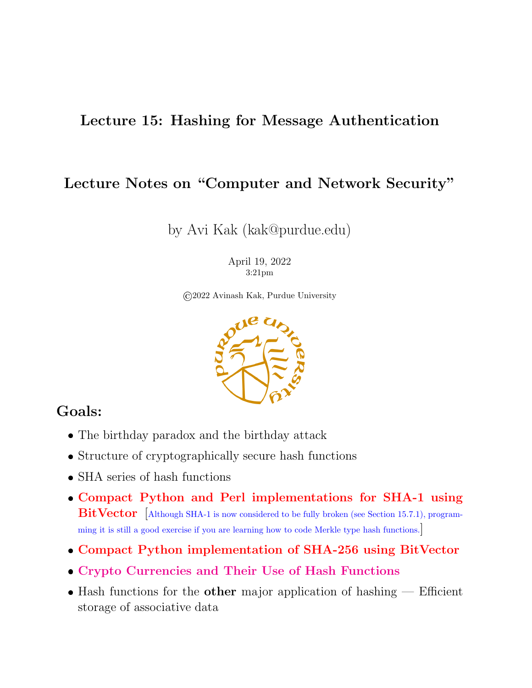#### Lecture 15: Hashing for Message Authentication

#### Lecture Notes on "Computer and Network Security"

by Avi Kak (kak@purdue.edu)

April 19, 2022 3:21pm

©2022 Avinash Kak, Purdue University



#### Goals:

- The birthday paradox and the birthday attack
- Structure of cryptographically secure hash functions
- SHA series of hash functions
- Compact Python and Perl implementations for SHA-1 using  $BitVector$  [Although SHA-1 is now considered to be fully broken (see Section 15.7.1), programming it is still a good exercise if you are learning how to code Merkle type hash functions.]
- Compact Python implementation of SHA-256 using BitVector
- Crypto Currencies and Their Use of Hash Functions
- $\bullet$  Hash functions for the other major application of hashing  $-$  Efficient storage of associative data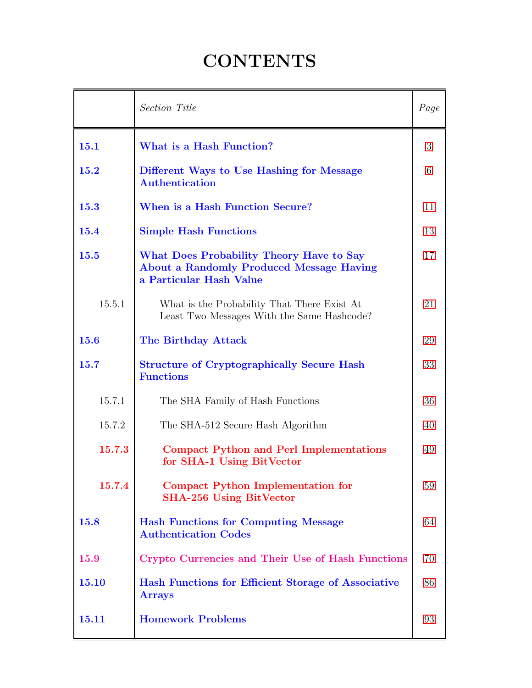## **CONTENTS**

<span id="page-1-0"></span>

|        | Section Title                                                                                                          | Page |  |
|--------|------------------------------------------------------------------------------------------------------------------------|------|--|
| 15.1   | What is a Hash Function?                                                                                               |      |  |
| 15.2   | Different Ways to Use Hashing for Message<br><b>Authentication</b>                                                     |      |  |
| 15.3   | When is a Hash Function Secure?                                                                                        |      |  |
| 15.4   | <b>Simple Hash Functions</b>                                                                                           |      |  |
| 15.5   | What Does Probability Theory Have to Say<br><b>About a Randomly Produced Message Having</b><br>a Particular Hash Value | 17   |  |
| 15.5.1 | What is the Probability That There Exist At<br>Least Two Messages With the Same Hashcode?                              | 21   |  |
| 15.6   | <b>The Birthday Attack</b>                                                                                             | 29   |  |
| 15.7   | <b>Structure of Cryptographically Secure Hash</b><br><b>Functions</b>                                                  | 33   |  |
| 15.7.1 | The SHA Family of Hash Functions                                                                                       | 36   |  |
| 15.7.2 | The SHA-512 Secure Hash Algorithm                                                                                      |      |  |
| 15.7.3 | <b>Compact Python and Perl Implementations</b><br>for SHA-1 Using BitVector                                            |      |  |
| 15.7.4 | Compact Python Implementation for<br><b>SHA-256 Using BitVector</b>                                                    | 59   |  |
| 15.8   | <b>Hash Functions for Computing Message</b><br><b>Authentication Codes</b>                                             | 64   |  |
| 15.9   | Crypto Currencies and Their Use of Hash Functions                                                                      | 70   |  |
| 15.10  | Hash Functions for Efficient Storage of Associative<br><b>Arrays</b>                                                   | 86   |  |
| 15.11  | <b>Homework Problems</b>                                                                                               | 93   |  |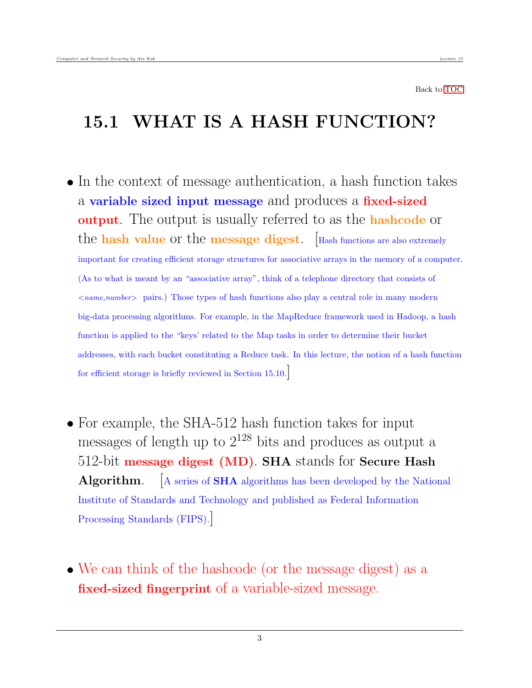#### <span id="page-2-0"></span>15.1 WHAT IS A HASH FUNCTION?

- In the context of message authentication, a hash function takes a variable sized input message and produces a fixed-sized output. The output is usually referred to as the hashcode or the **hash value** or the **message digest**.  $\left[\text{Hash functions are also extremely}\right]$ important for creating efficient storage structures for associative arrays in the memory of a computer. (As to what is meant by an "associative array", think of a telephone directory that consists of  $\langle$  name,number  $\rangle$  pairs.) Those types of hash functions also play a central role in many modern big-data processing algorithms. For example, in the MapReduce framework used in Hadoop, a hash function is applied to the "keys' related to the Map tasks in order to determine their bucket addresses, with each bucket constituting a Reduce task. In this lecture, the notion of a hash function for efficient storage is briefly reviewed in Section 15.10.]
- For example, the SHA-512 hash function takes for input messages of length up to  $2^{128}$  bits and produces as output a 512-bit message digest (MD). SHA stands for Secure Hash **Algorithm.**  $\begin{bmatrix} A \text{ series of SHA algorithms has been developed by the National$ Institute of Standards and Technology and published as Federal Information Processing Standards (FIPS).]
- We can think of the hashcode (or the message digest) as a fixed-sized fingerprint of a variable-sized message.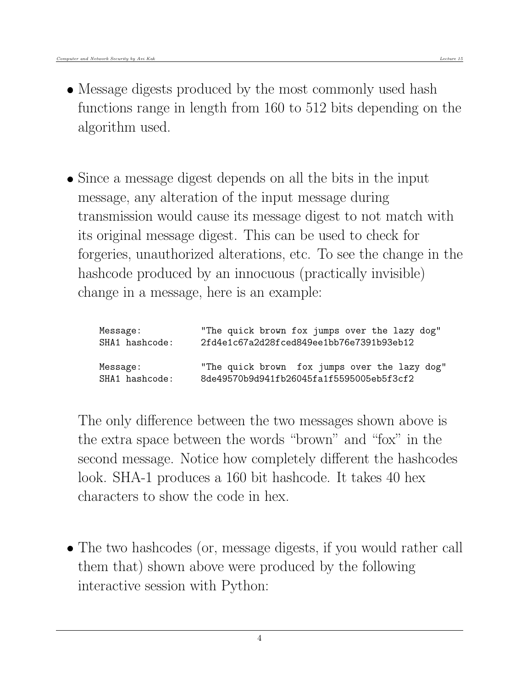- Message digests produced by the most commonly used hash functions range in length from 160 to 512 bits depending on the algorithm used.
- Since a message digest depends on all the bits in the input message, any alteration of the input message during transmission would cause its message digest to not match with its original message digest. This can be used to check for forgeries, unauthorized alterations, etc. To see the change in the hashcode produced by an innocuous (practically invisible) change in a message, here is an example:

| Message:       | "The quick brown fox jumps over the lazy dog" |
|----------------|-----------------------------------------------|
| SHA1 hashcode: | 2fd4e1c67a2d28fced849ee1bb76e7391b93eb12      |
| Message:       | "The quick brown fox jumps over the lazy dog" |
| SHA1 hashcode: | 8de49570b9d941fb26045fa1f5595005eb5f3cf2      |

The only difference between the two messages shown above is the extra space between the words "brown" and "fox" in the second message. Notice how completely different the hashcodes look. SHA-1 produces a 160 bit hashcode. It takes 40 hex characters to show the code in hex.

• The two hashcodes (or, message digests, if you would rather call them that) shown above were produced by the following interactive session with Python: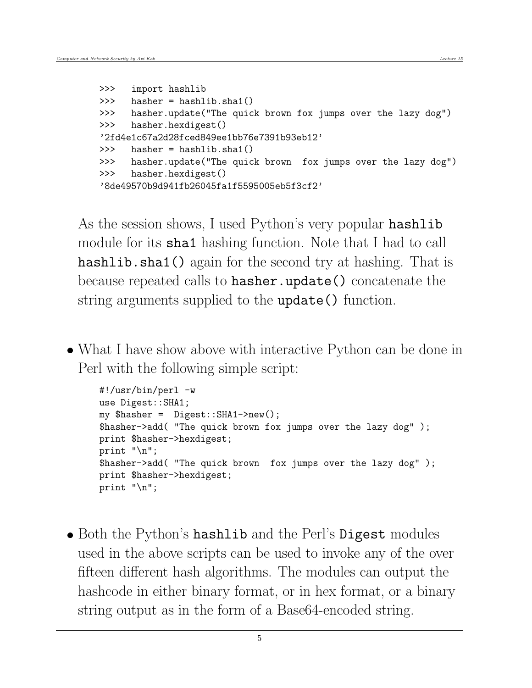```
>>> import hashlib
>>> hasher = hashlib.sha1()
>>> hasher.update("The quick brown fox jumps over the lazy dog")
>>> hasher.hexdigest()
'2fd4e1c67a2d28fced849ee1bb76e7391b93eb12'
>>> hasher = hashlib.sha1()
>>> hasher.update("The quick brown fox jumps over the lazy dog")
>>> hasher.hexdigest()
'8de49570b9d941fb26045fa1f5595005eb5f3cf2'
```
As the session shows, I used Python's very popular hashlib module for its **sha1** hashing function. Note that I had to call hashlib.sha1() again for the second try at hashing. That is because repeated calls to hasher.update() concatenate the string arguments supplied to the update() function.

• What I have show above with interactive Python can be done in Perl with the following simple script:

```
#!/usr/bin/perl -w
use Digest::SHA1;
my $hasher = Digest::SHA1->new();
$hasher->add( "The quick brown fox jumps over the lazy dog" );
print $hasher->hexdigest;
print "\n";
$hasher->add( "The quick brown fox jumps over the lazy dog" );
print $hasher->hexdigest;
print "\n";
```
• Both the Python's hashlib and the Perl's Digest modules used in the above scripts can be used to invoke any of the over fifteen different hash algorithms. The modules can output the hashcode in either binary format, or in hex format, or a binary string output as in the form of a Base64-encoded string.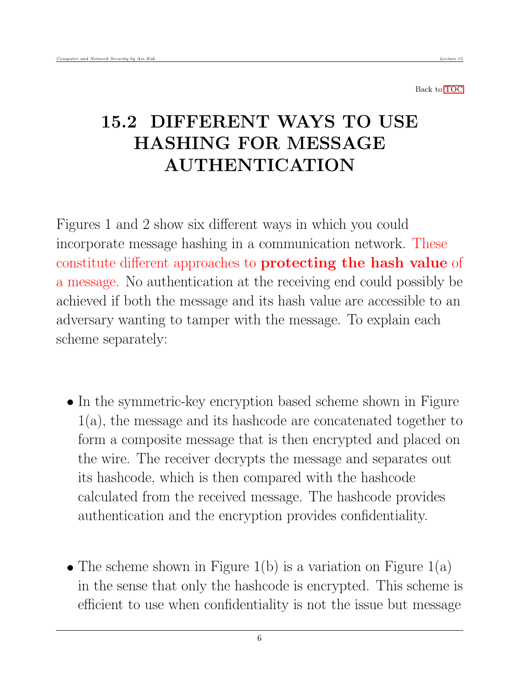## <span id="page-5-0"></span>15.2 DIFFERENT WAYS TO USE HASHING FOR MESSAGE AUTHENTICATION

Figures 1 and 2 show six different ways in which you could incorporate message hashing in a communication network. These constitute different approaches to protecting the hash value of a message. No authentication at the receiving end could possibly be achieved if both the message and its hash value are accessible to an adversary wanting to tamper with the message. To explain each scheme separately:

- In the symmetric-key encryption based scheme shown in Figure 1(a), the message and its hashcode are concatenated together to form a composite message that is then encrypted and placed on the wire. The receiver decrypts the message and separates out its hashcode, which is then compared with the hashcode calculated from the received message. The hashcode provides authentication and the encryption provides confidentiality.
- The scheme shown in Figure 1(b) is a variation on Figure 1(a) in the sense that only the hashcode is encrypted. This scheme is efficient to use when confidentiality is not the issue but message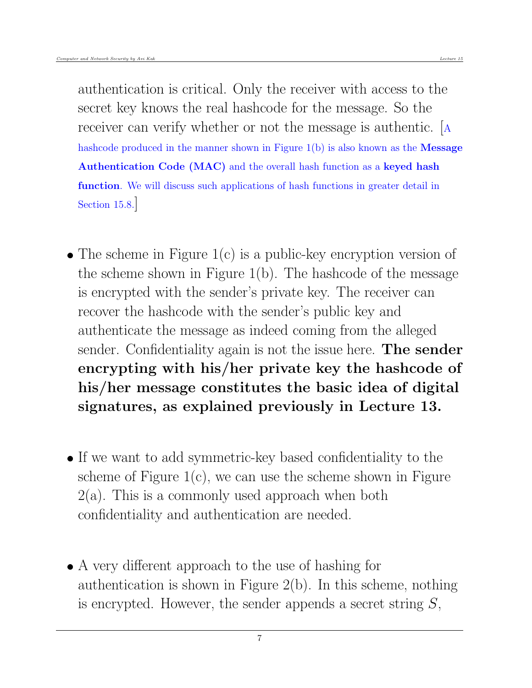authentication is critical. Only the receiver with access to the secret key knows the real hashcode for the message. So the receiver can verify whether or not the message is authentic. [<sup>A</sup> hashcode produced in the manner shown in Figure  $1(b)$  is also known as the **Message** Authentication Code (MAC) and the overall hash function as a keyed hash function. We will discuss such applications of hash functions in greater detail in Section 15.8.]

- The scheme in Figure 1(c) is a public-key encryption version of the scheme shown in Figure 1(b). The hashcode of the message is encrypted with the sender's private key. The receiver can recover the hashcode with the sender's public key and authenticate the message as indeed coming from the alleged sender. Confidentiality again is not the issue here. The sender encrypting with his/her private key the hashcode of his/her message constitutes the basic idea of digital signatures, as explained previously in Lecture 13.
- If we want to add symmetric-key based confidentiality to the scheme of Figure  $1(c)$ , we can use the scheme shown in Figure  $2(a)$ . This is a commonly used approach when both confidentiality and authentication are needed.
- A very different approach to the use of hashing for authentication is shown in Figure 2(b). In this scheme, nothing is encrypted. However, the sender appends a secret string  $S$ ,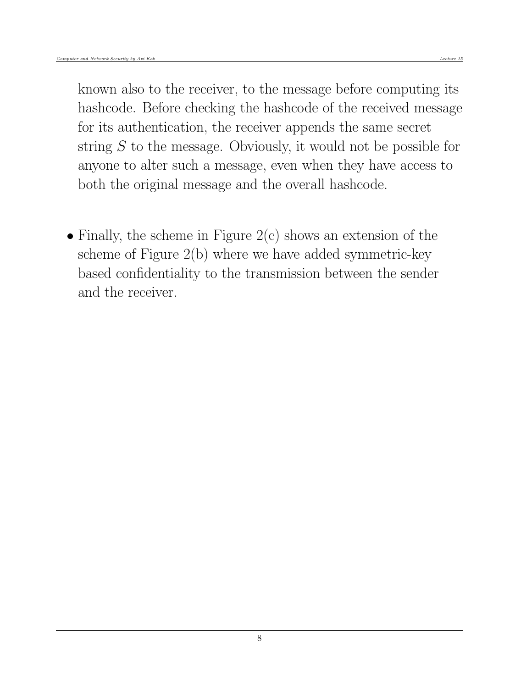known also to the receiver, to the message before computing its hashcode. Before checking the hashcode of the received message for its authentication, the receiver appends the same secret string S to the message. Obviously, it would not be possible for anyone to alter such a message, even when they have access to both the original message and the overall hashcode.

• Finally, the scheme in Figure  $2(c)$  shows an extension of the scheme of Figure 2(b) where we have added symmetric-key based confidentiality to the transmission between the sender and the receiver.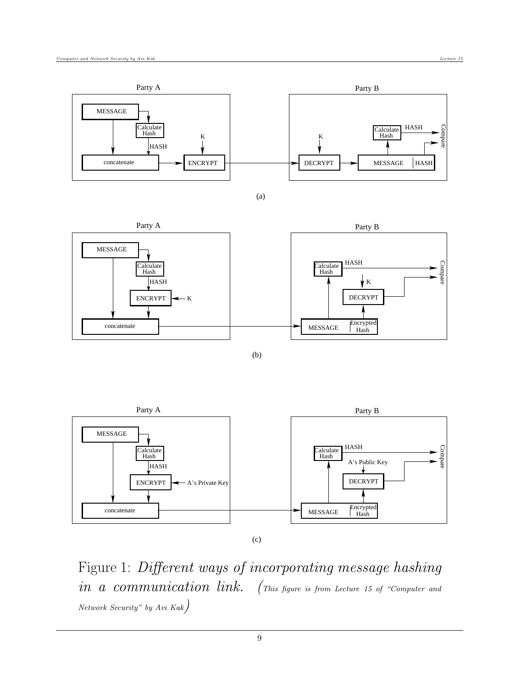





(b)



Figure 1: Different ways of incorporating message hashing in a communication link. (This figure is from Lecture 15 of "Computer and Network Security" by Avi Kak)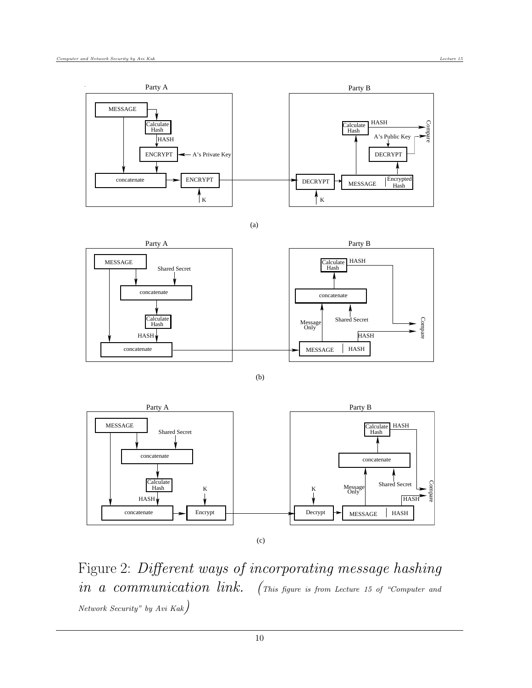





(b)



Figure 2: Different ways of incorporating message hashing in a communication link. (This figure is from Lecture 15 of "Computer and Network Security" by Avi Kak)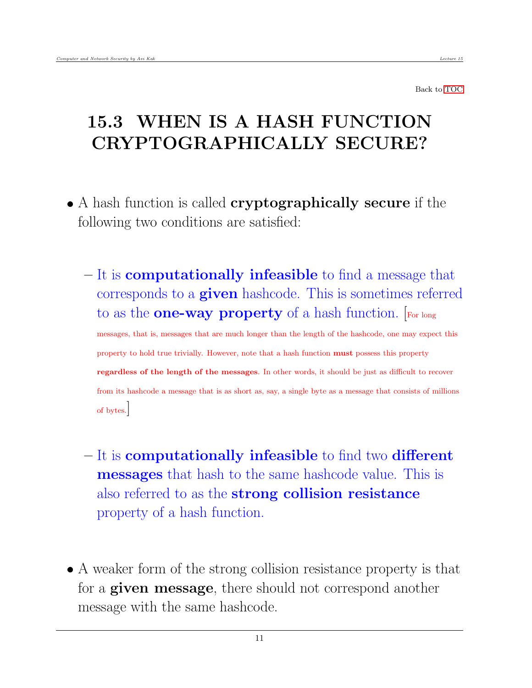# <span id="page-10-0"></span>15.3 WHEN IS A HASH FUNCTION CRYPTOGRAPHICALLY SECURE?

- A hash function is called **cryptographically secure** if the following two conditions are satisfied:
	- It is computationally infeasible to find a message that corresponds to a given hashcode. This is sometimes referred to as the **one-way property** of a hash function. [For long messages, that is, messages that are much longer than the length of the hashcode, one may expect this property to hold true trivially. However, note that a hash function must possess this property regardless of the length of the messages. In other words, it should be just as difficult to recover from its hashcode a message that is as short as, say, a single byte as a message that consists of millions of bytes.]
	- It is computationally infeasible to find two different messages that hash to the same hashcode value. This is also referred to as the strong collision resistance property of a hash function.
- A weaker form of the strong collision resistance property is that for a **given message**, there should not correspond another message with the same hashcode.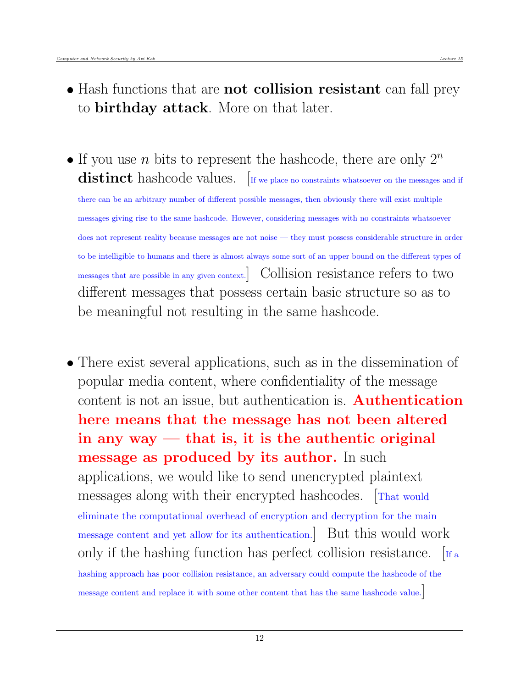- Hash functions that are **not collision resistant** can fall prey to birthday attack. More on that later.
- If you use n bits to represent the hashcode, there are only  $2^n$  $\textbf{distinct}$  hashcode values. If we place no constraints whatsoever on the messages and if there can be an arbitrary number of different possible messages, then obviously there will exist multiple messages giving rise to the same hashcode. However, considering messages with no constraints whatsoever does not represent reality because messages are not noise — they must possess considerable structure in order to be intelligible to humans and there is almost always some sort of an upper bound on the different types of messages that are possible in any given context.] Collision resistance refers to two different messages that possess certain basic structure so as to be meaningful not resulting in the same hashcode.
- There exist several applications, such as in the dissemination of popular media content, where confidentiality of the message content is not an issue, but authentication is. **Authentication** here means that the message has not been altered in any way  $-$  that is, it is the authentic original message as produced by its author. In such applications, we would like to send unencrypted plaintext messages along with their encrypted hashcodes. [That would eliminate the computational overhead of encryption and decryption for the main message content and yet allow for its authentication.] But this would work only if the hashing function has perfect collision resistance.  $\left[\text{If a}\right]$ hashing approach has poor collision resistance, an adversary could compute the hashcode of the message content and replace it with some other content that has the same hashcode value.]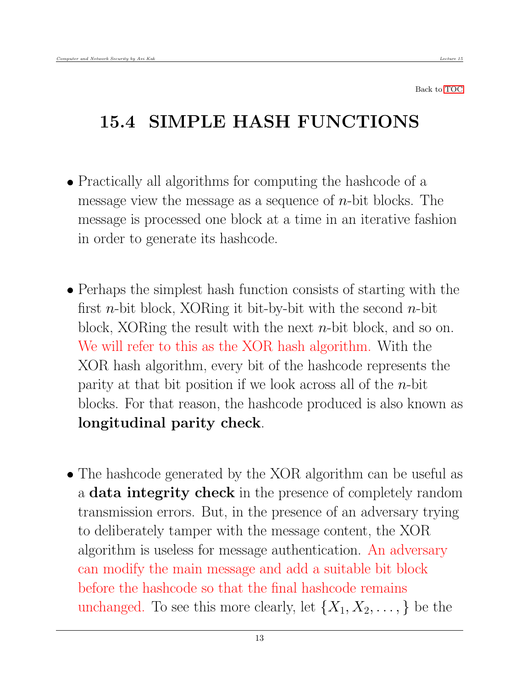## <span id="page-12-0"></span>15.4 SIMPLE HASH FUNCTIONS

- Practically all algorithms for computing the hashcode of a message view the message as a sequence of  $n$ -bit blocks. The message is processed one block at a time in an iterative fashion in order to generate its hashcode.
- Perhaps the simplest hash function consists of starting with the first *n*-bit block, XORing it bit-by-bit with the second *n*-bit block, XORing the result with the next  $n$ -bit block, and so on. We will refer to this as the XOR hash algorithm. With the XOR hash algorithm, every bit of the hashcode represents the parity at that bit position if we look across all of the  $n$ -bit blocks. For that reason, the hashcode produced is also known as longitudinal parity check.
- The hashcode generated by the XOR algorithm can be useful as a **data integrity check** in the presence of completely random transmission errors. But, in the presence of an adversary trying to deliberately tamper with the message content, the XOR algorithm is useless for message authentication. An adversary can modify the main message and add a suitable bit block before the hashcode so that the final hashcode remains unchanged. To see this more clearly, let  $\{X_1, X_2, \ldots, \}$  be the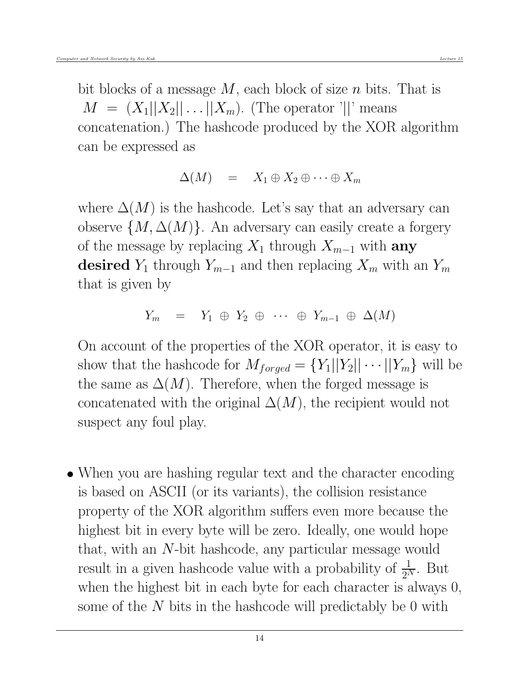bit blocks of a message  $M$ , each block of size  $n$  bits. That is  $M = (X_1||X_2||...||X_m)$ . (The operator '||' means concatenation.) The hashcode produced by the XOR algorithm can be expressed as

$$
\Delta(M) = X_1 \oplus X_2 \oplus \cdots \oplus X_m
$$

where  $\Delta(M)$  is the hashcode. Let's say that an adversary can observe  $\{M, \Delta(M)\}\$ . An adversary can easily create a forgery of the message by replacing  $X_1$  through  $X_{m-1}$  with any desired  $Y_1$  through  $Y_{m-1}$  and then replacing  $X_m$  with an  $Y_m$ that is given by

$$
Y_m = Y_1 \oplus Y_2 \oplus \cdots \oplus Y_{m-1} \oplus \Delta(M)
$$

On account of the properties of the XOR operator, it is easy to show that the hashcode for  $M_{forged} = \{Y_1||Y_2|| \cdots ||Y_m\}$  will be the same as  $\Delta(M)$ . Therefore, when the forged message is concatenated with the original  $\Delta(M)$ , the recipient would not suspect any foul play.

 When you are hashing regular text and the character encoding is based on ASCII (or its variants), the collision resistance property of the XOR algorithm suffers even more because the highest bit in every byte will be zero. Ideally, one would hope that, with an N-bit hashcode, any particular message would result in a given hashcode value with a probability of  $\frac{1}{2^N}$ . But when the highest bit in each byte for each character is always 0, some of the  $N$  bits in the hashcode will predictably be 0 with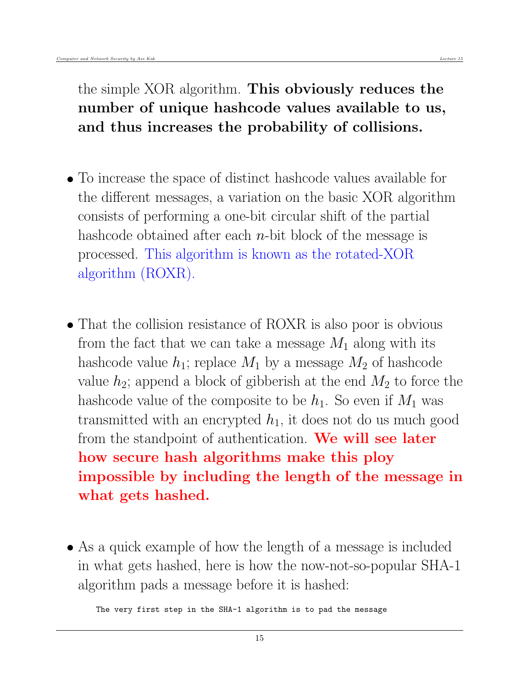the simple XOR algorithm. This obviously reduces the number of unique hashcode values available to us, and thus increases the probability of collisions.

- To increase the space of distinct hashcode values available for the different messages, a variation on the basic XOR algorithm consists of performing a one-bit circular shift of the partial hashcode obtained after each  $n$ -bit block of the message is processed. This algorithm is known as the rotated-XOR algorithm (ROXR).
- That the collision resistance of ROXR is also poor is obvious from the fact that we can take a message  $M_1$  along with its hashcode value  $h_1$ ; replace  $M_1$  by a message  $M_2$  of hashcode value  $h_2$ ; append a block of gibberish at the end  $M_2$  to force the hashcode value of the composite to be  $h_1$ . So even if  $M_1$  was transmitted with an encrypted  $h_1$ , it does not do us much good from the standpoint of authentication. We will see later how secure hash algorithms make this ploy impossible by including the length of the message in what gets hashed.
- As a quick example of how the length of a message is included in what gets hashed, here is how the now-not-so-popular SHA-1 algorithm pads a message before it is hashed:

The very first step in the SHA-1 algorithm is to pad the message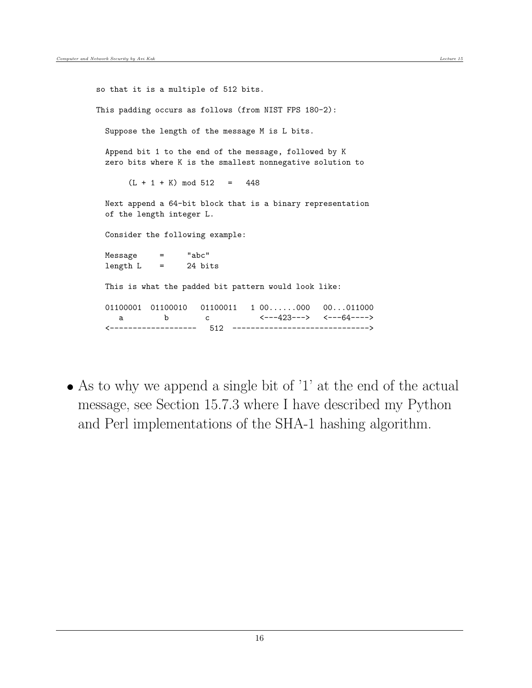```
so that it is a multiple of 512 bits.
This padding occurs as follows (from NIST FPS 180-2):
 Suppose the length of the message M is L bits.
 Append bit 1 to the end of the message, followed by K
 zero bits where K is the smallest nonnegative solution to
      (L + 1 + K) mod 512 = 448
 Next append a 64-bit block that is a binary representation
 of the length integer L.
 Consider the following example:
 Message = "abc"
 length L = 24 bits
 This is what the padded bit pattern would look like:
 01100001 01100010 01100011 1 00......000 00...011000
    a b c \leftarrow ---423---> \leftarrow---64---->
  <------------------- 512 ------------------------------>
```
 As to why we append a single bit of '1' at the end of the actual message, see Section 15.7.3 where I have described my Python and Perl implementations of the SHA-1 hashing algorithm.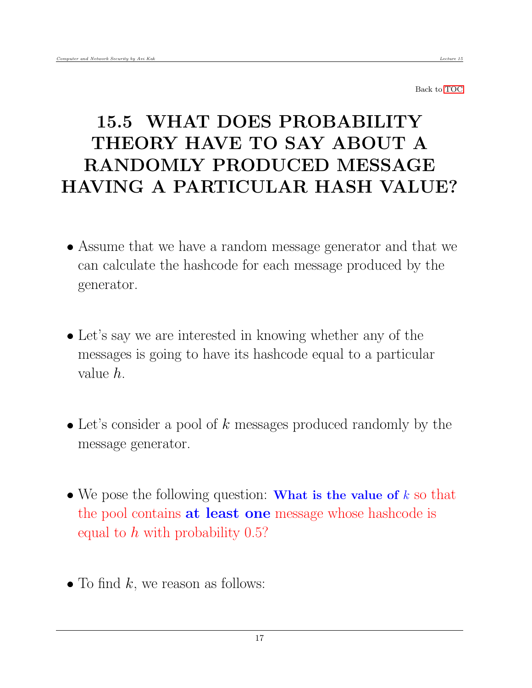# <span id="page-16-0"></span>15.5 WHAT DOES PROBABILITY THEORY HAVE TO SAY ABOUT A RANDOMLY PRODUCED MESSAGE HAVING A PARTICULAR HASH VALUE?

- Assume that we have a random message generator and that we can calculate the hashcode for each message produced by the generator.
- Let's say we are interested in knowing whether any of the messages is going to have its hashcode equal to a particular value h.
- $\bullet$  Let's consider a pool of k messages produced randomly by the message generator.
- We pose the following question: What is the value of  $k$  so that the pool contains at least one message whose hashcode is equal to  $h$  with probability 0.5?
- $\bullet$  To find k, we reason as follows: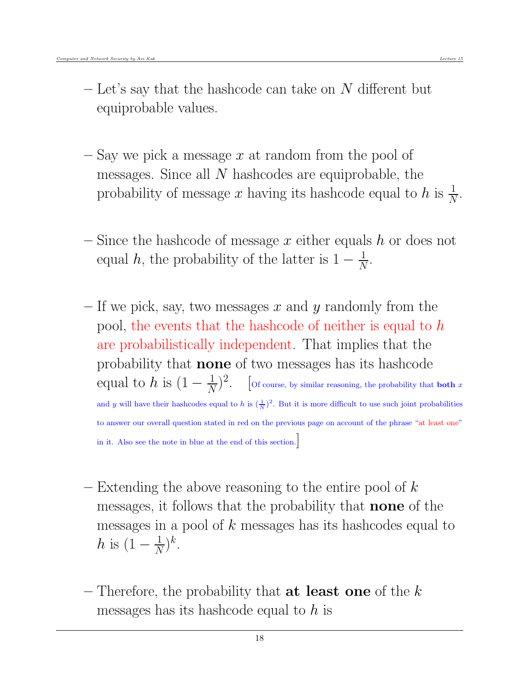- $-$  Let's say that the hashcode can take on N different but equiprobable values.
- $-$  Say we pick a message  $x$  at random from the pool of messages. Since all  $N$  hashcodes are equiprobable, the probability of message x having its hashcode equal to  $h$  is  $\frac{1}{N}$ .
- Since the hashcode of message x either equals h or does not equal h, the probability of the latter is  $1 - \frac{1}{N}$  $\frac{1}{N}$ .
- If we pick, say, two messages x and y randomly from the pool, the events that the hashcode of neither is equal to h are probabilistically independent. That implies that the probability that none of two messages has its hashcode equal to  $h$  is  $(1 - \frac{1}{N})$  $\frac{1}{N}$ )<sup>2</sup>. [Of course, by similar reasoning, the probability that **both** x and y will have their hashcodes equal to h is  $(\frac{1}{N})^2$ . But it is more difficult to use such joint probabilities to answer our overall question stated in red on the previous page on account of the phrase "at least one" in it. Also see the note in blue at the end of this section.]
- Extending the above reasoning to the entire pool of  $k$ messages, it follows that the probability that none of the messages in a pool of k messages has its hashcodes equal to h is  $(1-\frac{1}{N})$  $\frac{1}{N}$ )<sup>k</sup>.
- Therefore, the probability that **at least one** of the  $k$ messages has its hashcode equal to  $h$  is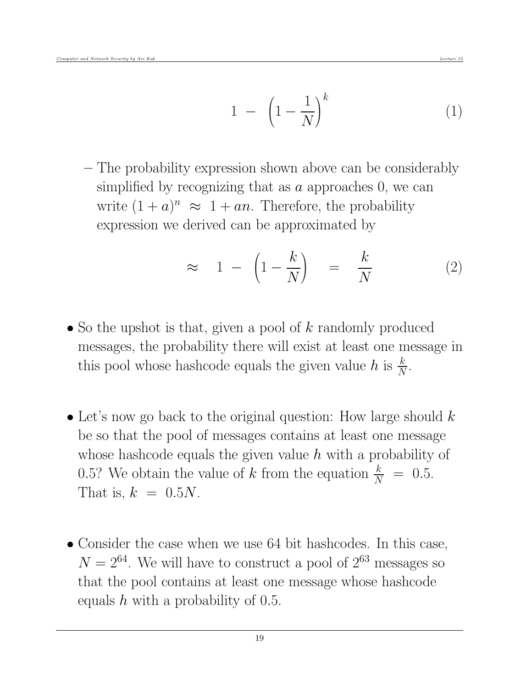– The probability expression shown above can be considerably simplified by recognizing that as  $\alpha$  approaches 0, we can write  $(1 + a)^n \approx 1 + an$ . Therefore, the probability expression we derived can be approximated by

$$
\approx 1 - \left(1 - \frac{k}{N}\right) = \frac{k}{N} \tag{2}
$$

- So the upshot is that, given a pool of  $k$  randomly produced messages, the probability there will exist at least one message in this pool whose hashcode equals the given value  $h$  is  $\frac{k}{N}$ .
- Let's now go back to the original question: How large should  $k$ be so that the pool of messages contains at least one message whose hashcode equals the given value  $h$  with a probability of 0.5? We obtain the value of k from the equation  $\frac{k}{N}$  = 0.5. That is,  $k = 0.5N$ .
- Consider the case when we use 64 bit hashcodes. In this case,  $N = 2^{64}$ . We will have to construct a pool of  $2^{63}$  messages so that the pool contains at least one message whose hashcode equals  $h$  with a probability of 0.5.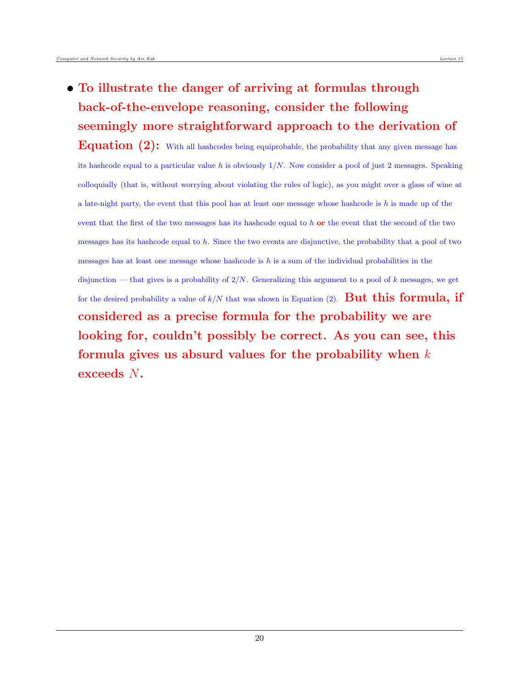To illustrate the danger of arriving at formulas through back-of-the-envelope reasoning, consider the following seemingly more straightforward approach to the derivation of

**Equation**  $(2)$ : With all hashcodes being equiprobable, the probability that any given message has its hashcode equal to a particular value h is obviously  $1/N$ . Now consider a pool of just 2 messages. Speaking colloquially (that is, without worrying about violating the rules of logic), as you might over a glass of wine at a late-night party, the event that this pool has at least one message whose hashcode is  $h$  is made up of the event that the first of the two messages has its hashcode equal to h or the event that the second of the two messages has its hashcode equal to  $h$ . Since the two events are disjunctive, the probability that a pool of two messages has at least one message whose hashcode is  $h$  is a sum of the individual probabilities in the disjunction — that gives is a probability of  $2/N$ . Generalizing this argument to a pool of k messages, we get for the desired probability a value of  $k/N$  that was shown in Equation (2). **But this formula, if** considered as a precise formula for the probability we are looking for, couldn't possibly be correct. As you can see, this formula gives us absurd values for the probability when  $k$ exceeds N.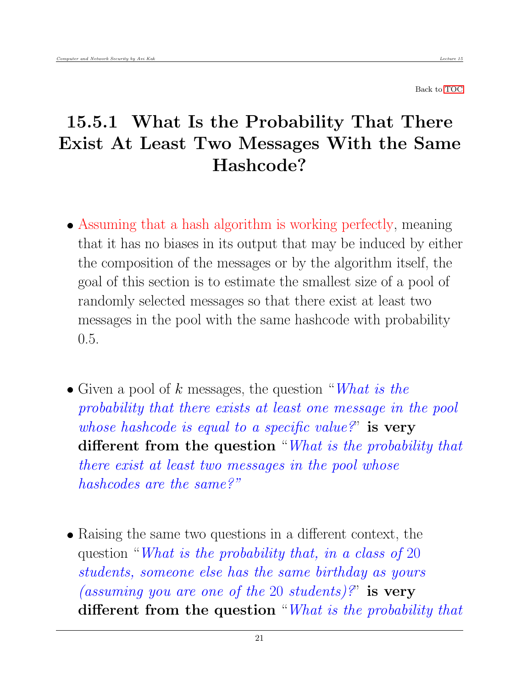### <span id="page-20-0"></span>15.5.1 What Is the Probability That There Exist At Least Two Messages With the Same Hashcode?

- Assuming that a hash algorithm is working perfectly, meaning that it has no biases in its output that may be induced by either the composition of the messages or by the algorithm itself, the goal of this section is to estimate the smallest size of a pool of randomly selected messages so that there exist at least two messages in the pool with the same hashcode with probability 0.5.
- Given a pool of k messages, the question "What is the probability that there exists at least one message in the pool whose hashcode is equal to a specific value?" is very different from the question "What is the probability that there exist at least two messages in the pool whose hashcodes are the same?"
- Raising the same two questions in a different context, the question "What is the probability that, in a class of 20 students, someone else has the same birthday as yours (assuming you are one of the 20 students)?" is very different from the question "What is the probability that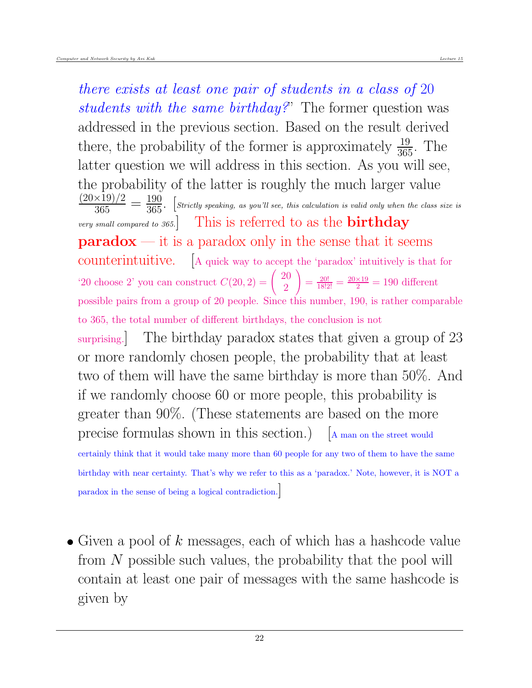there exists at least one pair of students in a class of 20 students with the same birthday?" The former question was addressed in the previous section. Based on the result derived there, the probability of the former is approximately  $\frac{19}{365}$ . The latter question we will address in this section. As you will see, the probability of the latter is roughly the much larger value  $\frac{(20\times19)/2}{365} = \frac{190}{365}$ . [Strictly speaking, as you'll see, this calculation is valid only when the class size is very small compared to 365. This is referred to as the **birthday**  $\mathbf{paradox}$  — it is a paradox only in the sense that it seems counterintuitive. [A quick way to accept the 'paradox' intuitively is that for '20 choose 2' you can construct  $C(20, 2) = \begin{pmatrix} 20 \\ 2 \end{pmatrix}$ 2  $\setminus$  $=\frac{20!}{18!2!} = \frac{20\times19}{2} = 190$  different possible pairs from a group of 20 people. Since this number, 190, is rather comparable to 365, the total number of different birthdays, the conclusion is not surprising. The birthday paradox states that given a group of 23 or more randomly chosen people, the probability that at least two of them will have the same birthday is more than 50%. And if we randomly choose 60 or more people, this probability is greater than 90%. (These statements are based on the more precise formulas shown in this section.) [A man on the street would certainly think that it would take many more than 60 people for any two of them to have the same birthday with near certainty. That's why we refer to this as a 'paradox.' Note, however, it is NOT a paradox in the sense of being a logical contradiction.]

• Given a pool of k messages, each of which has a hashcode value from  $N$  possible such values, the probability that the pool will contain at least one pair of messages with the same hashcode is given by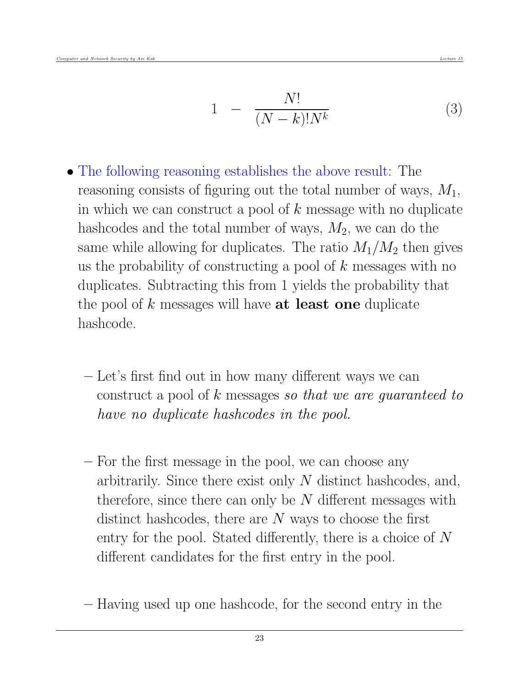$$
1 - \frac{N!}{(N-k)!N^k} \tag{3}
$$

- The following reasoning establishes the above result: The reasoning consists of figuring out the total number of ways,  $M_1$ , in which we can construct a pool of  $k$  message with no duplicate hashcodes and the total number of ways,  $M_2$ , we can do the same while allowing for duplicates. The ratio  $M_1/M_2$  then gives us the probability of constructing a pool of  $k$  messages with no duplicates. Subtracting this from 1 yields the probability that the pool of  $k$  messages will have **at least one** duplicate hashcode.
	- Let's first find out in how many different ways we can construct a pool of k messages so that we are guaranteed to have no duplicate hashcodes in the pool.
	- For the first message in the pool, we can choose any arbitrarily. Since there exist only N distinct hashcodes, and, therefore, since there can only be  $N$  different messages with distinct hashcodes, there are  $N$  ways to choose the first entry for the pool. Stated differently, there is a choice of N different candidates for the first entry in the pool.
	- Having used up one hashcode, for the second entry in the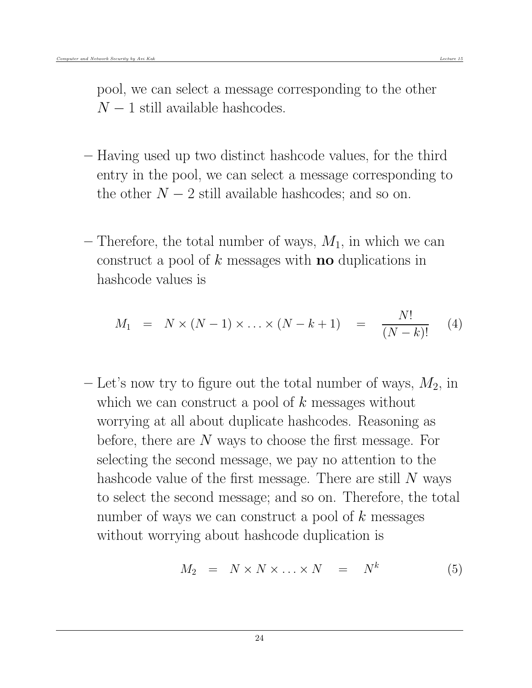pool, we can select a message corresponding to the other  $N-1$  still available hashcodes.

- Having used up two distinct hashcode values, for the third entry in the pool, we can select a message corresponding to the other  $N-2$  still available hashcodes; and so on.
- Therefore, the total number of ways,  $M_1$ , in which we can construct a pool of  $k$  messages with **no** duplications in hashcode values is

$$
M_1 = N \times (N-1) \times \ldots \times (N-k+1) = \frac{N!}{(N-k)!}
$$
 (4)

 $-$  Let's now try to figure out the total number of ways,  $M_2$ , in which we can construct a pool of  $k$  messages without worrying at all about duplicate hashcodes. Reasoning as before, there are N ways to choose the first message. For selecting the second message, we pay no attention to the hashcode value of the first message. There are still  $N$  ways to select the second message; and so on. Therefore, the total number of ways we can construct a pool of  $k$  messages without worrying about hashcode duplication is

$$
M_2 = N \times N \times \ldots \times N = N^k \tag{5}
$$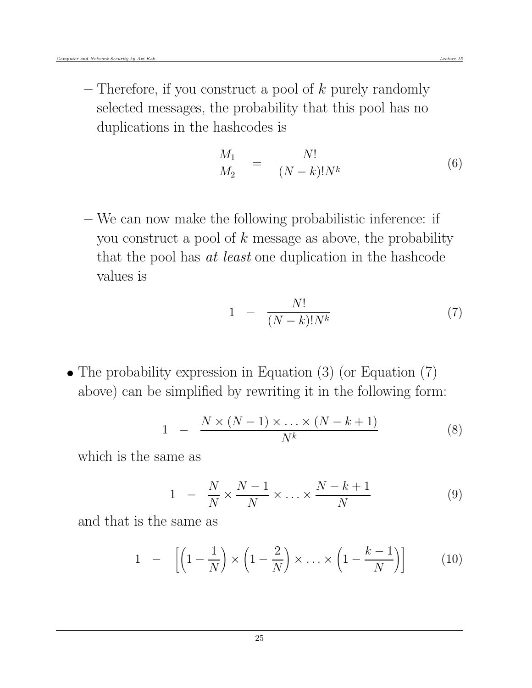– Therefore, if you construct a pool of  $k$  purely randomly selected messages, the probability that this pool has no duplications in the hashcodes is

$$
\frac{M_1}{M_2} = \frac{N!}{(N-k)!N^k} \tag{6}
$$

– We can now make the following probabilistic inference: if you construct a pool of  $k$  message as above, the probability that the pool has at least one duplication in the hashcode values is

$$
1 - \frac{N!}{(N-k)!N^k} \tag{7}
$$

• The probability expression in Equation (3) (or Equation (7) above) can be simplified by rewriting it in the following form:

$$
1 - \frac{N \times (N-1) \times \ldots \times (N-k+1)}{N^k} \tag{8}
$$

which is the same as

$$
1 - \frac{N}{N} \times \frac{N-1}{N} \times \ldots \times \frac{N-k+1}{N}
$$
 (9)

and that is the same as

$$
1 - \left[ \left( 1 - \frac{1}{N} \right) \times \left( 1 - \frac{2}{N} \right) \times \ldots \times \left( 1 - \frac{k-1}{N} \right) \right] \tag{10}
$$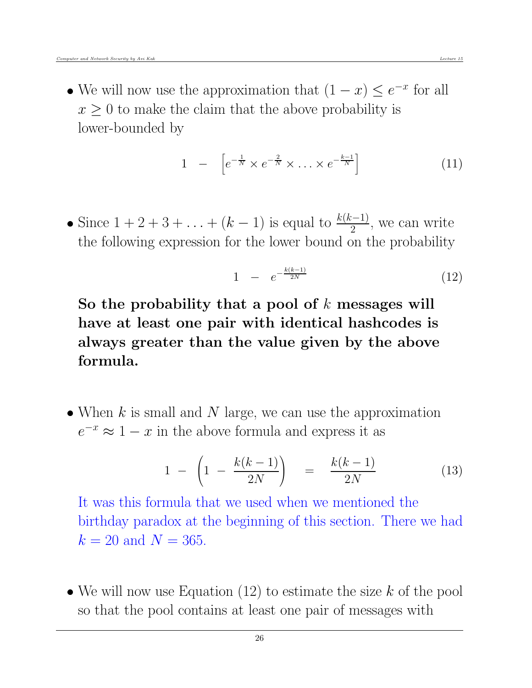• We will now use the approximation that  $(1-x) \le e^{-x}$  for all  $x \geq 0$  to make the claim that the above probability is lower-bounded by

$$
1 - \left[ e^{-\frac{1}{N}} \times e^{-\frac{2}{N}} \times \ldots \times e^{-\frac{k-1}{N}} \right] \tag{11}
$$

• Since  $1 + 2 + 3 + \ldots + (k - 1)$  is equal to  $\frac{k(k-1)}{2}$ , we can write the following expression for the lower bound on the probability

$$
1 - e^{-\frac{k(k-1)}{2N}} \tag{12}
$$

So the probability that a pool of  $k$  messages will have at least one pair with identical hashcodes is always greater than the value given by the above formula.

 $\bullet$  When  $k$  is small and  $N$  large, we can use the approximation  $e^{-x} \approx 1 - x$  in the above formula and express it as

$$
1 - \left(1 - \frac{k(k-1)}{2N}\right) = \frac{k(k-1)}{2N} \tag{13}
$$

It was this formula that we used when we mentioned the birthday paradox at the beginning of this section. There we had  $k = 20$  and  $N = 365$ .

• We will now use Equation  $(12)$  to estimate the size k of the pool so that the pool contains at least one pair of messages with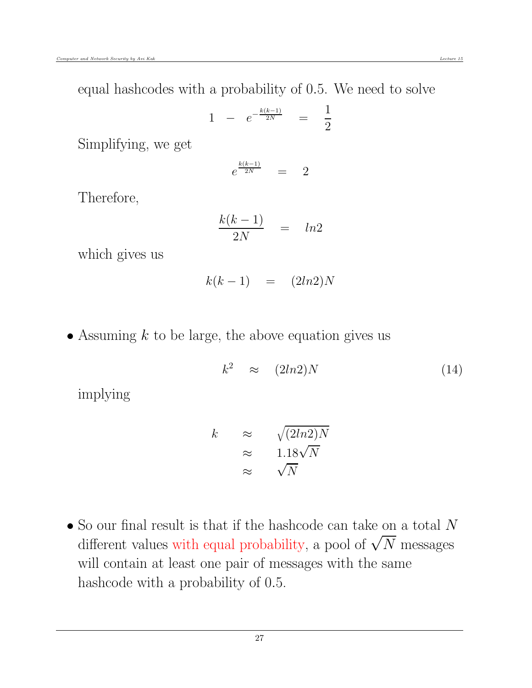equal hashcodes with a probability of 0.5. We need to solve

$$
1 - e^{-\frac{k(k-1)}{2N}} = \frac{1}{2}
$$

Simplifying, we get

$$
e^{\frac{k(k-1)}{2N}} = 2
$$

Therefore,

$$
\frac{k(k-1)}{2N} = ln2
$$

which gives us

$$
k(k-1) = (2ln2)N
$$

• Assuming  $k$  to be large, the above equation gives us

$$
k^2 \approx (2ln2)N \tag{14}
$$

implying

$$
k \approx \sqrt{(2ln2)N}
$$
  
\n
$$
\approx 1.18\sqrt{N}
$$
  
\n
$$
\approx \sqrt{N}
$$

 $\bullet$  So our final result is that if the hashcode can take on a total  $N$ different values with equal probability, a pool of  $\sqrt{N}$  messages will contain at least one pair of messages with the same hashcode with a probability of 0.5.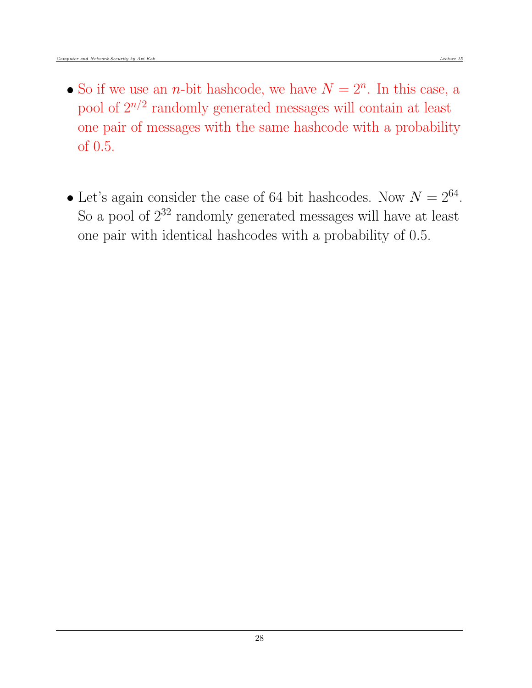- So if we use an *n*-bit hashcode, we have  $N = 2<sup>n</sup>$ . In this case, a pool of  $2^{n/2}$  randomly generated messages will contain at least one pair of messages with the same hashcode with a probability of 0.5.
- Let's again consider the case of 64 bit hashcodes. Now  $N = 2^{64}$ . So a pool of  $2^{32}$  randomly generated messages will have at least one pair with identical hashcodes with a probability of 0.5.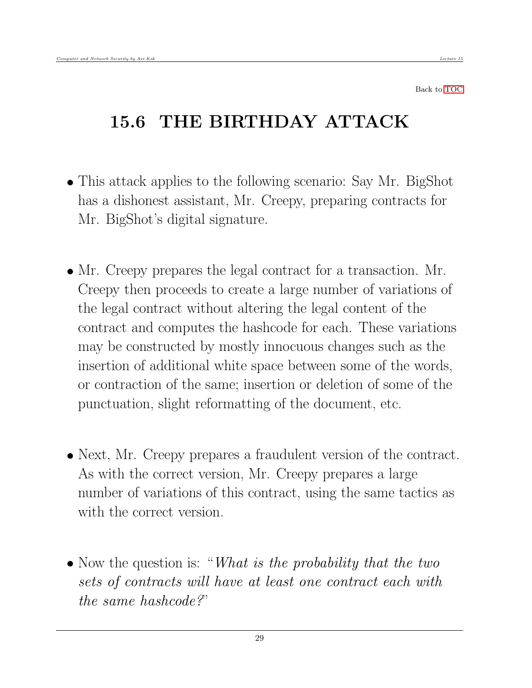## <span id="page-28-0"></span>15.6 THE BIRTHDAY ATTACK

- This attack applies to the following scenario: Say Mr. BigShot has a dishonest assistant, Mr. Creepy, preparing contracts for Mr. BigShot's digital signature.
- Mr. Creepy prepares the legal contract for a transaction. Mr. Creepy then proceeds to create a large number of variations of the legal contract without altering the legal content of the contract and computes the hashcode for each. These variations may be constructed by mostly innocuous changes such as the insertion of additional white space between some of the words, or contraction of the same; insertion or deletion of some of the punctuation, slight reformatting of the document, etc.
- Next, Mr. Creepy prepares a fraudulent version of the contract. As with the correct version, Mr. Creepy prepares a large number of variations of this contract, using the same tactics as with the correct version.
- $\bullet$  Now the question is: "What is the probability that the two sets of contracts will have at least one contract each with the same hashcode?"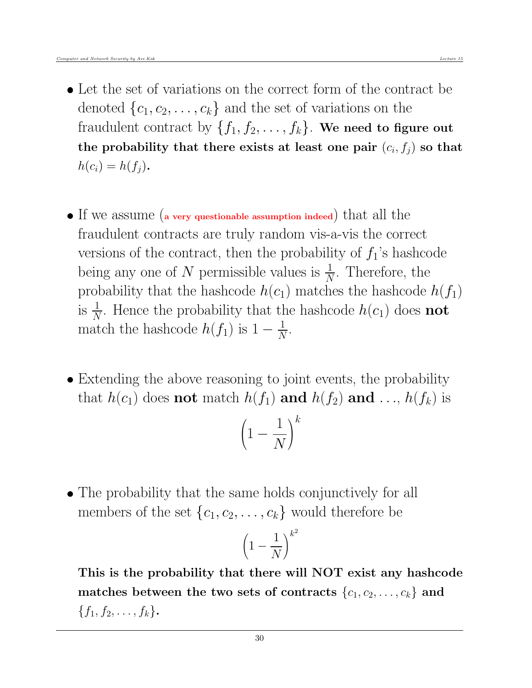- Let the set of variations on the correct form of the contract be denoted  $\{c_1, c_2, \ldots, c_k\}$  and the set of variations on the fraudulent contract by  $\{f_1, f_2, \ldots, f_k\}$ . We need to figure out the probability that there exists at least one pair  $(c_i, f_j)$  so that  $h(c_i) = h(f_i)$ .
- If we assume (a very questionable assumption indeed) that all the fraudulent contracts are truly random vis-a-vis the correct versions of the contract, then the probability of  $f_1$ 's hashcode being any one of N permissible values is  $\frac{1}{N}$ . Therefore, the probability that the hashcode  $h(c_1)$  matches the hashcode  $h(f_1)$ is  $\frac{1}{N}$ . Hence the probability that the hashcode  $h(c_1)$  does **not** match the hashcode  $h(f_1)$  is  $1 - \frac{1}{N}$  $\frac{1}{N}$ .
- Extending the above reasoning to joint events, the probability that  $h(c_1)$  does **not** match  $h(f_1)$  **and**  $h(f_2)$  **and** ...,  $h(f_k)$  is

$$
\left(1 - \frac{1}{N}\right)^k
$$

 The probability that the same holds conjunctively for all members of the set  $\{c_1, c_2, \ldots, c_k\}$  would therefore be

$$
\left(1 - \frac{1}{N}\right)^{k^2}
$$

This is the probability that there will NOT exist any hashcode matches between the two sets of contracts  $\{c_1, c_2, \ldots, c_k\}$  and  ${f_1, f_2, \ldots, f_k}.$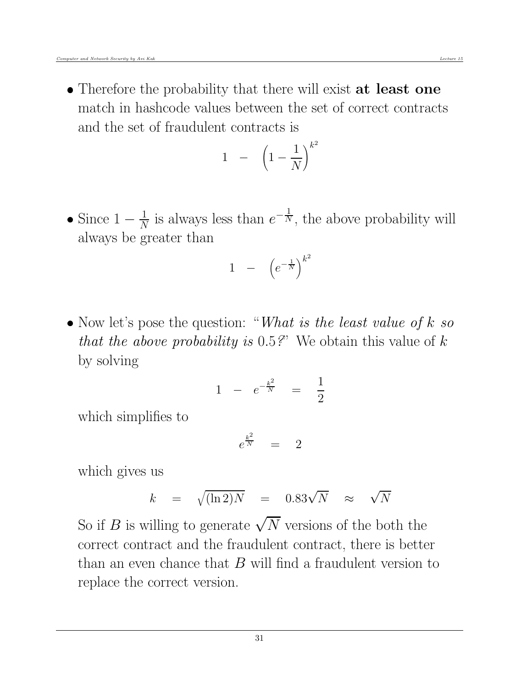• Therefore the probability that there will exist at least one match in hashcode values between the set of correct contracts and the set of fraudulent contracts is

$$
1 - \left(1 - \frac{1}{N}\right)^{k^2}
$$

• Since  $1-\frac{1}{N}$  $\frac{1}{N}$  is always less than  $e^{-\frac{1}{N}}$ , the above probability will always be greater than

$$
1 - \left(e^{-\frac{1}{N}}\right)^{k^2}
$$

 $\bullet$  Now let's pose the question: "What is the least value of k so that the above probability is  $0.5$ ?" We obtain this value of k by solving

$$
1 - e^{-\frac{k^2}{N}} = \frac{1}{2}
$$

which simplifies to

$$
e^{\frac{k^2}{N}} = 2
$$

which gives us

$$
k = \sqrt{(\ln 2)N} = 0.83\sqrt{N} \approx \sqrt{N}
$$

So if B is willing to generate  $\sqrt{N}$  versions of the both the correct contract and the fraudulent contract, there is better than an even chance that  $B$  will find a fraudulent version to replace the correct version.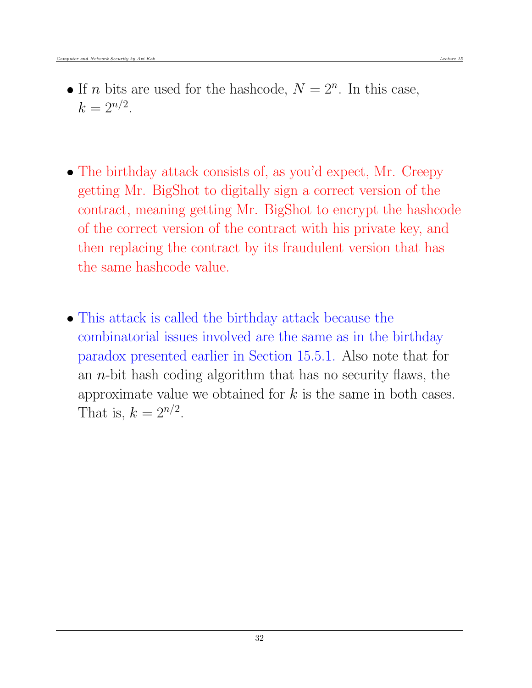- If *n* bits are used for the hashcode,  $N = 2<sup>n</sup>$ . In this case,  $k = 2^{n/2}$ .
- The birthday attack consists of, as you'd expect, Mr. Creepy getting Mr. BigShot to digitally sign a correct version of the contract, meaning getting Mr. BigShot to encrypt the hashcode of the correct version of the contract with his private key, and then replacing the contract by its fraudulent version that has the same hashcode value.
- This attack is called the birthday attack because the combinatorial issues involved are the same as in the birthday paradox presented earlier in Section 15.5.1. Also note that for an  $n$ -bit hash coding algorithm that has no security flaws, the approximate value we obtained for  $k$  is the same in both cases. That is,  $k = 2^{n/2}$ .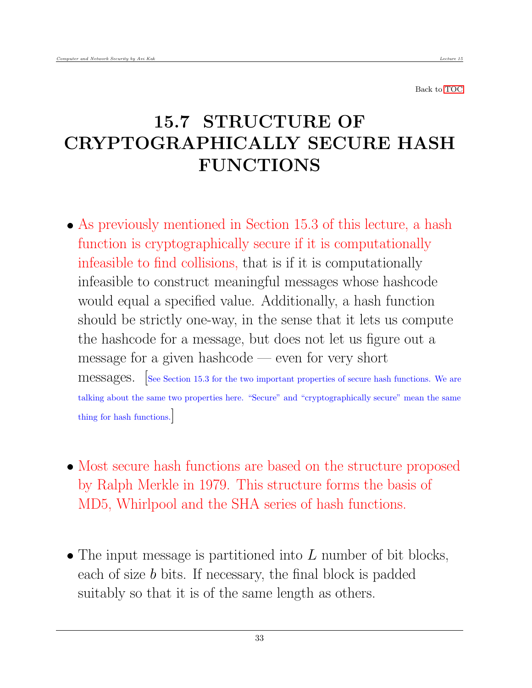### <span id="page-32-0"></span>15.7 STRUCTURE OF CRYPTOGRAPHICALLY SECURE HASH FUNCTIONS

- As previously mentioned in Section 15.3 of this lecture, a hash function is cryptographically secure if it is computationally infeasible to find collisions, that is if it is computationally infeasible to construct meaningful messages whose hashcode would equal a specified value. Additionally, a hash function should be strictly one-way, in the sense that it lets us compute the hashcode for a message, but does not let us figure out a message for a given hashcode — even for very short messages. [See Section 15.3 for the two important properties of secure hash functions. We are talking about the same two properties here. "Secure" and "cryptographically secure" mean the same thing for hash functions.]
- Most secure hash functions are based on the structure proposed by Ralph Merkle in 1979. This structure forms the basis of MD5, Whirlpool and the SHA series of hash functions.
- $\bullet$  The input message is partitioned into L number of bit blocks, each of size b bits. If necessary, the final block is padded suitably so that it is of the same length as others.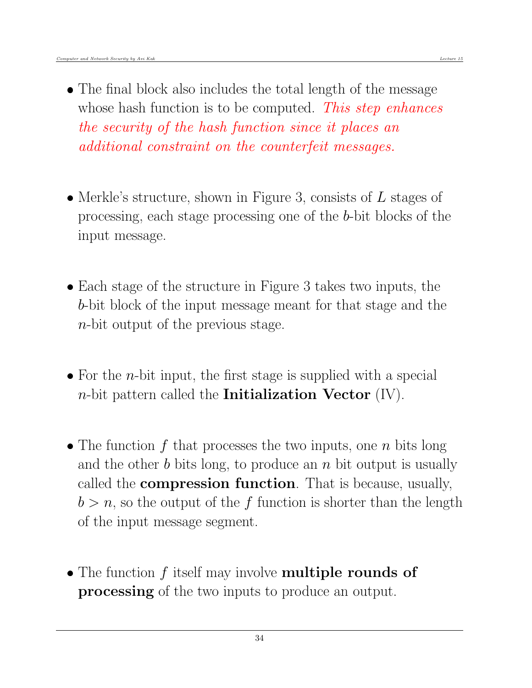- The final block also includes the total length of the message whose hash function is to be computed. This step enhances the security of the hash function since it places an additional constraint on the counterfeit messages.
- Merkle's structure, shown in Figure 3, consists of  $L$  stages of processing, each stage processing one of the b-bit blocks of the input message.
- Each stage of the structure in Figure 3 takes two inputs, the b-bit block of the input message meant for that stage and the n-bit output of the previous stage.
- For the *n*-bit input, the first stage is supplied with a special *n*-bit pattern called the **Initialization Vector**  $(IV)$ .
- The function  $f$  that processes the two inputs, one  $n$  bits long and the other  $b$  bits long, to produce an  $n$  bit output is usually called the compression function. That is because, usually,  $b > n$ , so the output of the f function is shorter than the length of the input message segment.
- The function f itself may involve **multiple rounds of processing** of the two inputs to produce an output.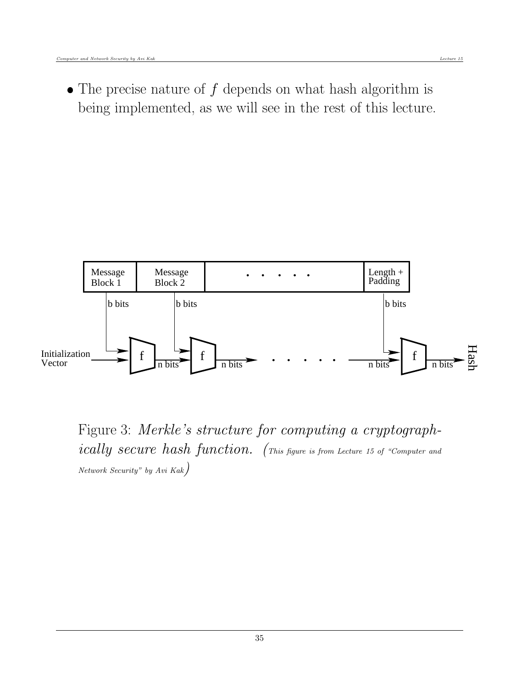$\bullet$  The precise nature of  $f$  depends on what hash algorithm is being implemented, as we will see in the rest of this lecture.



Figure 3: Merkle's structure for computing a cryptographically secure hash function. (This figure is from Lecture 15 of "Computer and  $Network$  Security" by Avi Kak $)$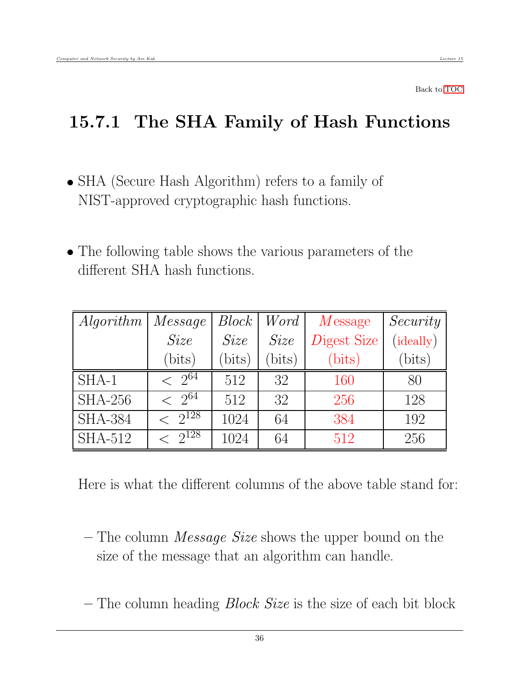#### <span id="page-35-0"></span>15.7.1 The SHA Family of Hash Functions

- SHA (Secure Hash Algorithm) refers to a family of NIST-approved cryptographic hash functions.
- The following table shows the various parameters of the different SHA hash functions.

| <i>Algorithm</i> | Message                  | $Block \mid$ | Word   | $M$ essage  | Security  |
|------------------|--------------------------|--------------|--------|-------------|-----------|
|                  | Size                     | Size         | Size   | Digest Size | (ideally) |
|                  | (bits)                   | (bits)       | (bits) | (bits)      | (bits)    |
| $SHA-1$          | $\leq 2^{64}$            | 512          | 32     | 160         | 80        |
| $SHA-256$        | $\langle 2^{64} \rangle$ | 512          | 32     | 256         | 128       |
| <b>SHA-384</b>   | $\leq 2^{128}$           | 1024         | 64     | 384         | 192       |
| <b>SHA-512</b>   | $\leq 2^{128}$           | 1024         | 64     | 512         | 256       |

Here is what the different columns of the above table stand for:

- The column Message Size shows the upper bound on the size of the message that an algorithm can handle.
- The column heading  $Block Size$  is the size of each bit block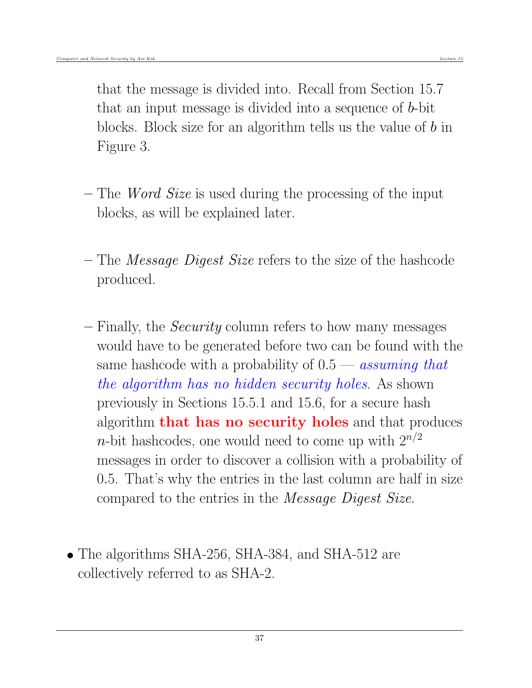that the message is divided into. Recall from Section 15.7 that an input message is divided into a sequence of b-bit blocks. Block size for an algorithm tells us the value of b in Figure 3.

- The Word Size is used during the processing of the input blocks, as will be explained later.
- The Message Digest Size refers to the size of the hashcode produced.
- Finally, the Security column refers to how many messages would have to be generated before two can be found with the same hashcode with a probability of  $0.5 -$  assuming that the algorithm has no hidden security holes. As shown previously in Sections 15.5.1 and 15.6, for a secure hash algorithm that has no security holes and that produces *n*-bit hashcodes, one would need to come up with  $2^{n/2}$ messages in order to discover a collision with a probability of 0.5. That's why the entries in the last column are half in size compared to the entries in the Message Digest Size.
- The algorithms SHA-256, SHA-384, and SHA-512 are collectively referred to as SHA-2.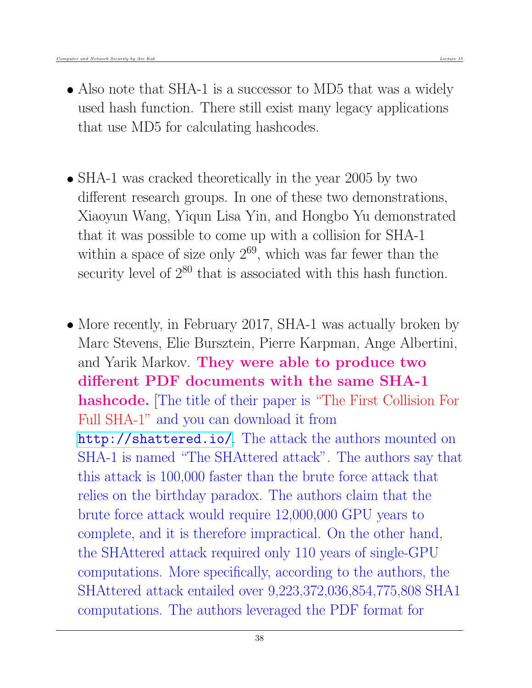- Also note that SHA-1 is a successor to MD5 that was a widely used hash function. There still exist many legacy applications that use MD5 for calculating hashcodes.
- SHA-1 was cracked theoretically in the year 2005 by two different research groups. In one of these two demonstrations, Xiaoyun Wang, Yiqun Lisa Yin, and Hongbo Yu demonstrated that it was possible to come up with a collision for SHA-1 within a space of size only  $2^{69}$ , which was far fewer than the security level of  $2^{80}$  that is associated with this hash function.
- More recently, in February 2017, SHA-1 was actually broken by Marc Stevens, Elie Bursztein, Pierre Karpman, Ange Albertini, and Yarik Markov. They were able to produce two different PDF documents with the same SHA-1 hashcode. The title of their paper is "The First Collision For Full SHA-1" and you can download it from <http://shattered.io/>. The attack the authors mounted on SHA-1 is named "The SHAttered attack". The authors say that this attack is 100,000 faster than the brute force attack that relies on the birthday paradox. The authors claim that the brute force attack would require 12,000,000 GPU years to complete, and it is therefore impractical. On the other hand, the SHAttered attack required only 110 years of single-GPU computations. More specifically, according to the authors, the SHAttered attack entailed over 9,223,372,036,854,775,808 SHA1 computations. The authors leveraged the PDF format for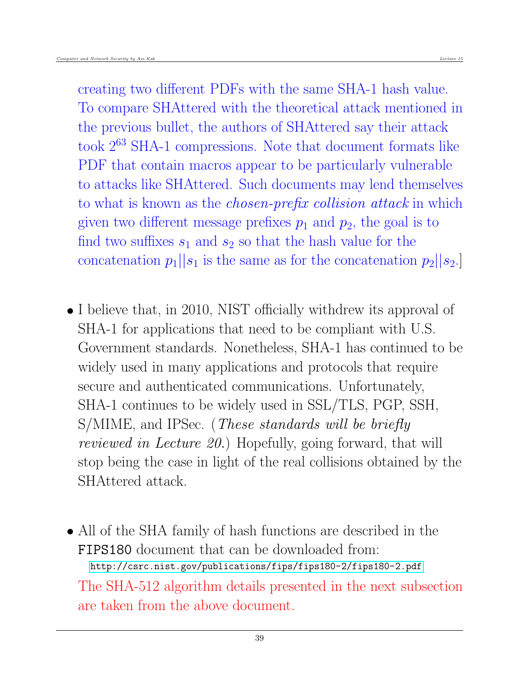creating two different PDFs with the same SHA-1 hash value. To compare SHAttered with the theoretical attack mentioned in the previous bullet, the authors of SHAttered say their attack took 2<sup>63</sup> SHA-1 compressions. Note that document formats like PDF that contain macros appear to be particularly vulnerable to attacks like SHAttered. Such documents may lend themselves to what is known as the *chosen-prefix collision attack* in which given two different message prefixes  $p_1$  and  $p_2$ , the goal is to find two suffixes  $s_1$  and  $s_2$  so that the hash value for the concatenation  $p_1||s_1$  is the same as for the concatenation  $p_2||s_2$ .

- I believe that, in 2010, NIST officially withdrew its approval of SHA-1 for applications that need to be compliant with U.S. Government standards. Nonetheless, SHA-1 has continued to be widely used in many applications and protocols that require secure and authenticated communications. Unfortunately, SHA-1 continues to be widely used in SSL/TLS, PGP, SSH, S/MIME, and IPSec. (*These standards will be briefly* reviewed in Lecture 20.) Hopefully, going forward, that will stop being the case in light of the real collisions obtained by the SHAttered attack.
- All of the SHA family of hash functions are described in the FIPS180 document that can be downloaded from: <http://csrc.nist.gov/publications/fips/fips180-2/fips180-2.pdf> The SHA-512 algorithm details presented in the next subsection are taken from the above document.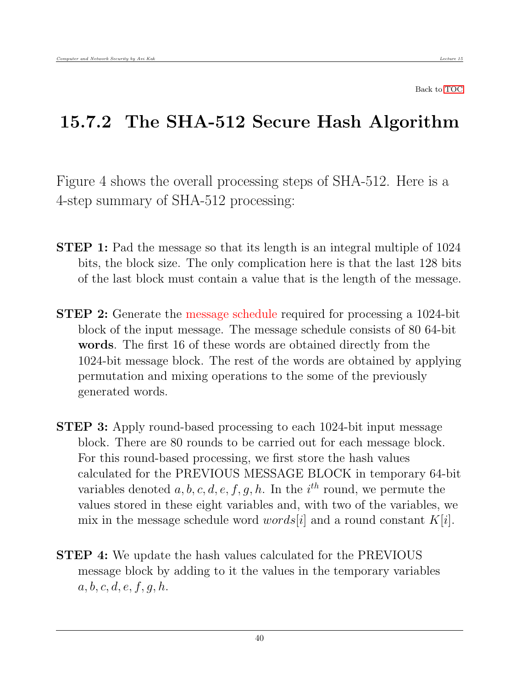Back to [TOC](#page-1-0)

#### 15.7.2 The SHA-512 Secure Hash Algorithm

Figure 4 shows the overall processing steps of SHA-512. Here is a 4-step summary of SHA-512 processing:

- **STEP 1:** Pad the message so that its length is an integral multiple of 1024 bits, the block size. The only complication here is that the last 128 bits of the last block must contain a value that is the length of the message.
- **STEP 2:** Generate the message schedule required for processing a 1024-bit block of the input message. The message schedule consists of 80 64-bit words. The first 16 of these words are obtained directly from the 1024-bit message block. The rest of the words are obtained by applying permutation and mixing operations to the some of the previously generated words.
- STEP 3: Apply round-based processing to each 1024-bit input message block. There are 80 rounds to be carried out for each message block. For this round-based processing, we first store the hash values calculated for the PREVIOUS MESSAGE BLOCK in temporary 64-bit variables denoted  $a, b, c, d, e, f, g, h$ . In the i<sup>th</sup> round, we permute the values stored in these eight variables and, with two of the variables, we mix in the message schedule word *words* |i| and a round constant  $K[i]$ .
- **STEP 4:** We update the hash values calculated for the PREVIOUS message block by adding to it the values in the temporary variables  $a, b, c, d, e, f, g, h.$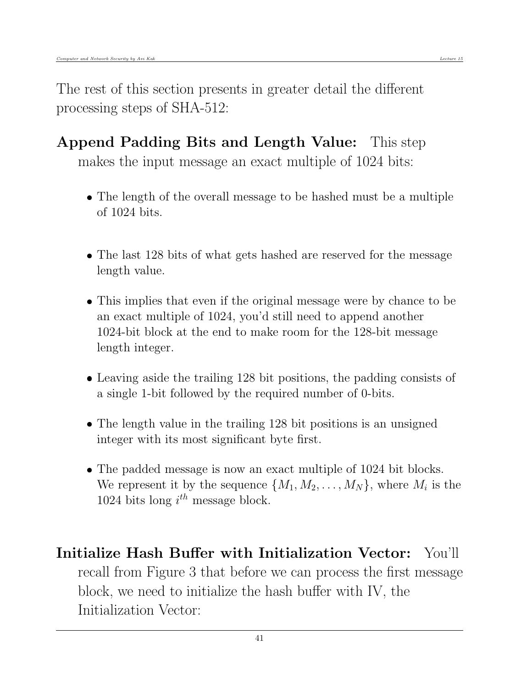The rest of this section presents in greater detail the different processing steps of SHA-512:

- Append Padding Bits and Length Value: This step makes the input message an exact multiple of 1024 bits:
	- The length of the overall message to be hashed must be a multiple of 1024 bits.
	- The last 128 bits of what gets hashed are reserved for the message length value.
	- This implies that even if the original message were by chance to be an exact multiple of 1024, you'd still need to append another 1024-bit block at the end to make room for the 128-bit message length integer.
	- Leaving aside the trailing 128 bit positions, the padding consists of a single 1-bit followed by the required number of 0-bits.
	- The length value in the trailing 128 bit positions is an unsigned integer with its most significant byte first.
	- The padded message is now an exact multiple of 1024 bit blocks. We represent it by the sequence  $\{M_1, M_2, \ldots, M_N\}$ , where  $M_i$  is the 1024 bits long  $i^{th}$  message block.
- Initialize Hash Buffer with Initialization Vector: You'll recall from Figure 3 that before we can process the first message block, we need to initialize the hash buffer with IV, the Initialization Vector: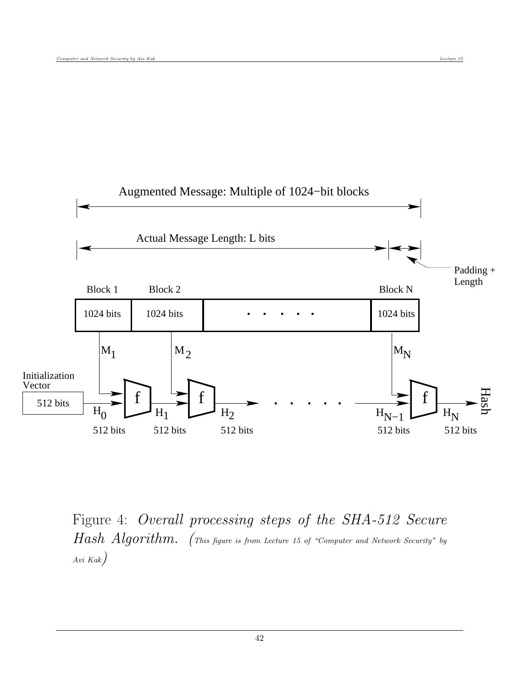

Figure 4: Overall processing steps of the SHA-512 Secure Hash Algorithm. (This figure is from Lecture 15 of "Computer and Network Security" by Avi Kak)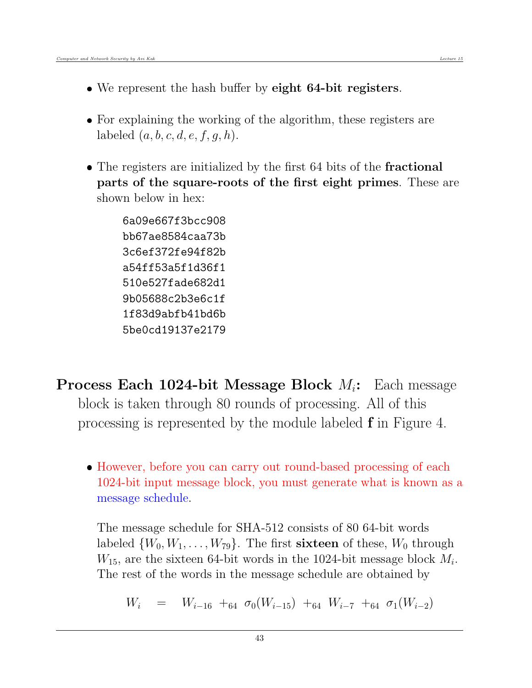- We represent the hash buffer by eight 64-bit registers.
- For explaining the working of the algorithm, these registers are labeled  $(a, b, c, d, e, f, g, h)$ .
- The registers are initialized by the first 64 bits of the **fractional** parts of the square-roots of the first eight primes. These are shown below in hex:

6a09e667f3bcc908 bb67ae8584caa73b 3c6ef372fe94f82b a54ff53a5f1d36f1 510e527fade682d1 9b05688c2b3e6c1f 1f83d9abfb41bd6b 5be0cd19137e2179

- **Process Each 1024-bit Message Block**  $M_i$ : Each message block is taken through 80 rounds of processing. All of this processing is represented by the module labeled f in Figure 4.
	- However, before you can carry out round-based processing of each 1024-bit input message block, you must generate what is known as a message schedule.

The message schedule for SHA-512 consists of 80 64-bit words labeled  $\{W_0, W_1, \ldots, W_{79}\}$ . The first **sixteen** of these,  $W_0$  through  $W_{15}$ , are the sixteen 64-bit words in the 1024-bit message block  $M_i$ . The rest of the words in the message schedule are obtained by

 $W_i = W_{i-16} + a_4 \sigma_0 (W_{i-15}) + a_4 W_{i-7} + a_4 \sigma_1 (W_{i-2})$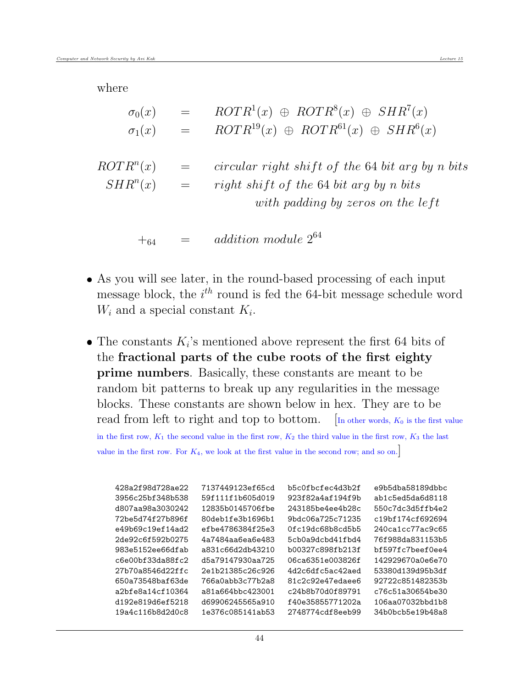where

| $\sigma_0(x)$         |                 | $ROTR1(x) \oplus ROTR8(x) \oplus SHR7(x)$            |
|-----------------------|-----------------|------------------------------------------------------|
| $\sigma_1(x)$         | $=$             | $ROTR^{19}(x) \oplus ROTR^{61}(x) \oplus SHR^{6}(x)$ |
|                       |                 |                                                      |
| ROTR <sup>n</sup> (x) | $\!\!\!=\!\!\!$ | circular right shift of the 64 bit arg by n bits     |
| $SHR^n(x)$            | $\equiv$        | right shift of the 64 bit arg by n bits              |
|                       |                 | with padding by zeros on the left                    |
|                       |                 |                                                      |
|                       |                 | addition module $2^{64}$                             |

- As you will see later, in the round-based processing of each input message block, the  $i^{th}$  round is fed the 64-bit message schedule word  $W_i$  and a special constant  $K_i$ .
- The constants  $K_i$ 's mentioned above represent the first 64 bits of the fractional parts of the cube roots of the first eighty prime numbers. Basically, these constants are meant to be random bit patterns to break up any regularities in the message blocks. These constants are shown below in hex. They are to be read from left to right and top to bottom.  $\vert$  In other words,  $K_0$  is the first value in the first row,  $K_1$  the second value in the first row,  $K_2$  the third value in the first row,  $K_3$  the last

value in the first row. For  $K_4$ , we look at the first value in the second row; and so on.

| 428a2f98d728ae22 | 7137449123ef65cd | b5c0fbcfec4d3b2f | e9b5dba58189dbbc |
|------------------|------------------|------------------|------------------|
| 3956c25bf348b538 | 59f111f1b605d019 | 923f82a4af194f9b | ab1c5ed5da6d8118 |
| d807aa98a3030242 | 12835b0145706fbe | 243185be4ee4b28c | 550c7dc3d5ffb4e2 |
| 72be5d74f27b896f | 80deb1fe3b1696b1 | 9bdc06a725c71235 | c19bf174cf692694 |
| e49b69c19ef14ad2 | efbe4786384f25e3 | 0fc19dc68b8cd5b5 | 240ca1cc77ac9c65 |
| 2de92c6f592b0275 | 4a7484aa6ea6e483 | 5cb0a9dcbd41fbd4 | 76f988da831153b5 |
| 983e5152ee66dfab | a831c66d2db43210 | b00327c898fb213f | bf597fc7beef0ee4 |
| c6e00bf33da88fc2 | d5a79147930aa725 | 06ca6351e003826f | 142929670a0e6e70 |
| 27b70a8546d22ffc | 2e1b21385c26c926 | 4d2c6dfc5ac42aed | 53380d139d95b3df |
| 650a73548baf63de | 766a0abb3c77b2a8 | 81c2c92e47edaee6 | 92722c851482353b |
| a2bfe8a14cf10364 | a81a664bbc423001 | c24b8b70d0f89791 | c76c51a30654be30 |
| d192e819d6ef5218 | d69906245565a910 | f40e35855771202a | 106aa07032bbd1b8 |
| 19a4c116b8d2d0c8 | 1e376c085141ab53 | 2748774cdf8eeb99 | 34b0bcb5e19b48a8 |
|                  |                  |                  |                  |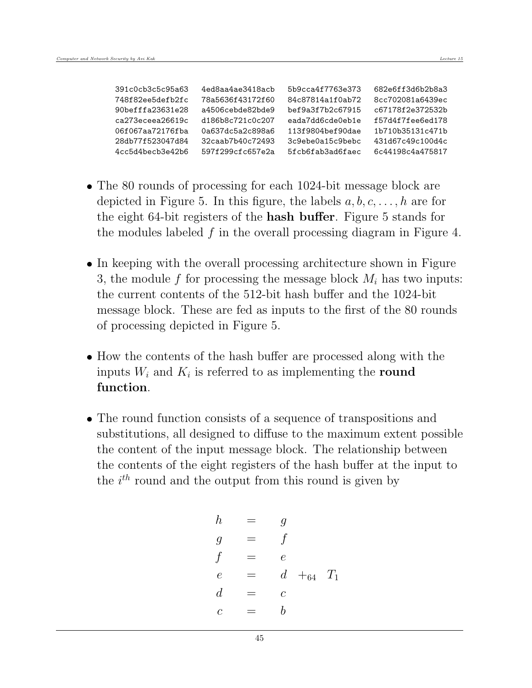| 391c0cb3c5c95a63 | 4ed8aa4ae3418acb | 5b9cca4f7763e373 | 682e6ff3d6b2b8a3 |
|------------------|------------------|------------------|------------------|
| 748f82ee5defb2fc | 78a5636f43172f60 | 84c87814a1f0ab72 | 8cc702081a6439ec |
| 90befffa23631e28 | a4506cebde82bde9 | bef9a3f7b2c67915 | c67178f2e372532b |
| ca273eceea26619c | d186b8c721c0c207 | eada7dd6cde0eb1e | f57d4f7fee6ed178 |
| 06f067aa72176fba | 0a637dc5a2c898a6 | 113f9804bef90dae | 1b710b35131c471b |
| 28db77f523047d84 | 32caab7b40c72493 | 3c9ebe0a15c9bebc | 431d67c49c100d4c |
| 4cc5d4becb3e42b6 | 597f299cfc657e2a | 5fcb6fab3ad6faec | 6c44198c4a475817 |

- The 80 rounds of processing for each 1024-bit message block are depicted in Figure 5. In this figure, the labels  $a, b, c, \ldots, h$  are for the eight 64-bit registers of the hash buffer. Figure 5 stands for the modules labeled  $f$  in the overall processing diagram in Figure 4.
- In keeping with the overall processing architecture shown in Figure 3, the module f for processing the message block  $M_i$  has two inputs: the current contents of the 512-bit hash buffer and the 1024-bit message block. These are fed as inputs to the first of the 80 rounds of processing depicted in Figure 5.
- How the contents of the hash buffer are processed along with the inputs  $W_i$  and  $K_i$  is referred to as implementing the round function.
- The round function consists of a sequence of transpositions and substitutions, all designed to diffuse to the maximum extent possible the content of the input message block. The relationship between the contents of the eight registers of the hash buffer at the input to the  $i^{th}$  round and the output from this round is given by

$$
\begin{array}{rcl}\nh & = & g \\
g & = & f \\
f & = & e \\
e & = & d + 64 \\
d & = & c \\
c & = & b\n\end{array}
$$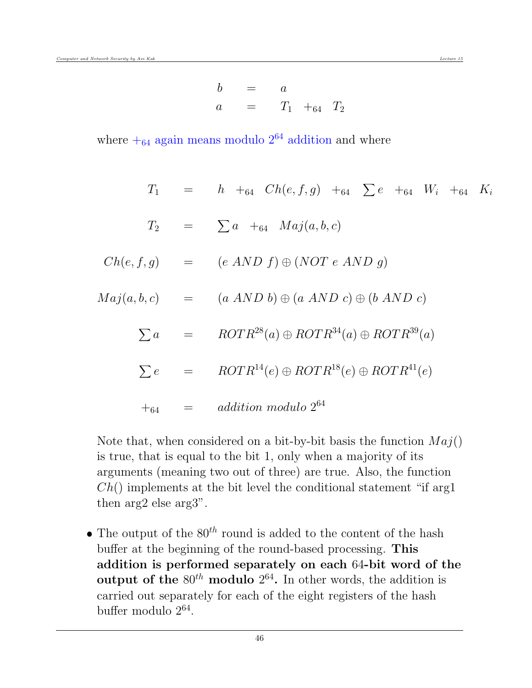$$
\begin{array}{rcl}\nb & = & a \\
a & = & T_1 +_{64} & T_2\n\end{array}
$$

where  $+_{64}$  again means modulo  $2^{64}$  addition and where

$$
T_1 = h +_{64} Ch(e, f, g) +_{64} \sum e +_{64} W_i +_{64} K_i
$$
  
\n
$$
T_2 = \sum a +_{64} Maj(a, b, c)
$$
  
\n
$$
Ch(e, f, g) = (e \text{ AND } f) \oplus (NOT e \text{ AND } g)
$$
  
\n
$$
Maj(a, b, c) = (a \text{ AND } b) \oplus (a \text{ AND } c) \oplus (b \text{ AND } c)
$$
  
\n
$$
\sum a = ROTR^{28}(a) \oplus ROTR^{34}(a) \oplus ROTR^{39}(a)
$$
  
\n
$$
\sum e = ROTR^{14}(e) \oplus ROTR^{18}(e) \oplus ROTR^{41}(e)
$$
  
\n
$$
+_{64} = addition \text{ modulo } 2^{64}
$$

Note that, when considered on a bit-by-bit basis the function  $Maj()$ is true, that is equal to the bit 1, only when a majority of its arguments (meaning two out of three) are true. Also, the function  $Ch()$  implements at the bit level the conditional statement "if arg1 then arg2 else arg3".

• The output of the  $80^{th}$  round is added to the content of the hash buffer at the beginning of the round-based processing. This addition is performed separately on each 64-bit word of the output of the  $80^{th}$  modulo  $2^{64}$ . In other words, the addition is carried out separately for each of the eight registers of the hash buffer modulo 2<sup>64</sup> .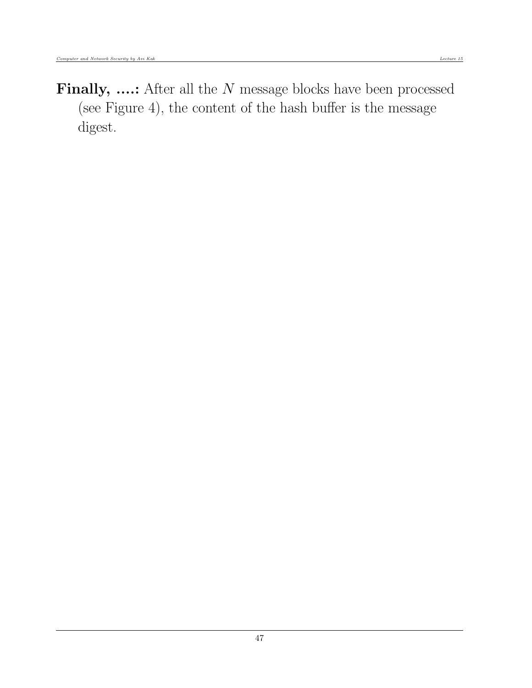Finally, ....: After all the N message blocks have been processed (see Figure 4), the content of the hash buffer is the message digest.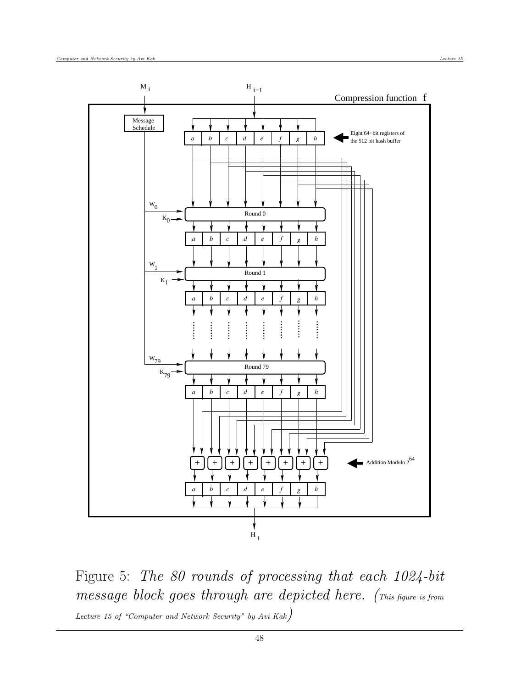

Figure 5: The 80 rounds of processing that each 1024-bit message block goes through are depicted here. (This figure is from Lecture 15 of "Computer and Network Security" by Avi Kak)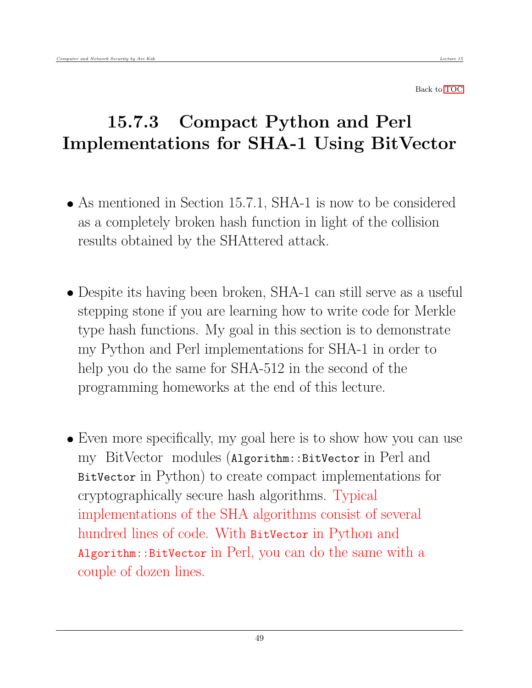Back to [TOC](#page-1-0)

# 15.7.3 Compact Python and Perl Implementations for SHA-1 Using BitVector

- As mentioned in Section 15.7.1, SHA-1 is now to be considered as a completely broken hash function in light of the collision results obtained by the SHAttered attack.
- Despite its having been broken, SHA-1 can still serve as a useful stepping stone if you are learning how to write code for Merkle type hash functions. My goal in this section is to demonstrate my Python and Perl implementations for SHA-1 in order to help you do the same for SHA-512 in the second of the programming homeworks at the end of this lecture.
- Even more specifically, my goal here is to show how you can use my BitVector modules (Algorithm::BitVector in Perl and BitVector in Python) to create compact implementations for cryptographically secure hash algorithms. Typical implementations of the SHA algorithms consist of several hundred lines of code. With BitVector in Python and Algorithm::BitVector in Perl, you can do the same with a couple of dozen lines.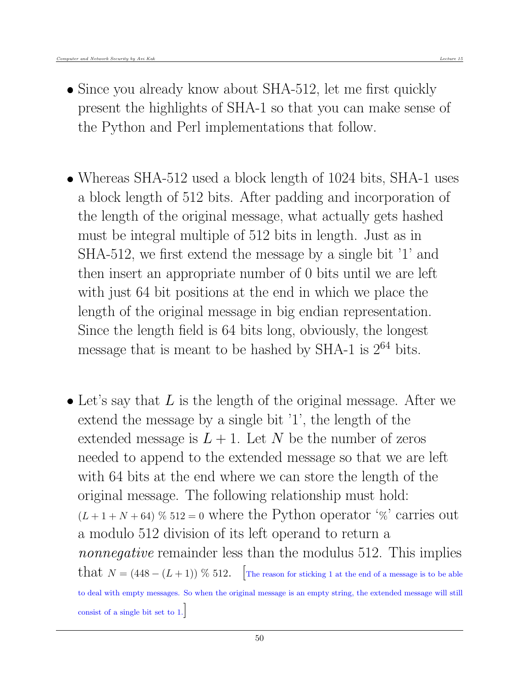- Since you already know about SHA-512, let me first quickly present the highlights of SHA-1 so that you can make sense of the Python and Perl implementations that follow.
- Whereas SHA-512 used a block length of 1024 bits, SHA-1 uses a block length of 512 bits. After padding and incorporation of the length of the original message, what actually gets hashed must be integral multiple of 512 bits in length. Just as in SHA-512, we first extend the message by a single bit '1' and then insert an appropriate number of 0 bits until we are left with just 64 bit positions at the end in which we place the length of the original message in big endian representation. Since the length field is 64 bits long, obviously, the longest message that is meant to be hashed by SHA-1 is  $2^{64}$  bits.
- $\bullet$  Let's say that L is the length of the original message. After we extend the message by a single bit '1', the length of the extended message is  $L + 1$ . Let N be the number of zeros needed to append to the extended message so that we are left with 64 bits at the end where we can store the length of the original message. The following relationship must hold:  $(L+1+N+64)$  % 512 = 0 where the Python operator '%' carries out a modulo 512 division of its left operand to return a nonnegative remainder less than the modulus 512. This implies that  $N = (448 - (L + 1))$  % 512. The reason for sticking 1 at the end of a message is to be able to deal with empty messages. So when the original message is an empty string, the extended message will still consist of a single bit set to 1.]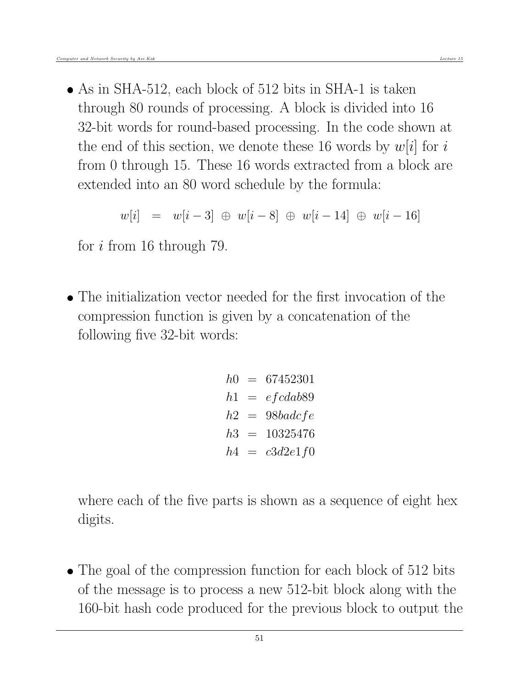• As in SHA-512, each block of 512 bits in SHA-1 is taken through 80 rounds of processing. A block is divided into 16 32-bit words for round-based processing. In the code shown at the end of this section, we denote these 16 words by  $w[i]$  for i from 0 through 15. These 16 words extracted from a block are extended into an 80 word schedule by the formula:

$$
w[i] \ = \ w[i-3] \ \oplus \ w[i-8] \ \oplus \ w[i-14] \ \oplus \ w[i-16]
$$

for i from 16 through 79.

 The initialization vector needed for the first invocation of the compression function is given by a concatenation of the following five 32-bit words:

> $h0 = 67452301$  $h1 = efcdab89$  $h2 = 98badicfe$  $h3 = 10325476$  $h4 = c3d2e1f0$

where each of the five parts is shown as a sequence of eight hex digits.

• The goal of the compression function for each block of 512 bits of the message is to process a new 512-bit block along with the 160-bit hash code produced for the previous block to output the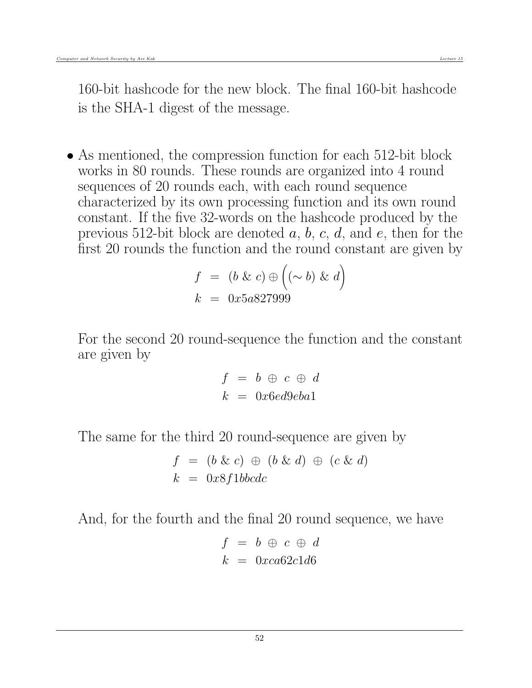• As mentioned, the compression function for each 512-bit block works in 80 rounds. These rounds are organized into 4 round sequences of 20 rounds each, with each round sequence characterized by its own processing function and its own round constant. If the five 32-words on the hashcode produced by the previous 512-bit block are denoted  $a, b, c, d$ , and  $e$ , then for the first 20 rounds the function and the round constant are given by

$$
f = (b \& c) \oplus ((\sim b) \& d)
$$

$$
k = 0x5a827999
$$

For the second 20 round-sequence the function and the constant are given by

$$
f = b \oplus c \oplus d
$$
  

$$
k = 0x6ed9eba1
$$

The same for the third 20 round-sequence are given by

$$
f = (b \& c) \oplus (b \& d) \oplus (c \& d)
$$

$$
k = 0x8f1bbcdc
$$

And, for the fourth and the final 20 round sequence, we have

$$
f = b \oplus c \oplus d
$$

$$
k = 0xca62c1d6
$$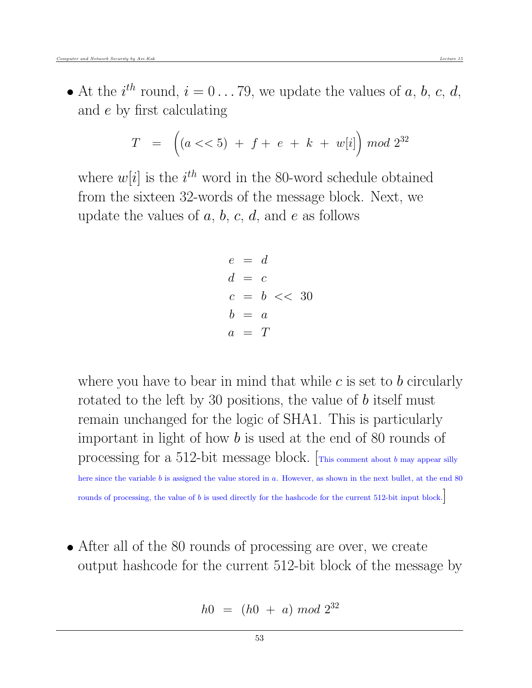• At the  $i^{th}$  round,  $i = 0 \ldots 79$ , we update the values of a, b, c, d, and e by first calculating

$$
T = \left( (a << 5) + f + e + k + w[i] \right) \mod 2^{32}
$$

where  $w[i]$  is the  $i^{th}$  word in the 80-word schedule obtained from the sixteen 32-words of the message block. Next, we update the values of  $a, b, c, d$ , and  $e$  as follows

$$
e = d
$$
  
\n
$$
d = c
$$
  
\n
$$
c = b \ll 30
$$
  
\n
$$
b = a
$$
  
\n
$$
a = T
$$

where you have to bear in mind that while  $c$  is set to  $b$  circularly rotated to the left by 30 positions, the value of b itself must remain unchanged for the logic of SHA1. This is particularly important in light of how b is used at the end of 80 rounds of processing for a 512-bit message block.  $\lceil_{\text{This comment about } b \text{ may appear silly}}\rceil$ here since the variable b is assigned the value stored in a. However, as shown in the next bullet, at the end 80

rounds of processing, the value of b is used directly for the hashcode for the current 512-bit input block.

 After all of the 80 rounds of processing are over, we create output hashcode for the current 512-bit block of the message by

$$
h0 = (h0 + a) \bmod 2^{32}
$$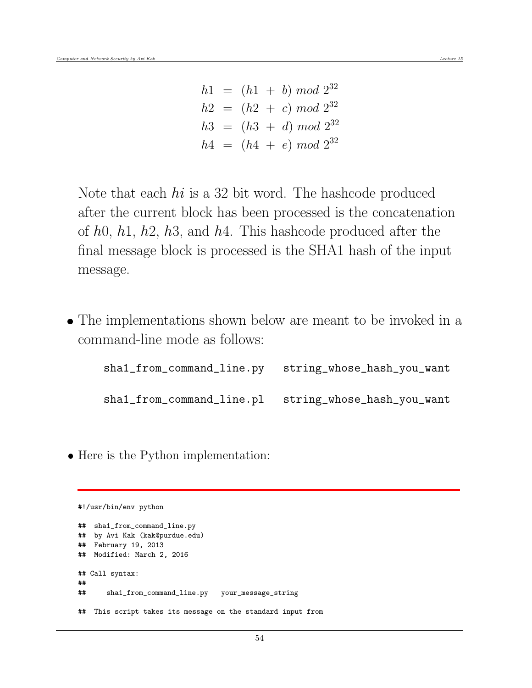$h1 = (h1 + b) \mod 2^{32}$  $h2 = (h2 + c) \mod 2^{32}$  $h3 = (h3 + d) \mod 2^{32}$  $h4 = (h4 + e) \mod 2^{32}$ 

Note that each *hi* is a 32 bit word. The hashcode produced after the current block has been processed is the concatenation of  $h0$ ,  $h1$ ,  $h2$ ,  $h3$ , and  $h4$ . This hashcode produced after the final message block is processed is the SHA1 hash of the input message.

 The implementations shown below are meant to be invoked in a command-line mode as follows:

| sha1_from_command_line.py string_whose_hash_you_want |
|------------------------------------------------------|
| sha1_from_command_line.pl string_whose_hash_you_want |

• Here is the Python implementation:

#!/usr/bin/env python

```
## sha1_from_command_line.py
## by Avi Kak (kak@purdue.edu)
## February 19, 2013
## Modified: March 2, 2016
## Call syntax:
##
## sha1_from_command_line.py your_message_string
## This script takes its message on the standard input from
```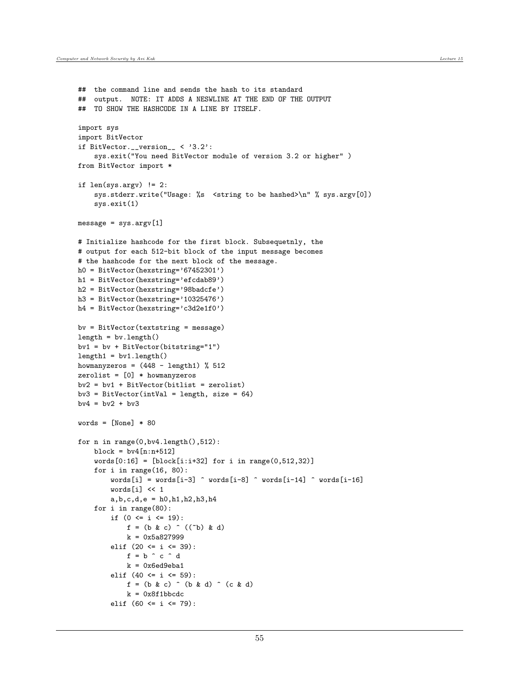```
## the command line and sends the hash to its standard
## output. NOTE: IT ADDS A NESWLINE AT THE END OF THE OUTPUT
## TO SHOW THE HASHCODE IN A LINE BY ITSELF.
import sys
import BitVector
if BitVector.__version__ < '3.2':
    sys.exit("You need BitVector module of version 3.2 or higher" )
from BitVector import *
if len(sys.argv) != 2:
    sys.stderr.write("Usage: %s <string to be hashed>\n" % sys.argv[0])
    sys.exit(1)
message = sys.argv[1]# Initialize hashcode for the first block. Subsequetnly, the
# output for each 512-bit block of the input message becomes
# the hashcode for the next block of the message.
h0 = BitVector(hexstring='67452301')
h1 = BitVector(hexstring='efcdab89')
h2 = BitVector(hexstring='98badcfe')
h3 = BitVector(hexstring='10325476')
h4 = BitVector(hexstring='c3d2e1f0')
bv = BitVector(textstring = message)
length = by.length()bv1 = bv + BitVector(bitstring="1")
length1 = by1.length()howmanyzeros = (448 - length1) % 512
zerolist = [0] * howmanyzeros
bv2 = bv1 + BitVector(bitlist = zerolist)bv3 = BitVector(intVal = length, size = 64)bv4 = bv2 + bv3words = [None] * 80for n in range(0,bv4.length(),512):
    block = by4[n:n+512]words[0:16] = [block[i:ii+32] for i in range(0,512,32)]for i in range(16, 80):
        words[i] = words[i-3] \cap words[i-8] \cap words[i-14] \cap words[i-16]words[i] << 1
        a,b,c,d,e = h0,h1,h2,h3,h4
    for i in range(80):
        if (0 \le i \le 19):
            f = (b \& c) \hat{c} ((\hat{c}b) \& d)k = 0x5a827999elif (20 \le i \le 39):
            f = b \hat{c} \hat{c} \hat{d}k = 0x6ed9eba1elif (40 \le i \le 59):
            f = (b \& c) \hat{c} (b k d) \hat{c} (c k d)
            k = 0x8f1bbcdcelif (60 \le i \le 79):
```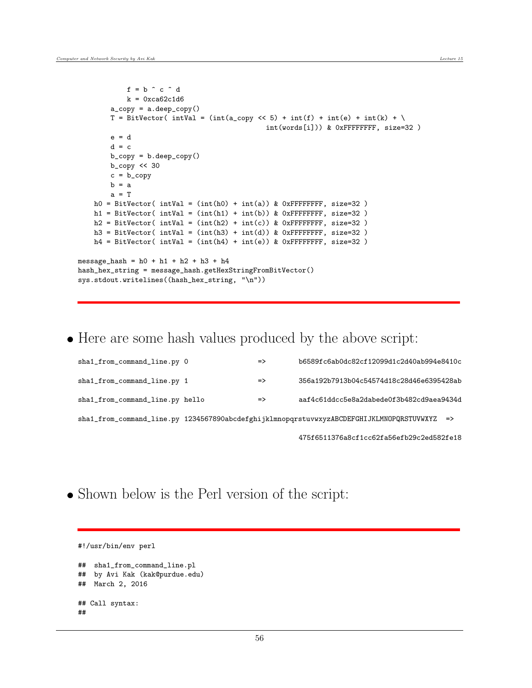```
f = b \hat{c} \hat{c} \hat{d}k = 0xca62c1d6a_copy = a.deep_copy()
        T = BitVector( intVal = (int(a_copy << 5) + int(f) + int(e) + int(k) + \
                                               int(words[i])) & 0xFFFFFFFF, size=32 )
        e = dd = cb_copy = b.deep_copy()
        b_copy << 30
        c = b_{\text{-}copy}b = aa = Th0 = BitVector( intVal = (int(h0) + int(a)) & 0xFFFFFFFF, size=32)
   h1 = BitVector( intVal = (int(h1) + int(b)) & 0xFFFFFFFF, size=32)
   h2 = BitVector(intVal = (int(h2) + int(c)) & OxFFFFFFF, size=32)h3 = BitVector( intVal = (int(h3) + int(d)) & 0xFFFFFFFFF, size=32)
   h4 = BitVector( intVal = (int(h4) + int(e)) & OxFFFFFFF, size=32)message_hash = h0 + h1 + h2 + h3 + h4
hash_hex_string = message_hash.getHexStringFromBitVector()
sys.stdout.writelines((hash_hex_string, "\n"))
```
• Here are some hash values produced by the above script:

| sha1_from_command_line.py 0     | $\Rightarrow$ | b6589fc6ab0dc82cf12099d1c2d40ab994e8410c                                                    |
|---------------------------------|---------------|---------------------------------------------------------------------------------------------|
| sha1_from_command_line.py 1     | $\Rightarrow$ | 356a192b7913b04c54574d18c28d46e6395428ab                                                    |
| sha1_from_command_line.py hello | $\Rightarrow$ | aaf4c61ddcc5e8a2dabede0f3b482cd9aea9434d                                                    |
|                                 |               | sha1_from_command_line.py 1234567890abcdefghijklmnopqrstuvwxyzABCDEFGHIJKLMNOPQRSTUVWXYZ => |
|                                 |               | 475f6511376a8cf1cc62fa56efb29c2ed582fe18                                                    |

- 
- Shown below is the Perl version of the script:

```
#!/usr/bin/env perl
## sha1_from_command_line.pl
## by Avi Kak (kak@purdue.edu)
## March 2, 2016
## Call syntax:
##
```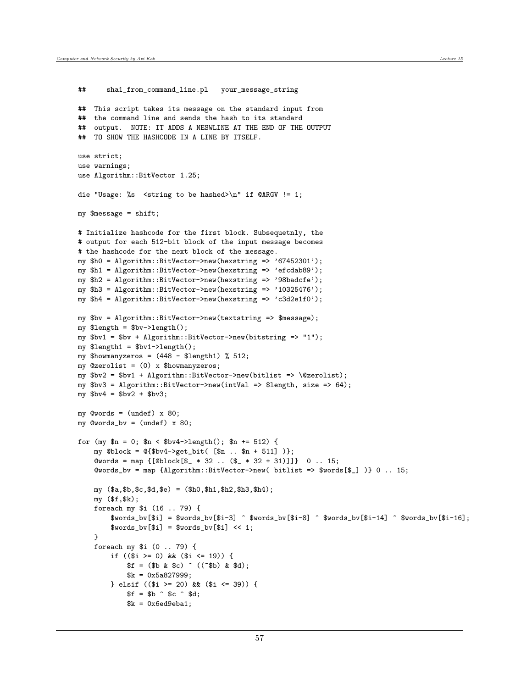## sha1\_from\_command\_line.pl your\_message\_string

```
## This script takes its message on the standard input from
## the command line and sends the hash to its standard
## output. NOTE: IT ADDS A NESWLINE AT THE END OF THE OUTPUT
## TO SHOW THE HASHCODE IN A LINE BY ITSELF.
use strict;
use warnings;
use Algorithm::BitVector 1.25;
die "Usage: %s <string to be hashed>\n" if @ARGV != 1;
my $message = shift;
# Initialize hashcode for the first block. Subsequetnly, the
# output for each 512-bit block of the input message becomes
# the hashcode for the next block of the message.
my $h0 = Algorithm::BitVector->new(hexstring => '67452301');
my $h1 = Algorithm::BitVector->new(hexstring => 'efcdab89');
my $h2 = Algorithm::BitVector->new(hexstring => '98badcfe');
my $h3 = Algorithm::BitVector->new(hexstring => '10325476');
my $h4 = Algorithm::BitVector->new(hexstring => 'c3d2e1f0');
my $bv = Algorithm::BitVector->new(textstring => $message);
my $length = $bv->length();
my bvl = bvl + Algorithm::BitVector->new(bitstring => "1");
my $length1 = $bv1->length();
my $howmanyzeros = (448 - $length1) % 512;
my @zerolist = (0) x $howmanyzeros;
my $bv2 = $bv1 + Algorithm::BitVector->new(bitlist => \@zerolist);
my $bv3 = Algorithm::BitVector->new(intVal => $length, size => 64);
my $bv4 = $bv2 + $bv3;my @words = (undef) x 80;
my @words_bv = (undef) x 80;for (my n = 0; n < \text{b}v4-\text{length}); n = 512 {
    my @block = @{$bv4->get_bit( [$n .. $n + 511] )};
    \text{Cwords} = \text{map} \{ [\text{Oblock}[\$] * 32 \dots (\$] * 32 + 31)] \} 0...15;
    @words_bv = map {Algorithm::BitVector->new( bitlist => $words[$_] )} 0 .. 15;
    my ($a,$b,$c,$d,$e) = ($h0,$h1,$h2,$h3,$h4);
    my ($f,$k);
    foreach my $i (16 .. 79) {
        $words_bv[$i] = $words_bv[$i-3] \quad $words_bv[$i-8] \quad $words_bv[$i-8] \quad $.$words_bv[$i] = $words_bv[$i] << 1;}
    foreach my $i (0 .. 79) {
        if (($i >= 0) && ($i <= 19)) {
            $f = ($b \& $c) ( ($b) \& $d);k = 0x5a827999;} elsif (($i >= 20) && ($i <= 39)) {
            $f = $b \hat{ } $c \hat{ } $d;
            k = 0x6ed9eba1;
```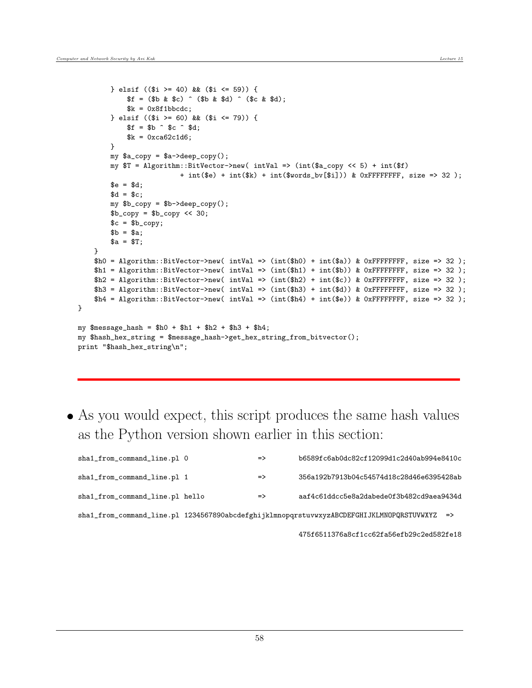}

```
} elsif (($i >= 40) && ($i <= 59)) {
            $f = ($b \& $c) \hat{ } ($b & $d) \hat{ } ($c & $d);
            k = 0x8f1bbcdc;} elsif (($i >= 60) && ($i <= 79)) {
            $f = $b \hat{ } $c \hat{ } $d;k = 0xca62c1d6;}
        my $a_copy = $a->deep_copy();
        my $T = Algorithm::BitVector->new( intVal => (int($a_copy << 5) + int($f)
                         + int($e) + int($k) + int($words_bv[$i])) & 0xFFFFFFFFF, size => 32);
        e = $d;
        d = $c;my $b_copy = $b->deep_copy();
        b_{copy} = b_{copy} << 30;c = $b_{copy};b = $a;a = $T;}
    $h0 = Algorithms.:BitVector->new(intVal => (int($h0) + int($a)) & OxFFFFFFFF, size => 32);h1 = Algorithm::BitVector->new( intVal => (int($h1) + int($b)) & 0xFFFFFFFFF, size => 32);
    h2 = Algorithm::BitVector->new( intVal => (int($h2) + int($c)) & 0xFFFFFFFF, size => 32);
    h3 = Algorithm::BitVector->new( intVal => (int($h3) + int($d)) & 0xFFFFFFFF, size => 32);
    h4 = Algorithm::BitVector->new( intVal => (int($h4) + int($e)) & OxFFFFFFFF, size => 32);
my $message_hash = $h0 + $h1 + $h2 + $h3 + $h4;
my $hash_hex_string = $message_hash->get_hex_string_from_bitvector();
print "$hash_hex_string\n";
```
 As you would expect, this script produces the same hash values as the Python version shown earlier in this section:

| sha1_from_command_line.pl 0     | $\Rightarrow$ | b6589fc6ab0dc82cf12099d1c2d40ab994e8410c                                                    |
|---------------------------------|---------------|---------------------------------------------------------------------------------------------|
| sha1_from_command_line.pl 1     | $\Rightarrow$ | 356a192b7913b04c54574d18c28d46e6395428ab                                                    |
| sha1_from_command_line.pl hello | $\Rightarrow$ | aaf4c61ddcc5e8a2dabede0f3b482cd9aea9434d                                                    |
|                                 |               | sha1_from_command_line.pl 1234567890abcdefghijklmnopqrstuvwxyzABCDEFGHIJKLMN0PQRSTUVWXYZ => |

475f6511376a8cf1cc62fa56efb29c2ed582fe18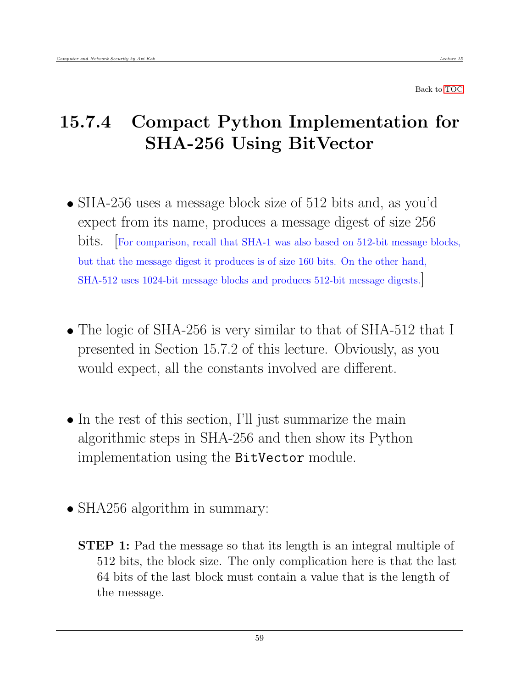Back to [TOC](#page-1-0)

## 15.7.4 Compact Python Implementation for SHA-256 Using BitVector

- SHA-256 uses a message block size of 512 bits and, as you'd expect from its name, produces a message digest of size 256 bits. [For comparison, recall that SHA-1 was also based on 512-bit message blocks, but that the message digest it produces is of size 160 bits. On the other hand, SHA-512 uses 1024-bit message blocks and produces 512-bit message digests.]
- The logic of SHA-256 is very similar to that of SHA-512 that I presented in Section 15.7.2 of this lecture. Obviously, as you would expect, all the constants involved are different.
- In the rest of this section, I'll just summarize the main algorithmic steps in SHA-256 and then show its Python implementation using the BitVector module.
- SHA256 algorithm in summary:
	- **STEP 1:** Pad the message so that its length is an integral multiple of 512 bits, the block size. The only complication here is that the last 64 bits of the last block must contain a value that is the length of the message.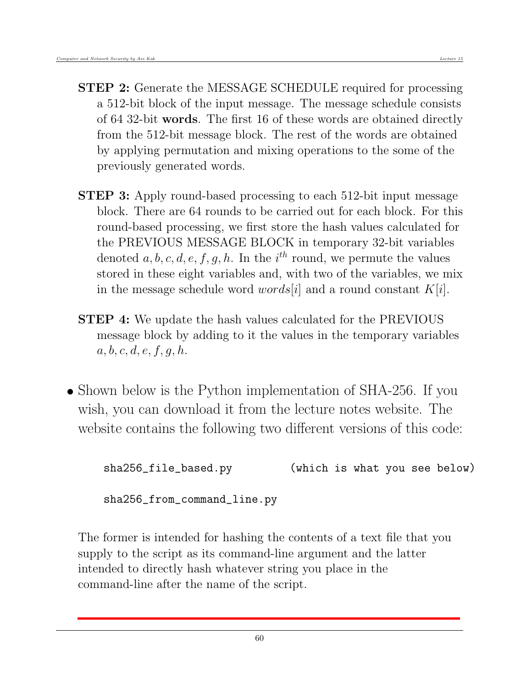- **STEP 2:** Generate the MESSAGE SCHEDULE required for processing a 512-bit block of the input message. The message schedule consists of 64 32-bit words. The first 16 of these words are obtained directly from the 512-bit message block. The rest of the words are obtained by applying permutation and mixing operations to the some of the previously generated words.
- STEP 3: Apply round-based processing to each 512-bit input message block. There are 64 rounds to be carried out for each block. For this round-based processing, we first store the hash values calculated for the PREVIOUS MESSAGE BLOCK in temporary 32-bit variables denoted  $a, b, c, d, e, f, g, h$ . In the  $i<sup>th</sup>$  round, we permute the values stored in these eight variables and, with two of the variables, we mix in the message schedule word  $words[i]$  and a round constant  $K[i]$ .
- **STEP 4:** We update the hash values calculated for the PREVIOUS message block by adding to it the values in the temporary variables  $a, b, c, d, e, f, g, h.$
- Shown below is the Python implementation of SHA-256. If you wish, you can download it from the lecture notes website. The website contains the following two different versions of this code:

sha256\_file\_based.py (which is what you see below) sha256\_from\_command\_line.py

The former is intended for hashing the contents of a text file that you supply to the script as its command-line argument and the latter intended to directly hash whatever string you place in the command-line after the name of the script.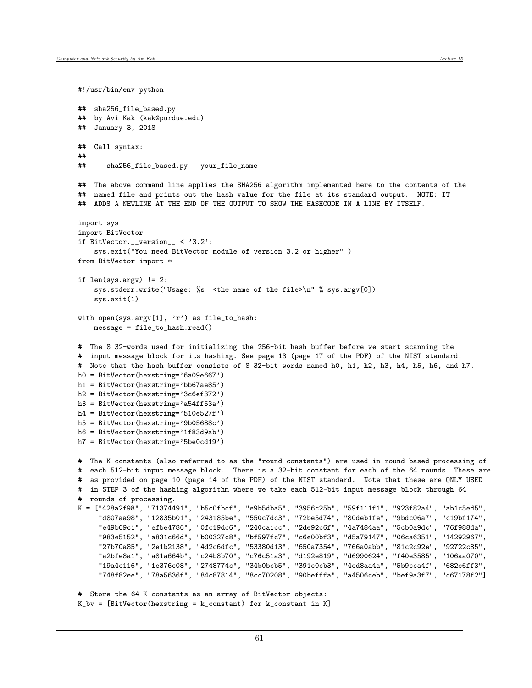```
#!/usr/bin/env python
## sha256_file_based.py
## by Avi Kak (kak@purdue.edu)
## January 3, 2018
## Call syntax:
##
## sha256_file_based.py your_file_name
## The above command line applies the SHA256 algorithm implemented here to the contents of the
## named file and prints out the hash value for the file at its standard output. NOTE: IT
## ADDS A NEWLINE AT THE END OF THE OUTPUT TO SHOW THE HASHCODE IN A LINE BY ITSELF.
import sys
import BitVector
if BitVector.__version__ < '3.2':
    sys.exit("You need BitVector module of version 3.2 or higher" )
from BitVector import *
if len(sys.argv) != 2:
    sys.stderr.write("Usage: %s <the name of the file>\n" % sys.argv[0])
    sys.exit(1)
with open(sys.argv[1], 'r') as file_to_hash:
   message = file_to_hash.read()
# The 8 32-words used for initializing the 256-bit hash buffer before we start scanning the
# input message block for its hashing. See page 13 (page 17 of the PDF) of the NIST standard.
# Note that the hash buffer consists of 8 32-bit words named h0, h1, h2, h3, h4, h5, h6, and h7.
h0 = BitVector(hexstring='6a09e667')
h1 = BitVector(hexstring='bb67ae85')
h2 = BitVector(hexstring='3c6ef372')
h3 = BitVector(hexstring='a54ff53a')
h4 = BitVector(hexstring='510e527f')
h5 = BitVector(hexstring='9b05688c')
h6 = BitVector(hexstring='1f83d9ab')
h7 = BitVector(hexstring='5be0cd19')
# The K constants (also referred to as the "round constants") are used in round-based processing of
# each 512-bit input message block. There is a 32-bit constant for each of the 64 rounds. These are
# as provided on page 10 (page 14 of the PDF) of the NIST standard. Note that these are ONLY USED
# in STEP 3 of the hashing algorithm where we take each 512-bit input message block through 64
# rounds of processing.
K = ["428a2f98", "71374491", "b5c0fbcf", "e9b5dba5", "3956c25b", "59f111f1", "923f82a4", "ab1c5ed5",
     "d807aa98", "12835b01", "243185be", "550c7dc3", "72be5d74", "80deb1fe", "9bdc06a7", "c19bf174",
     "e49b69c1", "efbe4786", "0fc19dc6", "240ca1cc", "2de92c6f", "4a7484aa", "5cb0a9dc", "76f988da",
     "983e5152", "a831c66d", "b00327c8", "bf597fc7", "c6e00bf3", "d5a79147", "06ca6351", "14292967",
     "27b70a85", "2e1b2138", "4d2c6dfc", "53380d13", "650a7354", "766a0abb", "81c2c92e", "92722c85",
     "a2bfe8a1", "a81a664b", "c24b8b70", "c76c51a3", "d192e819", "d6990624", "f40e3585", "106aa070",
     "19a4c116", "1e376c08", "2748774c", "34b0bcb5", "391c0cb3", "4ed8aa4a", "5b9cca4f", "682e6ff3",
     "748f82ee", "78a5636f", "84c87814", "8cc70208", "90befffa", "a4506ceb", "bef9a3f7", "c67178f2"]
# Store the 64 K constants as an array of BitVector objects:
K_bv = [BitVector(hexstring = k_{constant}) for k_{constant} in K]
```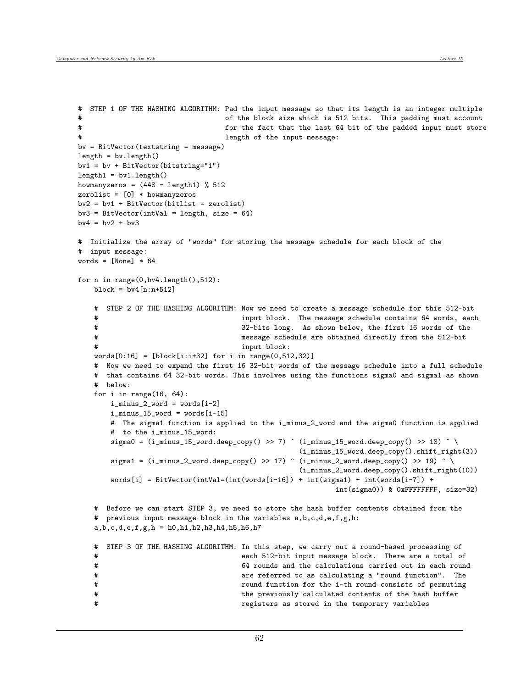$length = by.length()$ 

 $bv4 = bv2 + bv3$ 

# input message: words =  $[None] * 64$ 

 $length1 = by1.length()$ 

```
# STEP 1 OF THE HASHING ALGORITHM: Pad the input message so that its length is an integer multiple
# of the block size which is 512 bits. This padding must account
# for the fact that the last 64 bit of the padded input must store
# length of the input message:
bv2 = bv1 + BitVector(bitlist = zerolist)
bv3 = BitVector(intVal = length, size = 64)# Initialize the array of "words" for storing the message schedule for each block of the
```

```
for n in range(0,bv4.length(),512):
   block = by4[n:n+512]
```
 $bv = BitVector(textstring = message)$ 

bv1 = bv + BitVector(bitstring="1")

howmanyzeros =  $(448 - length1)$  % 512 zerolist = [0] \* howmanyzeros

```
# STEP 2 OF THE HASHING ALGORITHM: Now we need to create a message schedule for this 512-bit
# input block. The message schedule contains 64 words, each
# 32-bits long. As shown below, the first 16 words of the
# message schedule are obtained directly from the 512-bit
                                 input block:
words[0:16] = [block[i:i+32] for i in range(0,512,32)]# Now we need to expand the first 16 32-bit words of the message schedule into a full schedule
# that contains 64 32-bit words. This involves using the functions sigma0 and sigma1 as shown
# below:
for i in range(16, 64):
   i_minus_2_word = words[i-2]i_minus_15_word = words[i-15]# The sigma1 function is applied to the i_minus_2_word and the sigma0 function is applied
   # to the i_minus_15_word:
   sigma0 = (i_{\text{minus}_15\text{-word}.deep\_copy() >> 7) ^ (i_{\text{minus}_15\text{-word}.deep\_copy() >> 18) ^ \
                                              (i_minus_15_word.deep_copy().shift_right(3))
   sigma1 = (i_{minus_21}word.deep_copy() >> 17) ^ (i_{minus_21}word.deep_copy() >> 19) ^ \
                                               (i_minus_2_word.deep_copy().shift_right(10))
```

```
words[i] = BitVector(intVal=(int(words[i-16]) + int(sigma1) + int(words[i-7]) +int(sigma0)) & 0xFFFFFFFF, size=32)
# Before we can start STEP 3, we need to store the hash buffer contents obtained from the
# previous input message block in the variables a,b,c,d,e,f,g,h:
```

```
a,b,c,d,e,f,g,h = h0,h1,h2,h3,h4,h5,h6,h7
```

|   |  |  |  | # STEP 3 OF THE HASHING ALGORITHM: In this step, we carry out a round-based processing of |
|---|--|--|--|-------------------------------------------------------------------------------------------|
| # |  |  |  | each 512-bit input message block. There are a total of                                    |
| # |  |  |  | 64 rounds and the calculations carried out in each round                                  |
| # |  |  |  | are referred to as calculating a "round function". The                                    |
| # |  |  |  | round function for the i-th round consists of permuting                                   |
| # |  |  |  | the previously calculated contents of the hash buffer                                     |
| # |  |  |  | registers as stored in the temporary variables                                            |
|   |  |  |  |                                                                                           |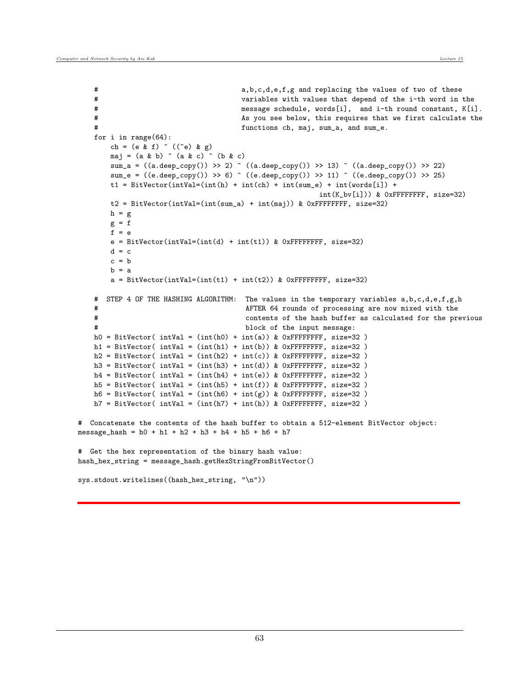```
# a,b,c,d,e,f,g and replacing the values of two of these
   # variables with values that depend of the i-th word in the
   # message schedule, words[i], and i-th round constant, K[i].
   # As you see below, this requires that we first calculate the
   # functions ch, maj, sum_a, and sum_e.
   for i in range(64):
       ch = (e & f) ^ ((~e) & g)
       maj = (a & b) \hat{ } (a & c) \hat{ } (b & c)sum_a = ((a.deep_copy()) >> 2) ^ ((a.deep_copy()) >> 13) ^ ((a.deep_copy()) >> 22)
       sum_e = ((e \cdot \text{deep\_copy}()) \gg 6) ^ ((e \cdot \text{deep\_copy}()) \gg 11) ^ ((e \cdot \text{deep\_copy}()) \gg 25)t1 = BitVector(intVal=(int(h) + int(ch) + int(sum_e) + int(words[i]) +int(K_bv[i])) & 0xFFFFFFFF, size=32)
       t2 = BitVector(intVal = (int(sum_a) + int(maj)) & OxFFFFFF, size=32)h = gg = ff = ee = BitVector(intVal=(int(d) + int(t1)) & OxFFFFFFFF, size=32)d = cc = bh = aa = BitVector(intVal=(int(t1) + int(t2)) & OxFFFFFFF, size=32)# STEP 4 OF THE HASHING ALGORITHM: The values in the temporary variables a,b,c,d,e,f,g,h
   # AFTER 64 rounds of processing are now mixed with the
   # contents of the hash buffer as calculated for the previous
   # block of the input message:
   h0 = BitVector( intVal = (int(h0) + int(a)) & 0xFFFFFFFF, size=32)
   h1 = BitVector( intVal = (int(h1) + int(b)) & 0xFFFFFFFF, size=32)
   h2 = BitVector(intVal = (int(h2) + int(c)) & OxFFFFFFF, size=32)h3 = BitVector( intVal = (int(h3) + int(d)) & 0xFFFFFFFF, size=32)
   h4 = BitVector(intVal = (int(h4) + int(e)) & OxFFFFFFF, size=32)h5 = BitVector( intVal = (int(h5) + int(f)) & OxFFFFFFFF, size=32)
   h6 = BitVector( intVal = (int(h6) + int(g)) & 0xFFFFFFFF, size=32)
   h7 = BitVector(intVal = (int(h7) + int(h)) & OxFFFFFFF, size=32)# Concatenate the contents of the hash buffer to obtain a 512-element BitVector object:
message_hash = h0 + h1 + h2 + h3 + h4 + h5 + h6 + h7
# Get the hex representation of the binary hash value:
hash_hex_string = message_hash.getHexStringFromBitVector()
sys.stdout.writelines((hash_hex_string, "\n"))
```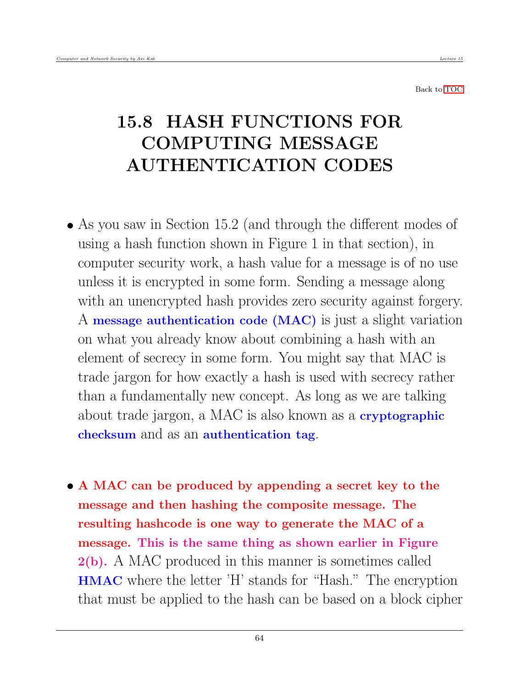Back to [TOC](#page-1-0)

## 15.8 HASH FUNCTIONS FOR COMPUTING MESSAGE AUTHENTICATION CODES

- As you saw in Section 15.2 (and through the different modes of using a hash function shown in Figure 1 in that section), in computer security work, a hash value for a message is of no use unless it is encrypted in some form. Sending a message along with an unencrypted hash provides zero security against forgery. A message authentication code (MAC) is just a slight variation on what you already know about combining a hash with an element of secrecy in some form. You might say that MAC is trade jargon for how exactly a hash is used with secrecy rather than a fundamentally new concept. As long as we are talking about trade jargon, a MAC is also known as a **cryptographic** checksum and as an authentication tag.
- A MAC can be produced by appending a secret key to the message and then hashing the composite message. The resulting hashcode is one way to generate the MAC of a message. This is the same thing as shown earlier in Figure 2(b). A MAC produced in this manner is sometimes called HMAC where the letter 'H' stands for "Hash." The encryption that must be applied to the hash can be based on a block cipher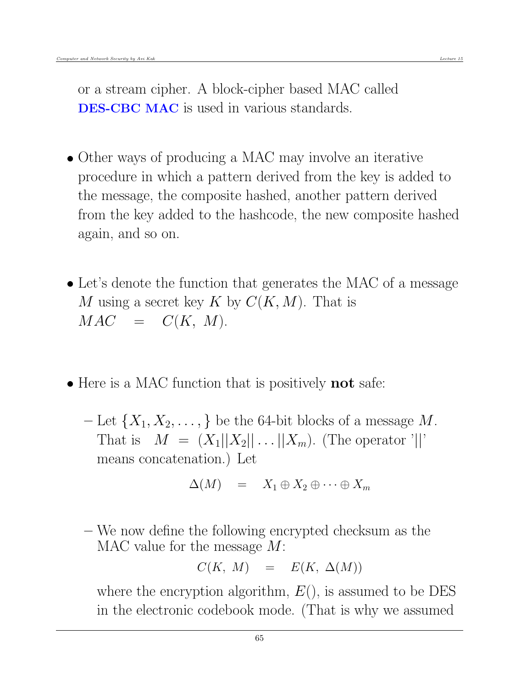- Other ways of producing a MAC may involve an iterative procedure in which a pattern derived from the key is added to the message, the composite hashed, another pattern derived from the key added to the hashcode, the new composite hashed again, and so on.
- Let's denote the function that generates the MAC of a message M using a secret key K by  $C(K, M)$ . That is  $MAC = C(K, M).$
- Here is a MAC function that is positively **not** safe:
	- $-$  Let  $\{X_1, X_2, \ldots\}$  be the 64-bit blocks of a message M. That is  $M = (X_1||X_2|| \dots ||X_m)$ . (The operator '||' means concatenation.) Let

$$
\Delta(M) = X_1 \oplus X_2 \oplus \cdots \oplus X_m
$$

– We now define the following encrypted checksum as the MAC value for the message M:

$$
C(K, M) = E(K, \Delta(M))
$$

where the encryption algorithm,  $E($ ), is assumed to be DES in the electronic codebook mode. (That is why we assumed

65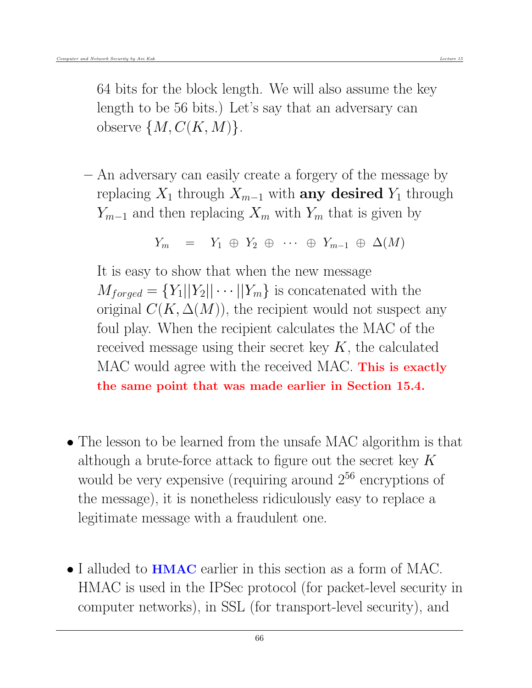64 bits for the block length. We will also assume the key length to be 56 bits.) Let's say that an adversary can observe  $\{M, C(K, M)\}.$ 

– An adversary can easily create a forgery of the message by replacing  $X_1$  through  $X_{m-1}$  with **any desired**  $Y_1$  through  $Y_{m-1}$  and then replacing  $X_m$  with  $Y_m$  that is given by

$$
Y_m = Y_1 \oplus Y_2 \oplus \cdots \oplus Y_{m-1} \oplus \Delta(M)
$$

It is easy to show that when the new message  $M_{forced} = \{Y_1||Y_2||\cdots||Y_m\}$  is concatenated with the original  $C(K, \Delta(M))$ , the recipient would not suspect any foul play. When the recipient calculates the MAC of the received message using their secret key  $K$ , the calculated MAC would agree with the received MAC. This is exactly the same point that was made earlier in Section 15.4.

- The lesson to be learned from the unsafe MAC algorithm is that although a brute-force attack to figure out the secret key  $K$ would be very expensive (requiring around  $2^{56}$  encryptions of the message), it is nonetheless ridiculously easy to replace a legitimate message with a fraudulent one.
- I alluded to **HMAC** earlier in this section as a form of MAC. HMAC is used in the IPSec protocol (for packet-level security in computer networks), in SSL (for transport-level security), and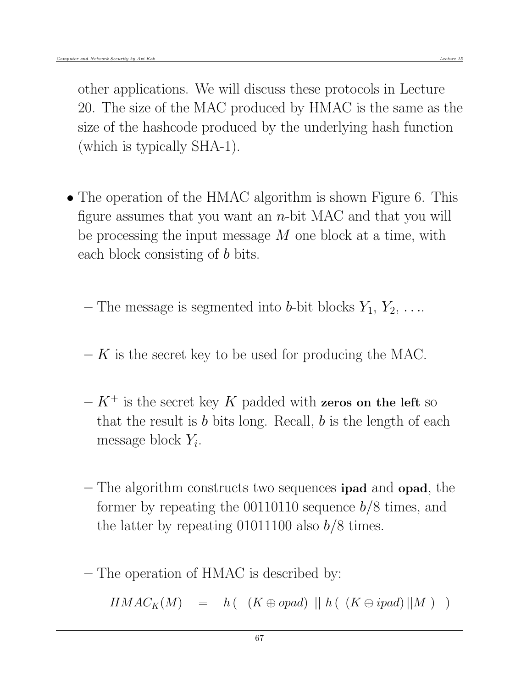other applications. We will discuss these protocols in Lecture 20. The size of the MAC produced by HMAC is the same as the size of the hashcode produced by the underlying hash function (which is typically SHA-1).

• The operation of the HMAC algorithm is shown Figure 6. This figure assumes that you want an  $n$ -bit MAC and that you will be processing the input message  $M$  one block at a time, with each block consisting of b bits.

– The message is segmented into b-bit blocks  $Y_1, Y_2, \ldots$ 

- $K$  is the secret key to be used for producing the MAC.
- $-K^+$  is the secret key K padded with zeros on the left so that the result is  $b$  bits long. Recall,  $b$  is the length of each message block  $Y_i$ .
- The algorithm constructs two sequences ipad and opad, the former by repeating the  $00110110$  sequence  $b/8$  times, and the latter by repeating 01011100 also  $b/8$  times.
- The operation of HMAC is described by:

 $HMAC_K(M) = h((K \oplus opad) || h((K \oplus ipad) || M))$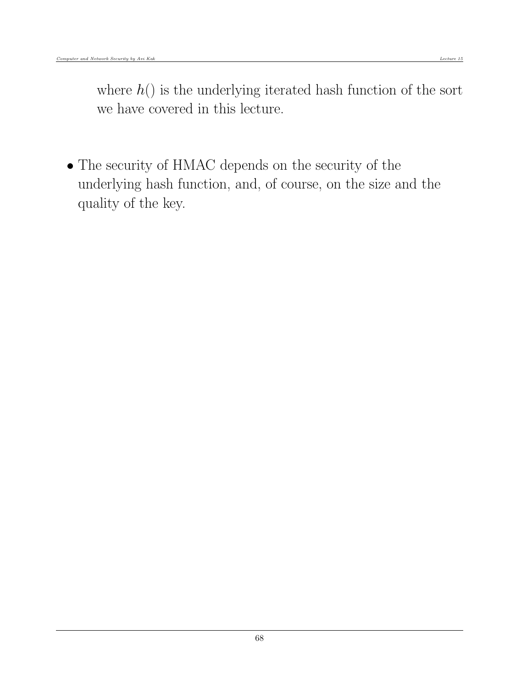where  $h()$  is the underlying iterated hash function of the sort we have covered in this lecture.

 The security of HMAC depends on the security of the underlying hash function, and, of course, on the size and the quality of the key.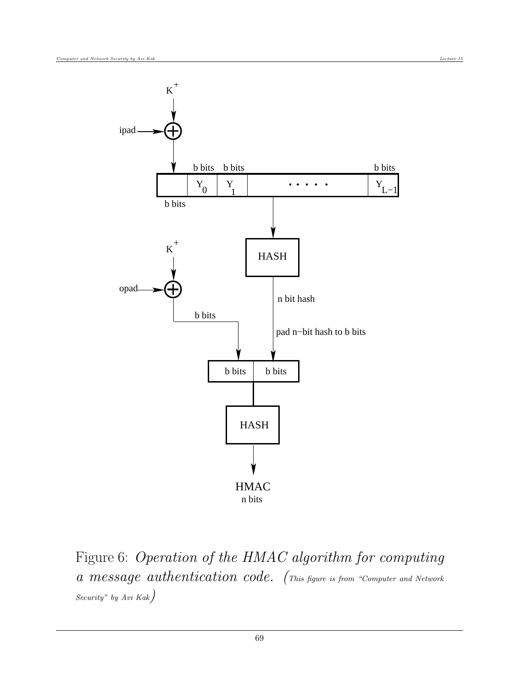

Figure 6: Operation of the HMAC algorithm for computing a message authentication code. (This figure is from "Computer and Network Security" by Avi Kak)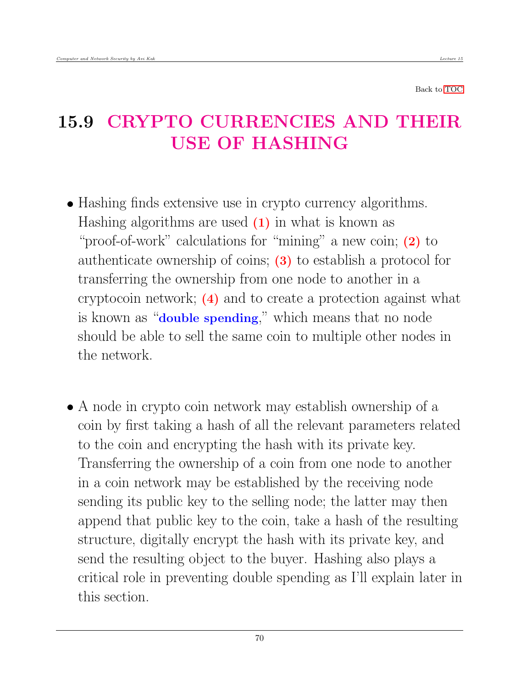Back to [TOC](#page-1-0)

## 15.9 CRYPTO CURRENCIES AND THEIR USE OF HASHING

- Hashing finds extensive use in crypto currency algorithms. Hashing algorithms are used  $(1)$  in what is known as "proof-of-work" calculations for "mining" a new coin; (2) to authenticate ownership of coins; (3) to establish a protocol for transferring the ownership from one node to another in a cryptocoin network; (4) and to create a protection against what is known as "double spending," which means that no node should be able to sell the same coin to multiple other nodes in the network.
- A node in crypto coin network may establish ownership of a coin by first taking a hash of all the relevant parameters related to the coin and encrypting the hash with its private key. Transferring the ownership of a coin from one node to another in a coin network may be established by the receiving node sending its public key to the selling node; the latter may then append that public key to the coin, take a hash of the resulting structure, digitally encrypt the hash with its private key, and send the resulting object to the buyer. Hashing also plays a critical role in preventing double spending as I'll explain later in this section.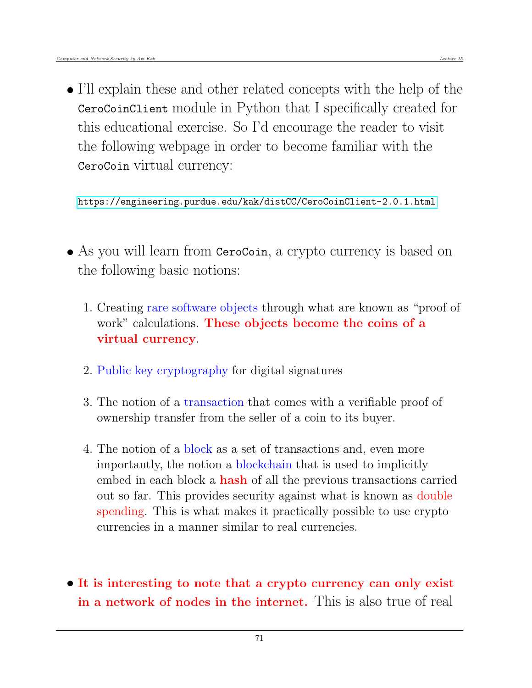I'll explain these and other related concepts with the help of the CeroCoinClient module in Python that I specifically created for this educational exercise. So I'd encourage the reader to visit the following webpage in order to become familiar with the CeroCoin virtual currency:

<https://engineering.purdue.edu/kak/distCC/CeroCoinClient-2.0.1.html>

- As you will learn from CeroCoin, a crypto currency is based on the following basic notions:
	- 1. Creating rare software objects through what are known as "proof of work" calculations. These objects become the coins of a virtual currency.
	- 2. Public key cryptography for digital signatures
	- 3. The notion of a transaction that comes with a verifiable proof of ownership transfer from the seller of a coin to its buyer.
	- 4. The notion of a block as a set of transactions and, even more importantly, the notion a blockchain that is used to implicitly embed in each block a **hash** of all the previous transactions carried out so far. This provides security against what is known as double spending. This is what makes it practically possible to use crypto currencies in a manner similar to real currencies.
- It is interesting to note that a crypto currency can only exist in a network of nodes in the internet. This is also true of real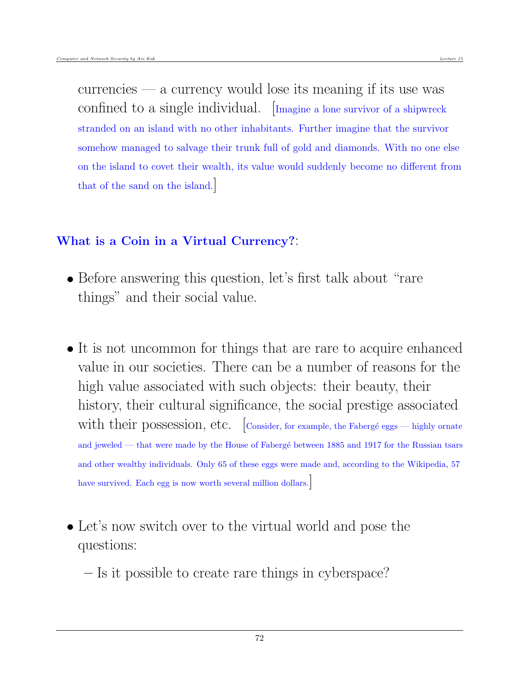currencies — a currency would lose its meaning if its use was confined to a single individual. [Imagine a lone survivor of a shipwreck stranded on an island with no other inhabitants. Further imagine that the survivor somehow managed to salvage their trunk full of gold and diamonds. With no one else on the island to covet their wealth, its value would suddenly become no different from that of the sand on the island.]

#### What is a Coin in a Virtual Currency?:

- Before answering this question, let's first talk about "rare" things" and their social value.
- It is not uncommon for things that are rare to acquire enhanced value in our societies. There can be a number of reasons for the high value associated with such objects: their beauty, their history, their cultural significance, the social prestige associated with their possession, etc.  $\vert$ Consider, for example, the Fabergé eggs — highly ornate and jeweled — that were made by the House of Fabergé between 1885 and 1917 for the Russian tsars and other wealthy individuals. Only 65 of these eggs were made and, according to the Wikipedia, 57 have survived. Each egg is now worth several million dollars.
- Let's now switch over to the virtual world and pose the questions:

– Is it possible to create rare things in cyberspace?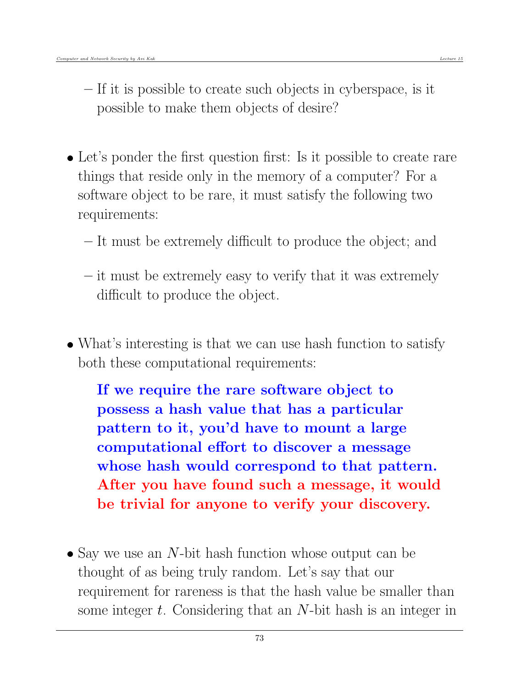- If it is possible to create such objects in cyberspace, is it possible to make them objects of desire?
- Let's ponder the first question first: Is it possible to create rare things that reside only in the memory of a computer? For a software object to be rare, it must satisfy the following two requirements:
	- It must be extremely difficult to produce the object; and
	- it must be extremely easy to verify that it was extremely difficult to produce the object.
- What's interesting is that we can use hash function to satisfy both these computational requirements:

If we require the rare software object to possess a hash value that has a particular pattern to it, you'd have to mount a large computational effort to discover a message whose hash would correspond to that pattern. After you have found such a message, it would be trivial for anyone to verify your discovery.

 $\bullet$  Say we use an N-bit hash function whose output can be thought of as being truly random. Let's say that our requirement for rareness is that the hash value be smaller than some integer t. Considering that an N-bit hash is an integer in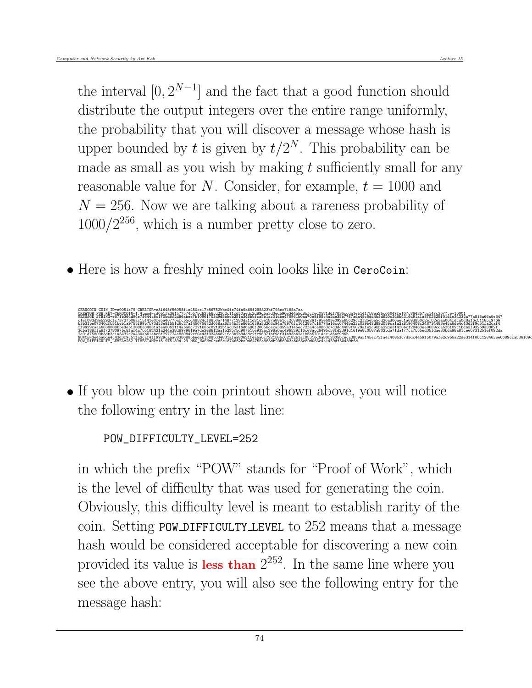the interval  $[0, 2^{N-1}]$  and the fact that a good function should distribute the output integers over the entire range uniformly, the probability that you will discover a message whose hash is upper bounded by t is given by  $t/2^N$ . This probability can be made as small as you wish by making  $t$  sufficiently small for any reasonable value for N. Consider, for example,  $t = 1000$  and  $N = 256$ . Now we are talking about a rareness probability of  $1000/2^{256}$ , which is a number pretty close to zero.

• Here is how a freshly mined coin looks like in CeroCoin:



• If you blow up the coin printout shown above, you will notice the following entry in the last line:

```
POW_DIFFICULTY_LEVEL=252
```
in which the prefix "POW" stands for "Proof of Work", which is the level of difficulty that was used for generating the coin. Obviously, this difficulty level is meant to establish rarity of the coin. Setting POW DIFFICULTY LEVEL to 252 means that a message hash would be considered acceptable for discovering a new coin provided its value is less than  $2^{252}$ . In the same line where you see the above entry, you will also see the following entry for the message hash: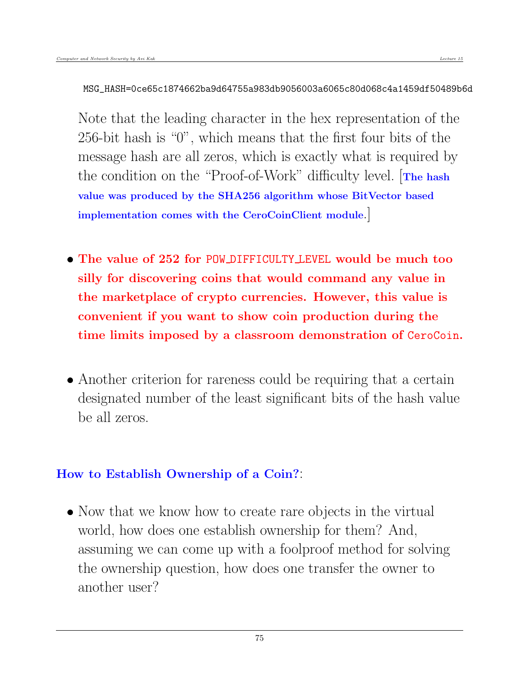#### MSG\_HASH=0ce65c1874662ba9d64755a983db9056003a6065c80d068c4a1459df50489b6d

Note that the leading character in the hex representation of the 256-bit hash is "0", which means that the first four bits of the message hash are all zeros, which is exactly what is required by the condition on the "Proof-of-Work" difficulty level. [The hash value was produced by the SHA256 algorithm whose BitVector based implementation comes with the CeroCoinClient module.]

- The value of 252 for POW DIFFICULTY LEVEL would be much too silly for discovering coins that would command any value in the marketplace of crypto currencies. However, this value is convenient if you want to show coin production during the time limits imposed by a classroom demonstration of CeroCoin.
- Another criterion for rareness could be requiring that a certain designated number of the least significant bits of the hash value be all zeros.

## How to Establish Ownership of a Coin?

• Now that we know how to create rare objects in the virtual world, how does one establish ownership for them? And, assuming we can come up with a foolproof method for solving the ownership question, how does one transfer the owner to another user?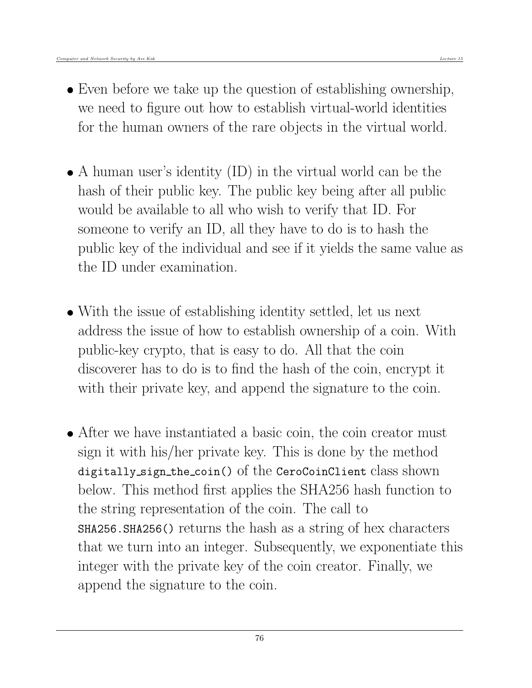- Even before we take up the question of establishing ownership, we need to figure out how to establish virtual-world identities for the human owners of the rare objects in the virtual world.
- A human user's identity (ID) in the virtual world can be the hash of their public key. The public key being after all public would be available to all who wish to verify that ID. For someone to verify an ID, all they have to do is to hash the public key of the individual and see if it yields the same value as the ID under examination.
- With the issue of establishing identity settled, let us next address the issue of how to establish ownership of a coin. With public-key crypto, that is easy to do. All that the coin discoverer has to do is to find the hash of the coin, encrypt it with their private key, and append the signature to the coin.
- After we have instantiated a basic coin, the coin creator must sign it with his/her private key. This is done by the method digitally sign the coin() of the CeroCoinClient class shown below. This method first applies the SHA256 hash function to the string representation of the coin. The call to SHA256.SHA256() returns the hash as a string of hex characters that we turn into an integer. Subsequently, we exponentiate this integer with the private key of the coin creator. Finally, we append the signature to the coin.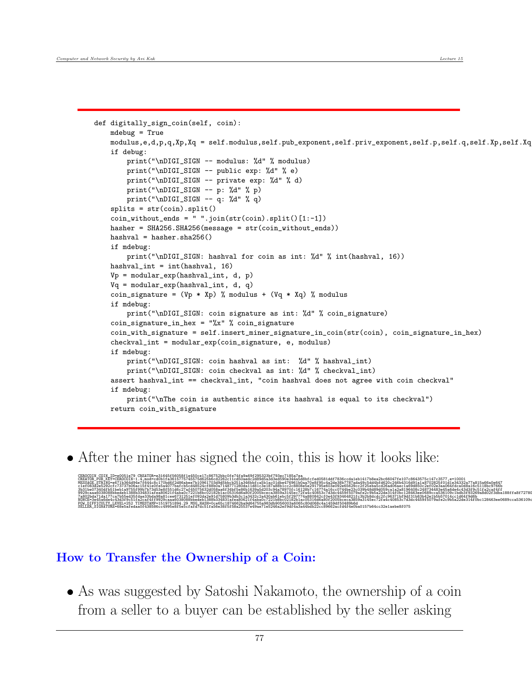```
def digitally_sign_coin(self, coin):
   mdebug = True
   modulus,e,d,p,q,Xp,Xq = self.modulus,self.pub_exponent,self.priv_exponent,self.p,self.q,self.Xp,self.Xq
   if debug:
        print("\nDIGI_SIGN -- modulus: %d" % modulus)
        print("\nDIGI_SIGN -- public exp: %d" % e)
        print("\nDIGI_SIGN -- private exp: %d" % d)
        print("\nDIGI_SIGN -- p: %d" % p)
        print("\nDIGI_SIGN -- q: %d" % q)
   splits = str(coin).split()
   \overline{\text{coin\_without\_ends}} = \overline{\text{ " ".join(str(coin).split() [1:-1]}}hasher = SHA256.SHA256(message = str(coin_without_ends))
   hashval = hasher.sha256()
   if mdebug:
        print("\nDIGI_SIGN: hashval for coin as int: %d" % int(hashval, 16))
   hashval_int = int(hashval, 16)
   Vp = modular_exp(hashval_int, d, p)
   Vq = modular_exp(hashval_int, d, q)
   coin_signature = (Vp * Xp) % modulus + (Vq * Xq) % modulus
   if mdebug:
        print("\nDIGI_SIGN: coin signature as int: %d" % coin_signature)
   coin_signature_in_hex = "\x" % coin_signaturecoin_with_signature = self.insert_miner_signature_in_coin(str(coin), coin_signature_in_hex)
   checkval_int = modular_exp(coin_signature, e, modulus)
   if mdebug:
        print("\nDIGI_SIGN: coin hashval as int: %d" % hashval_int)
        print("\nDIGI_SIGN: coin checkval as int: %d" % checkval_int)
    assert hashval_int == checkval_int, "coin hashval does not agree with coin checkval"
    if mdebug:
        print("\nThe coin is authentic since its hashval is equal to its checkval")
   return coin_with_signature
```
After the miner has signed the coin, this is how it looks like:

CERDCOIN COIN ID=e0051e79 CREATOR=e31645f6058f1e450ce17c86752bc0fe74fa9a59f25532bf793ec7185a7ea<br>CREATOR\_PUB\_KEY=CEROCOIN-1.4,mod=cd0b1fa3615775745575d625b6cd2262c11cd50aedc2d89d5a3d3ed590e344a5d8bfe1ed0581ddf7836ccda1eb141 WESSAGE\_STRING=e6715364d94e7f644c6c170bd6f2d86abee7b10961703d9d5bbcD51a346bbfca5b1ac01dbe476961b0aa70e8f95c4a2de3bb7787ada49c5dd4bfd620c246b4316d91a1a8702825f01d1e34332a77a815a66a0e447<br>c1ef083d2e5292cfc73737b0ac15f41e0f65a 9929caaa6038088bbedeb1388b334831afea80621f4aba0c7221b8bc02182b1ac05316d6a80f2005bceca3859a3145e72fa4c40853c7d3dc4459f5079afe2c9b5a22de314f0bc128463ee0689cca536109c1bdb3f93269a8dO2f3dba188ffa8f7278(<br>7a802bda11d117ca7b5ed35t POW\_DIFFICULTY\_LEVEL=252 TIMESTAMP=1519751894.29 MSG\_HASH=0ce65c1874662ba9d64755a983db9056003a6065c80d068c4a1459df50489b6d SELLER\_SIGNATURE=68e5afedaa0f438586cc4995e8f5e5cfafd7dc51fa56e38f5f58a25537e49ae71e5246a2ef9df4a3a44bdb22cc89662acfd4f4e0ba0157b64cc32e1aebe8f075

### How to Transfer the Ownership of a Coin:

 As was suggested by Satoshi Nakamoto, the ownership of a coin from a seller to a buyer can be established by the seller asking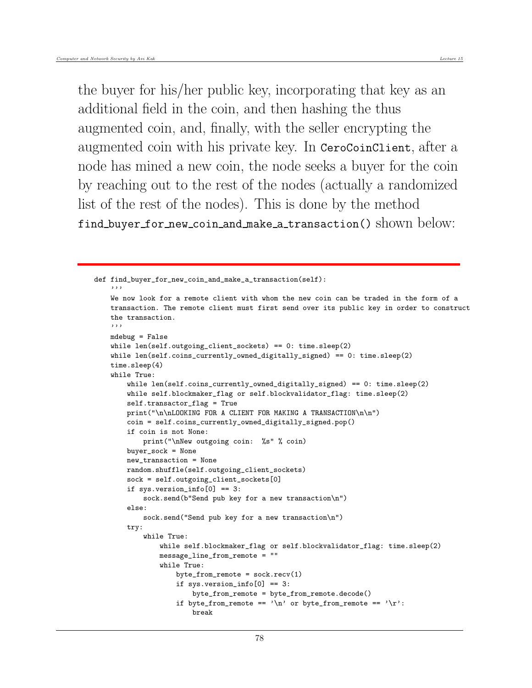the buyer for his/her public key, incorporating that key as an additional field in the coin, and then hashing the thus augmented coin, and, finally, with the seller encrypting the augmented coin with his private key. In CeroCoinClient, after a node has mined a new coin, the node seeks a buyer for the coin by reaching out to the rest of the nodes (actually a randomized list of the rest of the nodes). This is done by the method find\_buyer\_for\_new\_coin\_and\_make\_a\_transaction() shown below:

```
def find_buyer_for_new_coin_and_make_a_transaction(self):
    '''
   We now look for a remote client with whom the new coin can be traded in the form of a
   transaction. The remote client must first send over its public key in order to construct
   the transaction.
    '''
   mdebug = False
   while len(self.outgoing_client_sockets) == 0: time.sleep(2)
   while len(self.coins_currently_owned_digitally_signed) == 0: time.sleep(2)
   time.sleep(4)
   while True:
       while len(self.coins_currently_owned_digitally_signed) == 0: time.sleep(2)
       while self.blockmaker_flag or self.blockvalidator_flag: time.sleep(2)
        self.transactor_flag = True
       print("\n\nLOOKING FOR A CLIENT FOR MAKING A TRANSACTION\n\n")
       coin = self.coins_currently_owned_digitally_signed.pop()
        if coin is not None:
           print("\nNew outgoing coin: %s" % coin)
       buyer_sock = None
       new_transaction = None
       random.shuffle(self.outgoing_client_sockets)
       sock = self.outgoing_client_sockets[0]
       if sys.version\_info[0] == 3:
            sock.send(b"Send pub key for a new transaction\n")
       else:
            sock.send("Send pub key for a new transaction\n")
       try:
            while True:
                while self.blockmaker_flag or self.blockvalidator_flag: time.sleep(2)
                message_line_from_remote = ""
                while True:
                    byte\_from\_remote = sock.recv(1)if sys.version_info[0] == 3:
                        byte_from_remote = byte_from_remote.decode()
                    if byte_from_remote == '\n or byte_from_remote == '\r:
                        break
```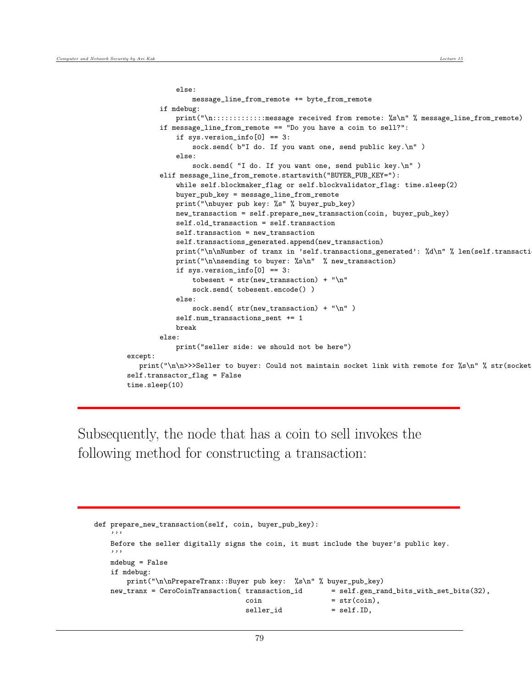```
else:
                message_line_from_remote += byte_from_remote
        if mdebug:
            print("\n:::::::::::::message received from remote: %s\n" % message_line_from_remote)
        if message_line_from_remote == "Do you have a coin to sell?":
            if sys.version_info[0] == 3:
                sock.send( b''I do. If you want one, send public key.\langle n'' \rangleelse:
                sock.send( "I do. If you want one, send public key.\n" )
        elif message_line_from_remote.startswith("BUYER_PUB_KEY="):
            while self.blockmaker_flag or self.blockvalidator_flag: time.sleep(2)
            buyer_pub_key = message_line_from_remote
            print("\nbuyer pub key: %s" % buyer_pub_key)
            new_transaction = self.prepare_new_transaction(coin, buyer_pub_key)
            self.old_transaction = self.transaction
            self.transaction = new_transaction
            self.transactions_generated.append(new_transaction)
            print("\n\nNumber of tranx in 'self.transactions_generated': %d\n" % len(self.transacti
            print("\n\nsending to buyer: %s\n" % new_transaction)
            if sys.version\_info[0] == 3:
                tobesent = str(new_transaction) + "\n"
                sock.send( tobesent.encode() )
            else:
                sock.send( str(new_transform) + "\n" )self.num_transactions_sent += 1
            break
        else:
            print("seller side: we should not be here")
except:
   print("\n\n>>>Seller to buyer: Could not maintain socket link with remote for %s\n" % str(socket
self.transactor_flag = False
time.sleep(10)
```
Subsequently, the node that has a coin to sell invokes the following method for constructing a transaction:

```
def prepare_new_transaction(self, coin, buyer_pub_key):
    '''
   Before the seller digitally signs the coin, it must include the buyer's public key.
   '''
   mdebug = False
   if mdebug:
       print("\n\nPrepareTranx::Buyer pub key: %s\n" % buyer_pub_key)
   new_tranx = CeroCoinTransaction( transaction_id = self.gen_rand_bits_with_set_bits(32),
                                   \text{coin} = \text{str}(\text{coin}),self.ID,
```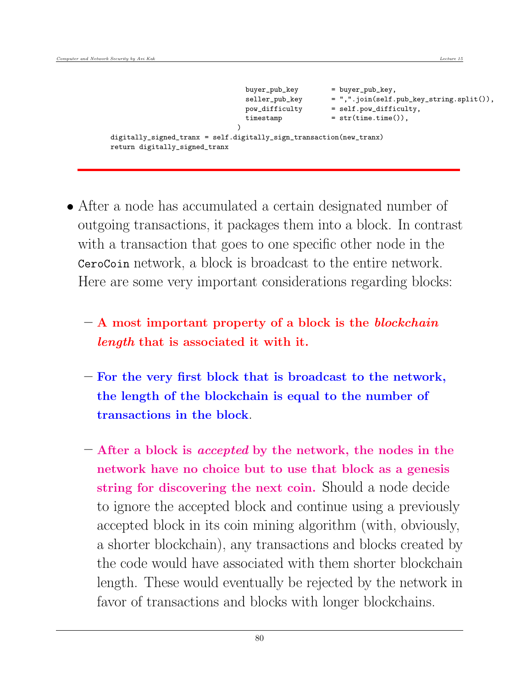```
buyer_pub_key = buyer_pub_key,
                              seller_pub_key = ",".join(self.pub_key_string.split()),
                              pow_difficulty = self.pow_difficulty,
                              timestamp = str(time.time()),
                            )
digitally_signed_tranx = self.digitally_sign_transaction(new_tranx)
return digitally_signed_tranx
```
- After a node has accumulated a certain designated number of outgoing transactions, it packages them into a block. In contrast with a transaction that goes to one specific other node in the CeroCoin network, a block is broadcast to the entire network. Here are some very important considerations regarding blocks:
	- $A$  most important property of a block is the blockchain length that is associated it with it.
	- For the very first block that is broadcast to the network, the length of the blockchain is equal to the number of transactions in the block.
	- After a block is accepted by the network, the nodes in the network have no choice but to use that block as a genesis string for discovering the next coin. Should a node decide to ignore the accepted block and continue using a previously accepted block in its coin mining algorithm (with, obviously, a shorter blockchain), any transactions and blocks created by the code would have associated with them shorter blockchain length. These would eventually be rejected by the network in favor of transactions and blocks with longer blockchains.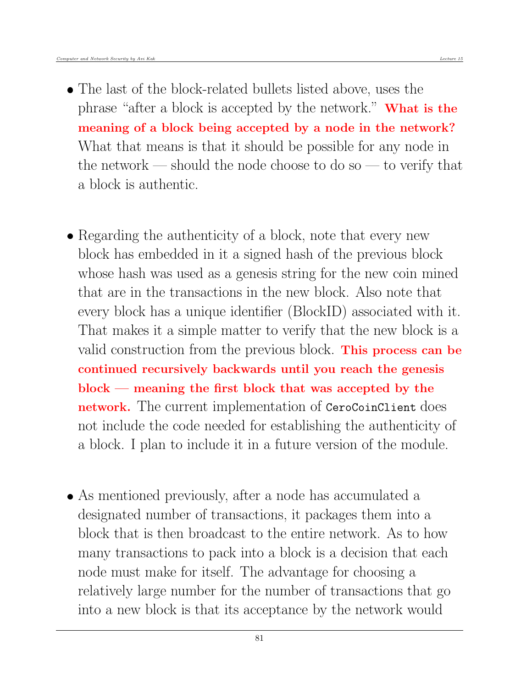- The last of the block-related bullets listed above, uses the phrase "after a block is accepted by the network." What is the meaning of a block being accepted by a node in the network? What that means is that it should be possible for any node in the network — should the node choose to do so — to verify that a block is authentic.
- Regarding the authenticity of a block, note that every new block has embedded in it a signed hash of the previous block whose hash was used as a genesis string for the new coin mined that are in the transactions in the new block. Also note that every block has a unique identifier (BlockID) associated with it. That makes it a simple matter to verify that the new block is a valid construction from the previous block. This process can be continued recursively backwards until you reach the genesis block — meaning the first block that was accepted by the network. The current implementation of CeroCoinClient does not include the code needed for establishing the authenticity of a block. I plan to include it in a future version of the module.
- As mentioned previously, after a node has accumulated a designated number of transactions, it packages them into a block that is then broadcast to the entire network. As to how many transactions to pack into a block is a decision that each node must make for itself. The advantage for choosing a relatively large number for the number of transactions that go into a new block is that its acceptance by the network would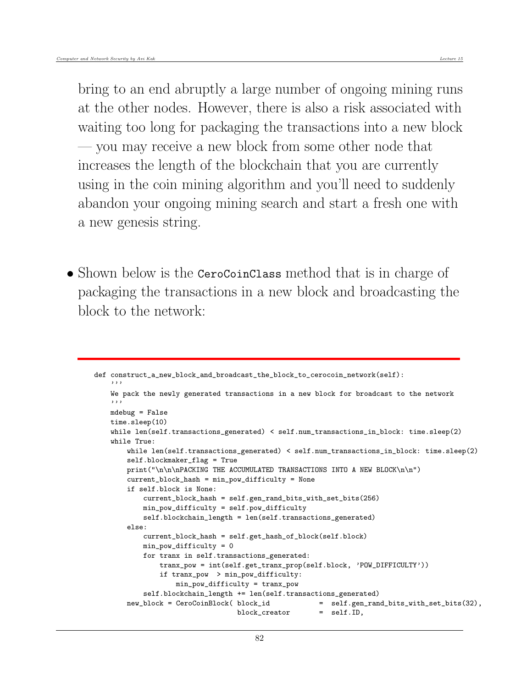bring to an end abruptly a large number of ongoing mining runs at the other nodes. However, there is also a risk associated with waiting too long for packaging the transactions into a new block — you may receive a new block from some other node that increases the length of the blockchain that you are currently using in the coin mining algorithm and you'll need to suddenly abandon your ongoing mining search and start a fresh one with a new genesis string.

• Shown below is the CeroCoinClass method that is in charge of packaging the transactions in a new block and broadcasting the block to the network:

```
def construct_a_new_block_and_broadcast_the_block_to_cerocoin_network(self):
    '''
   We pack the newly generated transactions in a new block for broadcast to the network
    '''
   mdebug = False
   time.sleep(10)
   while len(self.transactions_generated) < self.num_transactions_in_block: time.sleep(2)
   while True:
       while len(self.transactions_generated) < self.num_transactions_in_block: time.sleep(2)
       self.blockmaker_flag = True
       print("\n\n\nPACKING THE ACCUMULATED TRANSACTIONS INTO A NEW BLOCK\n\n")
       current_block_hash = min_pow_difficulty = None
       if self.block is None:
           current_block_hash = self.gen_rand_bits_with_set_bits(256)
           min_pow_difficulty = self.pow_difficulty
           self.blockchain_length = len(self.transactions_generated)
       else:
           current_block_hash = self.get_hash_of_block(self.block)
           min_pow_difficulty = 0
           for tranx in self.transactions_generated:
               tranx_pow = int(self.get_tranx_prop(self.block, 'POW_DIFFICULTY'))
               if tranx_pow > min_pow_difficulty:
                   min_pow_difficulty = tranx_pow
           self.blockchain_length += len(self.transactions_generated)
       new_block = CeroCoinBlock( block_id = self.gen_rand_bits_with_set_bits(32),
                                  block_creator = self.ID,
```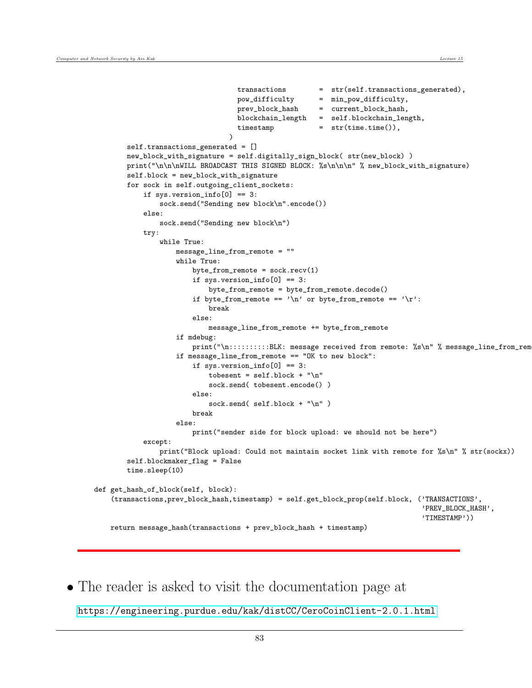```
transactions = str(self.transactions_generated),
                                  pow_difficulty = min_pow_difficulty,
                                   prev_block_hash = current_block_hash,
                                   blockchain_length = self.blockchain_length,
                                   timestamp = str(time.time()),
                                 \lambdaself.transactions_generated = []
       new_block_with_signature = self.digitally_sign_block( str(new_block) )
       print("\n\n\nWILL BROADCAST THIS SIGNED BLOCK: %s\n\n\n" % new_block_with_signature)
       self.block = new_block_with_signature
       for sock in self.outgoing_client_sockets:
            if sys.version_info[0] == 3:
                sock.send("Sending new block\n".encode())
            else:
                sock.send("Sending new block\n")
           trv:
                while True:
                    message_line_from_remote = ""
                    while True:
                        byte\_from\_remote = sock.recv(1)if sys.version_info[0] == 3:
                            byte_from_remote = byte_from_remote.decode()
                        if byte_from_remote == '\n or byte_from_remote == '\r:
                            break
                        else:
                           message_line_from_remote += byte_from_remote
                    if mdebug:
                        print("\n:::::::::BLK: message received from remote: %s\n" % message_line_from_rem
                    if message_line_from_remote == "OK to new block":
                        if sys.version_info[0] == 3:
                            tobesent = self.block + "\n\times"
                            sock.send( tobesent.encode() )
                        else:
                            sock.send( self.block + "\n" )
                        break
                    else:
                        print("sender side for block upload: we should not be here")
            except:
               print("Block upload: Could not maintain socket link with remote for %s\n" % str(sockx))
        self.blockmaker_flag = False
       time.sleep(10)
def get_hash_of_block(self, block):
    (transactions,prev_block_hash,timestamp) = self.get_block_prop(self.block, ('TRANSACTIONS',
                                                                                'PREV_BLOCK_HASH',
                                                                                'TIMESTAMP'))
   return message_hash(transactions + prev_block_hash + timestamp)
```
The reader is asked to visit the documentation page at

<https://engineering.purdue.edu/kak/distCC/CeroCoinClient-2.0.1.html>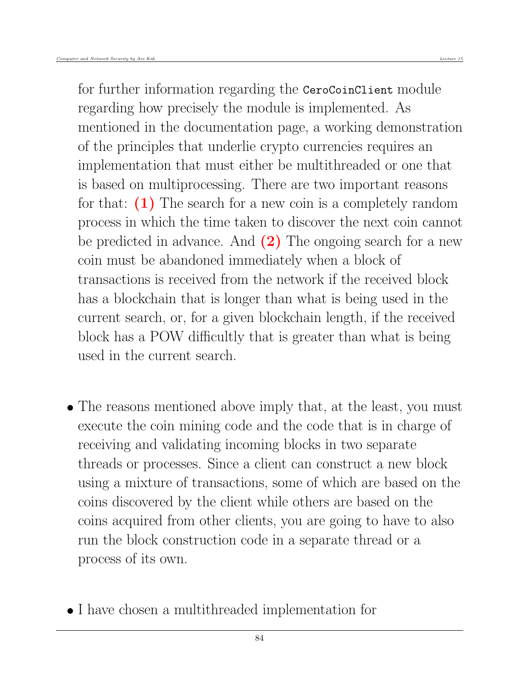for further information regarding the CeroCoinClient module regarding how precisely the module is implemented. As mentioned in the documentation page, a working demonstration of the principles that underlie crypto currencies requires an implementation that must either be multithreaded or one that is based on multiprocessing. There are two important reasons for that:  $(1)$  The search for a new coin is a completely random process in which the time taken to discover the next coin cannot be predicted in advance. And  $(2)$  The ongoing search for a new coin must be abandoned immediately when a block of transactions is received from the network if the received block has a blockchain that is longer than what is being used in the current search, or, for a given blockchain length, if the received block has a POW difficultly that is greater than what is being used in the current search.

- The reasons mentioned above imply that, at the least, you must execute the coin mining code and the code that is in charge of receiving and validating incoming blocks in two separate threads or processes. Since a client can construct a new block using a mixture of transactions, some of which are based on the coins discovered by the client while others are based on the coins acquired from other clients, you are going to have to also run the block construction code in a separate thread or a process of its own.
- I have chosen a multithreaded implementation for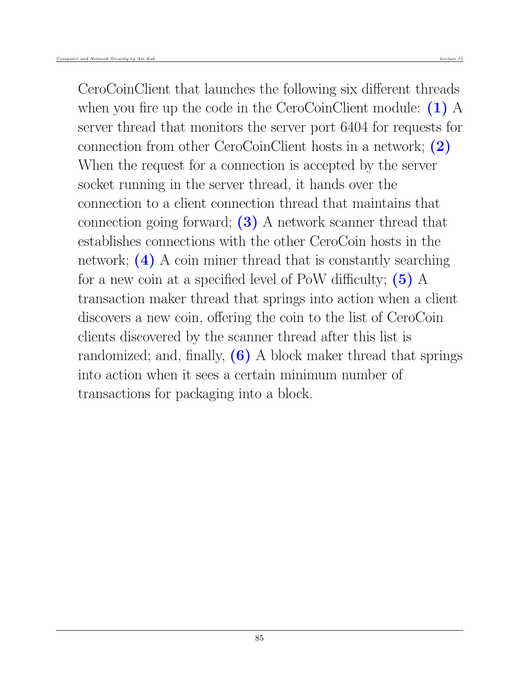CeroCoinClient that launches the following six different threads when you fire up the code in the CeroCoinClient module:  $(1)$  A server thread that monitors the server port 6404 for requests for connection from other CeroCoinClient hosts in a network; (2) When the request for a connection is accepted by the server socket running in the server thread, it hands over the connection to a client connection thread that maintains that connection going forward; (3) A network scanner thread that establishes connections with the other CeroCoin hosts in the network; (4) A coin miner thread that is constantly searching for a new coin at a specified level of PoW difficulty;  $(5)$  A transaction maker thread that springs into action when a client discovers a new coin, offering the coin to the list of CeroCoin clients discovered by the scanner thread after this list is randomized; and, finally,  $(6)$  A block maker thread that springs into action when it sees a certain minimum number of transactions for packaging into a block.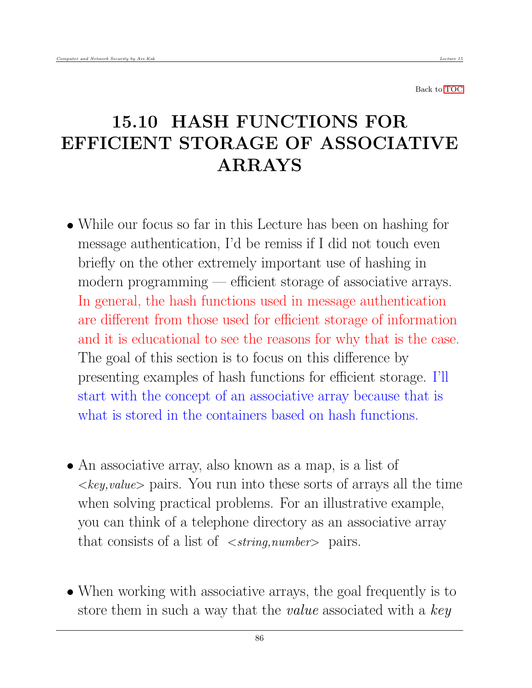Back to [TOC](#page-1-0)

# 15.10 HASH FUNCTIONS FOR EFFICIENT STORAGE OF ASSOCIATIVE ARRAYS

- While our focus so far in this Lecture has been on hashing for message authentication, I'd be remiss if I did not touch even briefly on the other extremely important use of hashing in modern programming — efficient storage of associative arrays. In general, the hash functions used in message authentication are different from those used for efficient storage of information and it is educational to see the reasons for why that is the case. The goal of this section is to focus on this difference by presenting examples of hash functions for efficient storage. I'll start with the concept of an associative array because that is what is stored in the containers based on hash functions.
- An associative array, also known as a map, is a list of  $\langle key, value \rangle$  pairs. You run into these sorts of arrays all the time when solving practical problems. For an illustrative example, you can think of a telephone directory as an associative array that consists of a list of  $\langle string, number \rangle$  pairs.
- When working with associative arrays, the goal frequently is to store them in such a way that the *value* associated with a key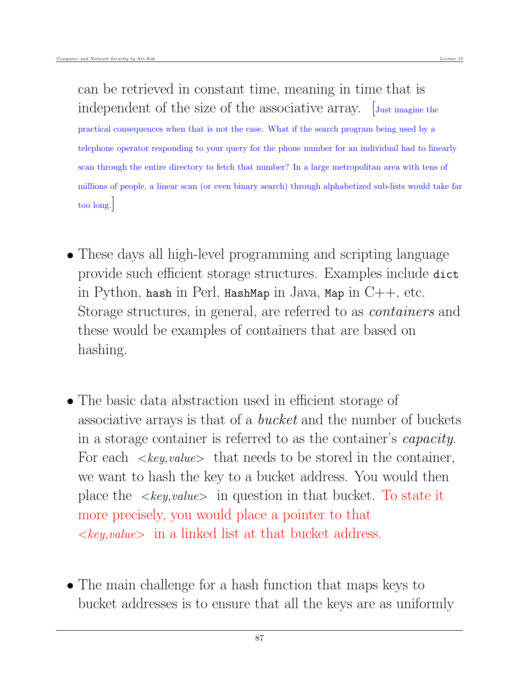can be retrieved in constant time, meaning in time that is independent of the size of the associative array. Just imagine the practical consequences when that is not the case. What if the search program being used by a telephone operator responding to your query for the phone number for an individual had to linearly scan through the entire directory to fetch that number? In a large metropolitan area with tens of millions of people, a linear scan (or even binary search) through alphabetized sub-lists would take far too long.]

- These days all high-level programming and scripting language provide such efficient storage structures. Examples include dict in Python, hash in Perl, HashMap in Java, Map in  $C++$ , etc. Storage structures, in general, are referred to as containers and these would be examples of containers that are based on hashing.
- The basic data abstraction used in efficient storage of associative arrays is that of a bucket and the number of buckets in a storage container is referred to as the container's capacity. For each  $\langle key, value \rangle$  that needs to be stored in the container, we want to hash the key to a bucket address. You would then place the  $\langle key, value \rangle$  in question in that bucket. To state it more precisely, you would place a pointer to that  $\langle key, value \rangle$  in a linked list at that bucket address.
- The main challenge for a hash function that maps keys to bucket addresses is to ensure that all the keys are as uniformly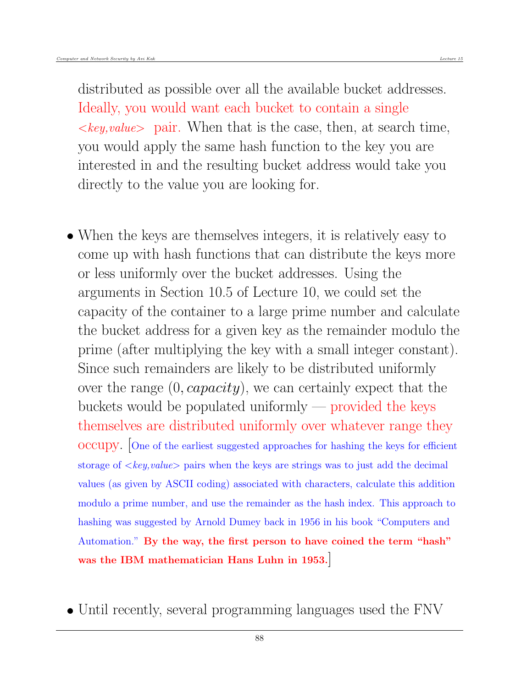distributed as possible over all the available bucket addresses. Ideally, you would want each bucket to contain a single  $\langle key, value \rangle$  pair. When that is the case, then, at search time, you would apply the same hash function to the key you are interested in and the resulting bucket address would take you directly to the value you are looking for.

- When the keys are themselves integers, it is relatively easy to come up with hash functions that can distribute the keys more or less uniformly over the bucket addresses. Using the arguments in Section 10.5 of Lecture 10, we could set the capacity of the container to a large prime number and calculate the bucket address for a given key as the remainder modulo the prime (after multiplying the key with a small integer constant). Since such remainders are likely to be distributed uniformly over the range  $(0, capacity)$ , we can certainly expect that the buckets would be populated uniformly — provided the keys themselves are distributed uniformly over whatever range they occupy. [One of the earliest suggested approaches for hashing the keys for efficient storage of  $\langle key, value \rangle$  pairs when the keys are strings was to just add the decimal values (as given by ASCII coding) associated with characters, calculate this addition modulo a prime number, and use the remainder as the hash index. This approach to hashing was suggested by Arnold Dumey back in 1956 in his book "Computers and Automation." By the way, the first person to have coined the term "hash" was the IBM mathematician Hans Luhn in 1953.]
- Until recently, several programming languages used the FNV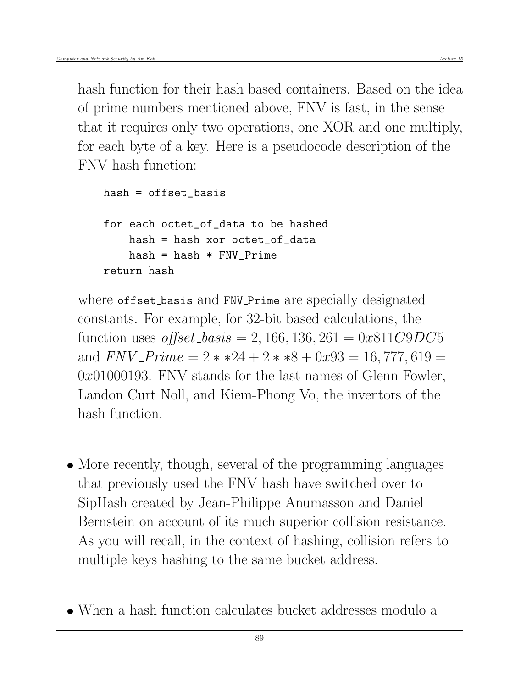hash function for their hash based containers. Based on the idea of prime numbers mentioned above, FNV is fast, in the sense that it requires only two operations, one XOR and one multiply, for each byte of a key. Here is a pseudocode description of the FNV hash function:

```
hash = offset_basis
for each octet of data to be hashed
    hash = hash xor octet_of_data
   hash = hash * FNV Prime
return hash
```
where offset basis and FNV Prime are specially designated constants. For example, for 32-bit based calculations, the function uses *offset\_basis* = 2, 166, 136, 261 =  $0x811C9DC5$ and  $FNV\_Prime = 2**24 + 2**8 + 0x93 = 16,777,619 =$  $0x01000193$ . FNV stands for the last names of Glenn Fowler, Landon Curt Noll, and Kiem-Phong Vo, the inventors of the hash function.

- More recently, though, several of the programming languages that previously used the FNV hash have switched over to SipHash created by Jean-Philippe Anumasson and Daniel Bernstein on account of its much superior collision resistance. As you will recall, in the context of hashing, collision refers to multiple keys hashing to the same bucket address.
- When a hash function calculates bucket addresses modulo a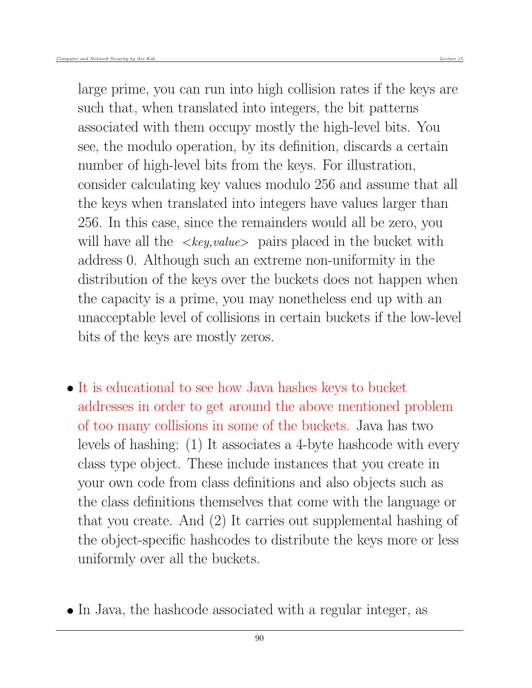large prime, you can run into high collision rates if the keys are such that, when translated into integers, the bit patterns associated with them occupy mostly the high-level bits. You see, the modulo operation, by its definition, discards a certain number of high-level bits from the keys. For illustration, consider calculating key values modulo 256 and assume that all the keys when translated into integers have values larger than 256. In this case, since the remainders would all be zero, you will have all the  $\langle key, value \rangle$  pairs placed in the bucket with address 0. Although such an extreme non-uniformity in the distribution of the keys over the buckets does not happen when the capacity is a prime, you may nonetheless end up with an unacceptable level of collisions in certain buckets if the low-level bits of the keys are mostly zeros.

- It is educational to see how Java hashes keys to bucket addresses in order to get around the above mentioned problem of too many collisions in some of the buckets. Java has two levels of hashing: (1) It associates a 4-byte hashcode with every class type object. These include instances that you create in your own code from class definitions and also objects such as the class definitions themselves that come with the language or that you create. And (2) It carries out supplemental hashing of the object-specific hashcodes to distribute the keys more or less uniformly over all the buckets.
- In Java, the hashcode associated with a regular integer, as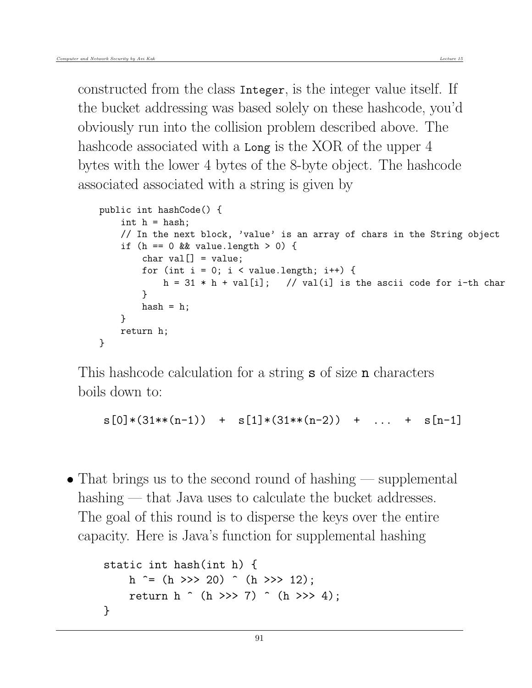constructed from the class Integer, is the integer value itself. If the bucket addressing was based solely on these hashcode, you'd obviously run into the collision problem described above. The hashcode associated with a Long is the XOR of the upper 4 bytes with the lower 4 bytes of the 8-byte object. The hashcode associated associated with a string is given by

```
public int hashCode() {
    int h = hash:
    // In the next block, 'value' is an array of chars in the String object
    if (h == 0 && value.length > 0) {
        char val[] = value;for (int i = 0; i < value.length; i++) {
           h = 31 * h + val[i]; // val(i] is the ascii code for i-th char
        }
        hash = h;
    }
   return h;
}
```
This hashcode calculation for a string **s** of size **n** characters boils down to:

```
s[0)*(31**(n-1)) + s[1]*(31**(n-2)) + ... + s[n-1]
```
 $\bullet$  That brings us to the second round of hashing — supplemental hashing — that Java uses to calculate the bucket addresses. The goal of this round is to disperse the keys over the entire capacity. Here is Java's function for supplemental hashing

```
static int hash(int h) {
    h \hat{(-)} = (h \gg 20) \hat{(-)} (h \gg 12);
    return h (h \gg > 7) (h >> 4);
}
```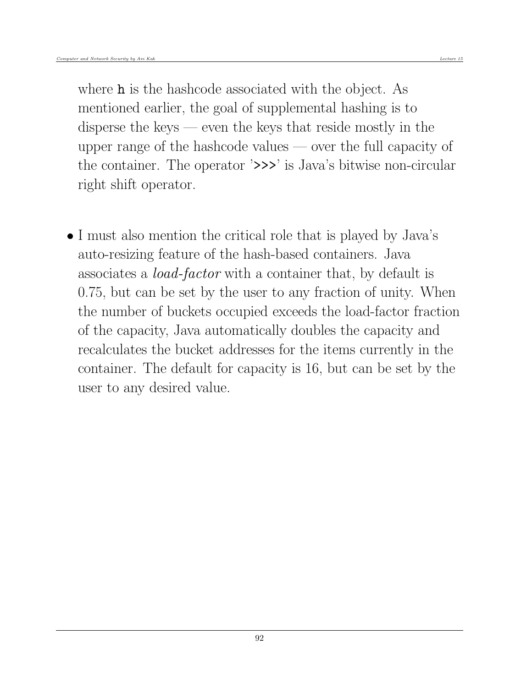where **h** is the hashcode associated with the object. As mentioned earlier, the goal of supplemental hashing is to disperse the keys — even the keys that reside mostly in the upper range of the hashcode values — over the full capacity of the container. The operator '>>>' is Java's bitwise non-circular right shift operator.

• I must also mention the critical role that is played by Java's auto-resizing feature of the hash-based containers. Java associates a load-factor with a container that, by default is 0.75, but can be set by the user to any fraction of unity. When the number of buckets occupied exceeds the load-factor fraction of the capacity, Java automatically doubles the capacity and recalculates the bucket addresses for the items currently in the container. The default for capacity is 16, but can be set by the user to any desired value.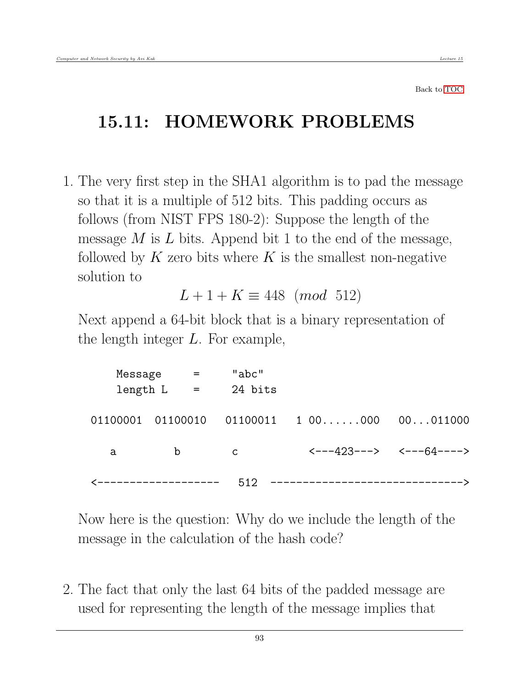Back to [TOC](#page-1-0)

# 15.11: HOMEWORK PROBLEMS

1. The very first step in the SHA1 algorithm is to pad the message so that it is a multiple of 512 bits. This padding occurs as follows (from NIST FPS 180-2): Suppose the length of the message  $M$  is  $L$  bits. Append bit 1 to the end of the message, followed by  $K$  zero bits where  $K$  is the smallest non-negative solution to

$$
L + 1 + K \equiv 448 \pmod{512}
$$

Next append a 64-bit block that is a binary representation of the length integer L. For example,

| Message | $\mathbf{r} = \mathbf{r}$      | "abc"<br>length $L = 24$ bits |                                            |  |
|---------|--------------------------------|-------------------------------|--------------------------------------------|--|
|         |                                |                               | $01100011$ 1 00000 00011000                |  |
| a       | $\mathbf b$                    | $\mathsf{C}$                  | $\leftarrow -423---2$ $\leftarrow -64---2$ |  |
|         | <b>&lt;-------------------</b> | 512                           | -----------------------------              |  |

Now here is the question: Why do we include the length of the message in the calculation of the hash code?

2. The fact that only the last 64 bits of the padded message are used for representing the length of the message implies that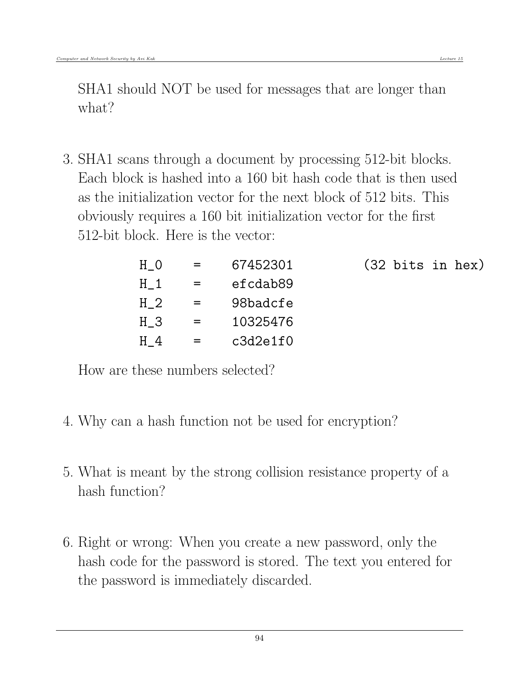SHA1 should NOT be used for messages that are longer than what?

3. SHA1 scans through a document by processing 512-bit blocks. Each block is hashed into a 160 bit hash code that is then used as the initialization vector for the next block of 512 bits. This obviously requires a 160 bit initialization vector for the first 512-bit block. Here is the vector:

| H <sub>0</sub> | $=$ | 67452301 |  | $(32 \text{ bits in hex})$ |  |
|----------------|-----|----------|--|----------------------------|--|
| $H_1$          | $=$ | efcdab89 |  |                            |  |
| H <sub>2</sub> | $=$ | 98badcfe |  |                            |  |
| H 3            | $=$ | 10325476 |  |                            |  |
| H <sub>4</sub> | $=$ | c3d2e1f0 |  |                            |  |

How are these numbers selected?

- 4. Why can a hash function not be used for encryption?
- 5. What is meant by the strong collision resistance property of a hash function?
- 6. Right or wrong: When you create a new password, only the hash code for the password is stored. The text you entered for the password is immediately discarded.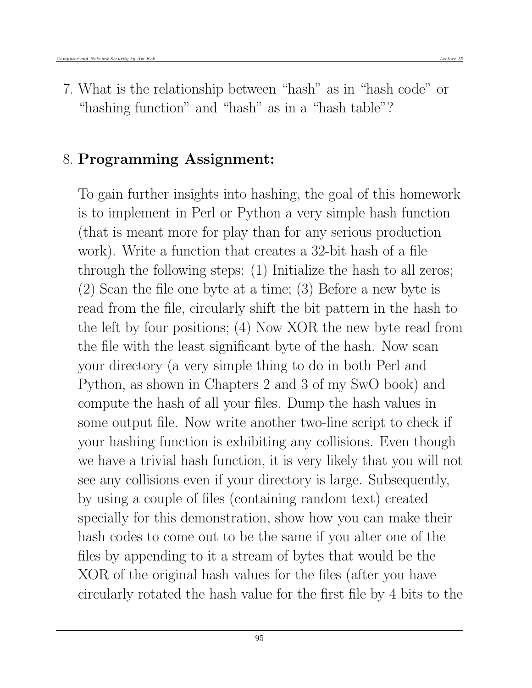7. What is the relationship between "hash" as in "hash code" or "hashing function" and "hash" as in a "hash table"?

## 8. Programming Assignment:

To gain further insights into hashing, the goal of this homework is to implement in Perl or Python a very simple hash function (that is meant more for play than for any serious production work). Write a function that creates a 32-bit hash of a file through the following steps: (1) Initialize the hash to all zeros; (2) Scan the file one byte at a time; (3) Before a new byte is read from the file, circularly shift the bit pattern in the hash to the left by four positions; (4) Now XOR the new byte read from the file with the least significant byte of the hash. Now scan your directory (a very simple thing to do in both Perl and Python, as shown in Chapters 2 and 3 of my SwO book) and compute the hash of all your files. Dump the hash values in some output file. Now write another two-line script to check if your hashing function is exhibiting any collisions. Even though we have a trivial hash function, it is very likely that you will not see any collisions even if your directory is large. Subsequently, by using a couple of files (containing random text) created specially for this demonstration, show how you can make their hash codes to come out to be the same if you alter one of the files by appending to it a stream of bytes that would be the XOR of the original hash values for the files (after you have circularly rotated the hash value for the first file by 4 bits to the